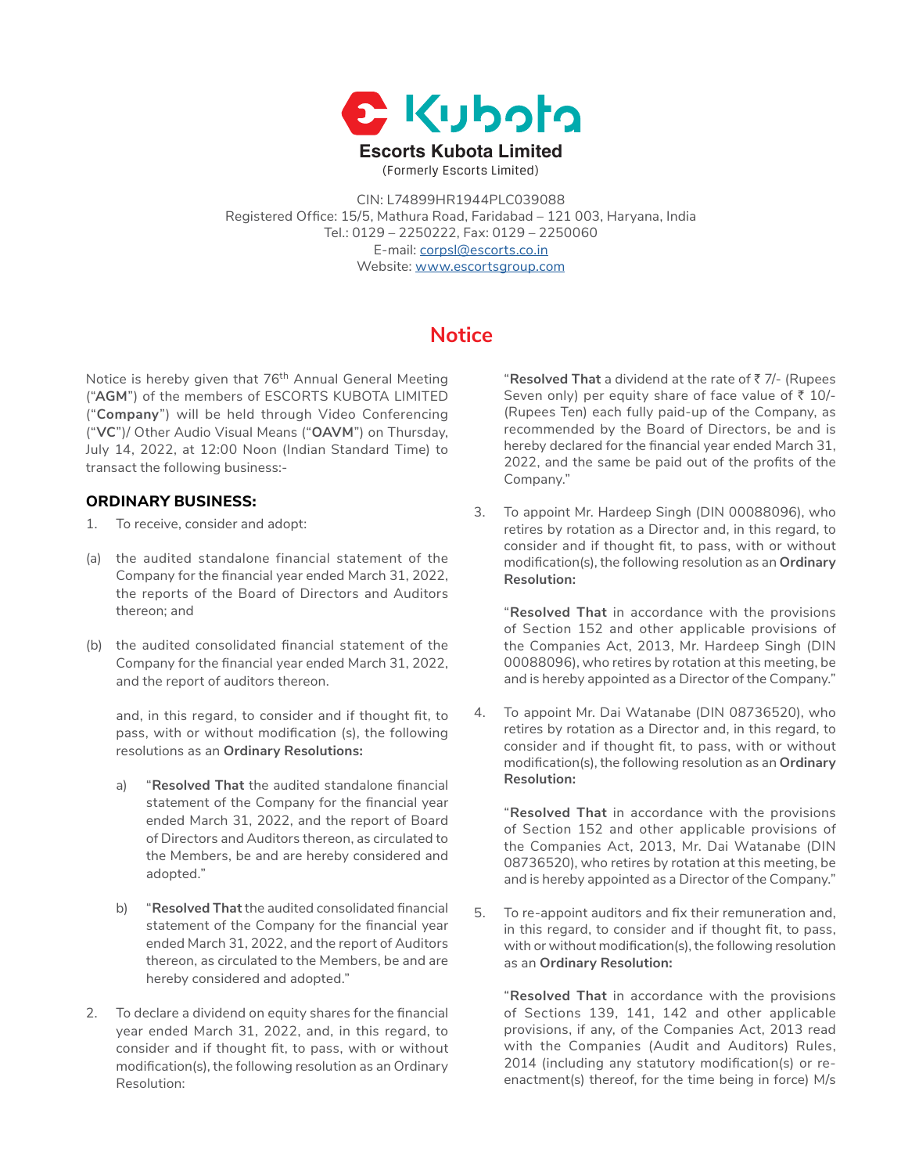

CIN: L74899HR1944PLC039088 Registered Office: 15/5, Mathura Road, Faridabad – 121 003, Haryana, India Tel.: 0129 – 2250222, Fax: 0129 – 2250060 E-mail: [corpsl@escorts.co.in](mailto:corpsl%40escorts.co.in?subject=) Website: [www.escortsgroup.com](http://www.escortsgroup.com)

# **Notice**

Notice is hereby given that 76<sup>th</sup> Annual General Meeting ("**AGM**") of the members of ESCORTS KUBOTA LIMITED ("**Company**") will be held through Video Conferencing ("**VC**")/ Other Audio Visual Means ("**OAVM**") on Thursday, July 14, 2022, at 12:00 Noon (Indian Standard Time) to transact the following business:-

## **ORDINARY BUSINESS:**

- 1. To receive, consider and adopt:
- (a) the audited standalone financial statement of the Company for the financial year ended March 31, 2022, the reports of the Board of Directors and Auditors thereon; and
- (b) the audited consolidated financial statement of the Company for the financial year ended March 31, 2022, and the report of auditors thereon.

and, in this regard, to consider and if thought fit, to pass, with or without modification (s), the following resolutions as an **Ordinary Resolutions:**

- a) "**Resolved That** the audited standalone financial statement of the Company for the financial year ended March 31, 2022, and the report of Board of Directors and Auditors thereon, as circulated to the Members, be and are hereby considered and adopted."
- b) "**Resolved That** the audited consolidated financial statement of the Company for the financial year ended March 31, 2022, and the report of Auditors thereon, as circulated to the Members, be and are hereby considered and adopted."
- 2. To declare a dividend on equity shares for the financial year ended March 31, 2022, and, in this regard, to consider and if thought fit, to pass, with or without modification(s), the following resolution as an Ordinary Resolution:

 "**Resolved That** a dividend at the rate of ` 7/- (Rupees Seven only) per equity share of face value of  $\bar{z}$  10/-(Rupees Ten) each fully paid-up of the Company, as recommended by the Board of Directors, be and is hereby declared for the financial year ended March 31, 2022, and the same be paid out of the profits of the Company."

3. To appoint Mr. Hardeep Singh (DIN 00088096), who retires by rotation as a Director and, in this regard, to consider and if thought fit, to pass, with or without modification(s), the following resolution as an **Ordinary Resolution:**

 "**Resolved That** in accordance with the provisions of Section 152 and other applicable provisions of the Companies Act, 2013, Mr. Hardeep Singh (DIN 00088096), who retires by rotation at this meeting, be and is hereby appointed as a Director of the Company."

4. To appoint Mr. Dai Watanabe (DIN 08736520), who retires by rotation as a Director and, in this regard, to consider and if thought fit, to pass, with or without modification(s), the following resolution as an **Ordinary Resolution:**

 "**Resolved That** in accordance with the provisions of Section 152 and other applicable provisions of the Companies Act, 2013, Mr. Dai Watanabe (DIN 08736520), who retires by rotation at this meeting, be and is hereby appointed as a Director of the Company."

5. To re-appoint auditors and fix their remuneration and, in this regard, to consider and if thought fit, to pass, with or without modification(s), the following resolution as an **Ordinary Resolution:**

 "**Resolved That** in accordance with the provisions of Sections 139, 141, 142 and other applicable provisions, if any, of the Companies Act, 2013 read with the Companies (Audit and Auditors) Rules, 2014 (including any statutory modification(s) or reenactment(s) thereof, for the time being in force) M/s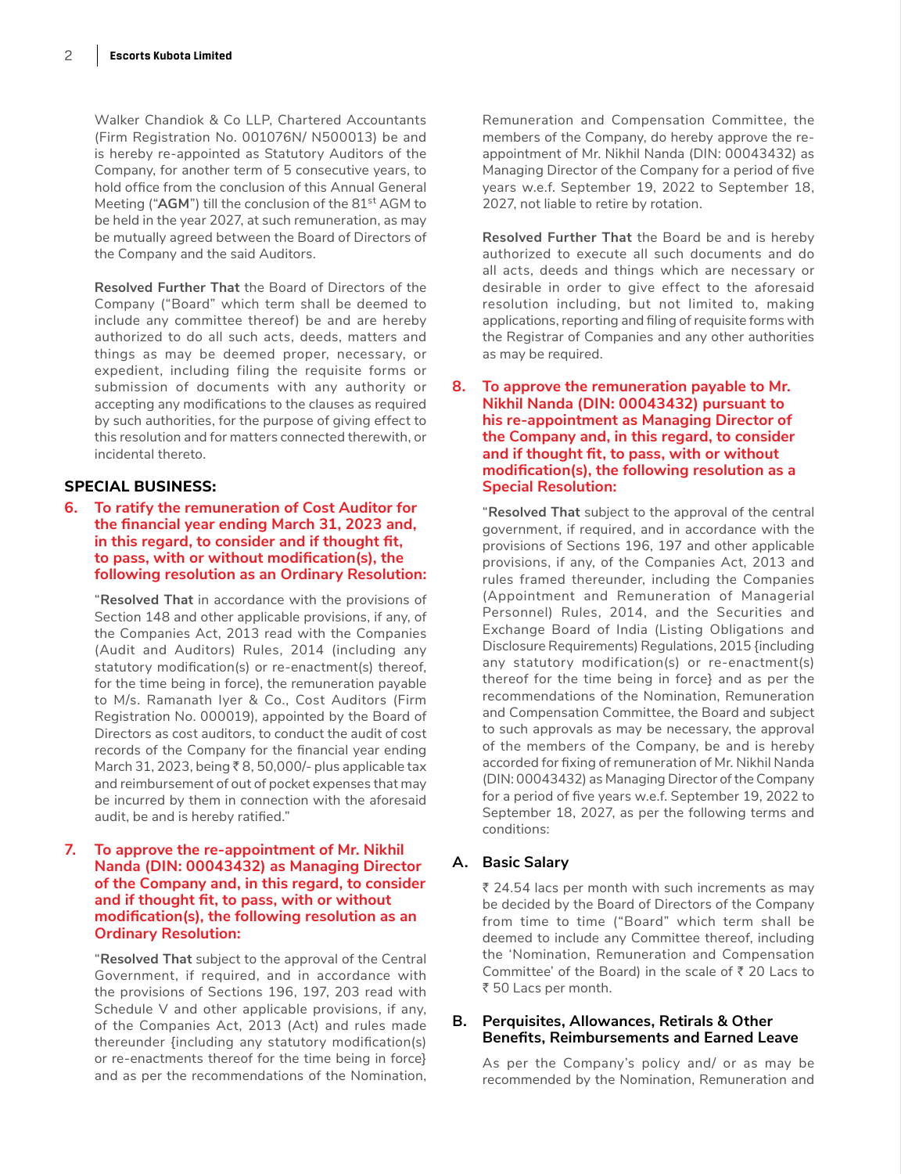Walker Chandiok & Co LLP, Chartered Accountants (Firm Registration No. 001076N/ N500013) be and is hereby re-appointed as Statutory Auditors of the Company, for another term of 5 consecutive years, to hold office from the conclusion of this Annual General Meeting ("AGM") till the conclusion of the 81<sup>st</sup> AGM to be held in the year 2027, at such remuneration, as may be mutually agreed between the Board of Directors of the Company and the said Auditors.

 **Resolved Further That** the Board of Directors of the Company ("Board" which term shall be deemed to include any committee thereof) be and are hereby authorized to do all such acts, deeds, matters and things as may be deemed proper, necessary, or expedient, including filing the requisite forms or submission of documents with any authority or accepting any modifications to the clauses as required by such authorities, for the purpose of giving effect to this resolution and for matters connected therewith, or incidental thereto.

## **SPECIAL BUSINESS:**

**6. To ratify the remuneration of Cost Auditor for the financial year ending March 31, 2023 and, in this regard, to consider and if thought fit, to pass, with or without modification(s), the following resolution as an Ordinary Resolution:**

 "**Resolved That** in accordance with the provisions of Section 148 and other applicable provisions, if any, of the Companies Act, 2013 read with the Companies (Audit and Auditors) Rules, 2014 (including any statutory modification(s) or re-enactment(s) thereof, for the time being in force), the remuneration payable to M/s. Ramanath Iyer & Co., Cost Auditors (Firm Registration No. 000019), appointed by the Board of Directors as cost auditors, to conduct the audit of cost records of the Company for the financial year ending March 31, 2023, being  $\bar{\tau}$  8, 50,000/- plus applicable tax and reimbursement of out of pocket expenses that may be incurred by them in connection with the aforesaid audit, be and is hereby ratified."

#### **7. To approve the re-appointment of Mr. Nikhil Nanda (DIN: 00043432) as Managing Director of the Company and, in this regard, to consider and if thought fit, to pass, with or without modification(s), the following resolution as an Ordinary Resolution:**

 "**Resolved That** subject to the approval of the Central Government, if required, and in accordance with the provisions of Sections 196, 197, 203 read with Schedule V and other applicable provisions, if any, of the Companies Act, 2013 (Act) and rules made thereunder {including any statutory modification(s) or re-enactments thereof for the time being in force} and as per the recommendations of the Nomination,

Remuneration and Compensation Committee, the members of the Company, do hereby approve the reappointment of Mr. Nikhil Nanda (DIN: 00043432) as Managing Director of the Company for a period of five years w.e.f. September 19, 2022 to September 18, 2027, not liable to retire by rotation.

 **Resolved Further That** the Board be and is hereby authorized to execute all such documents and do all acts, deeds and things which are necessary or desirable in order to give effect to the aforesaid resolution including, but not limited to, making applications, reporting and filing of requisite forms with the Registrar of Companies and any other authorities as may be required.

#### **8. To approve the remuneration payable to Mr. Nikhil Nanda (DIN: 00043432) pursuant to his re-appointment as Managing Director of the Company and, in this regard, to consider and if thought fit, to pass, with or without modification(s), the following resolution as a Special Resolution:**

 "**Resolved That** subject to the approval of the central government, if required, and in accordance with the provisions of Sections 196, 197 and other applicable provisions, if any, of the Companies Act, 2013 and rules framed thereunder, including the Companies (Appointment and Remuneration of Managerial Personnel) Rules, 2014, and the Securities and Exchange Board of India (Listing Obligations and Disclosure Requirements) Regulations, 2015 {including any statutory modification(s) or re-enactment(s) thereof for the time being in force} and as per the recommendations of the Nomination, Remuneration and Compensation Committee, the Board and subject to such approvals as may be necessary, the approval of the members of the Company, be and is hereby accorded for fixing of remuneration of Mr. Nikhil Nanda (DIN: 00043432) as Managing Director of the Company for a period of five years w.e.f. September 19, 2022 to September 18, 2027, as per the following terms and conditions:

## **A. Basic Salary**

 $\bar{\tau}$  24.54 lacs per month with such increments as may be decided by the Board of Directors of the Company from time to time ("Board" which term shall be deemed to include any Committee thereof, including the 'Nomination, Remuneration and Compensation Committee' of the Board) in the scale of  $\bar{z}$  20 Lacs to ₹ 50 Lacs per month.

## **B. Perquisites, Allowances, Retirals & Other Benefits, Reimbursements and Earned Leave**

As per the Company's policy and/ or as may be recommended by the Nomination, Remuneration and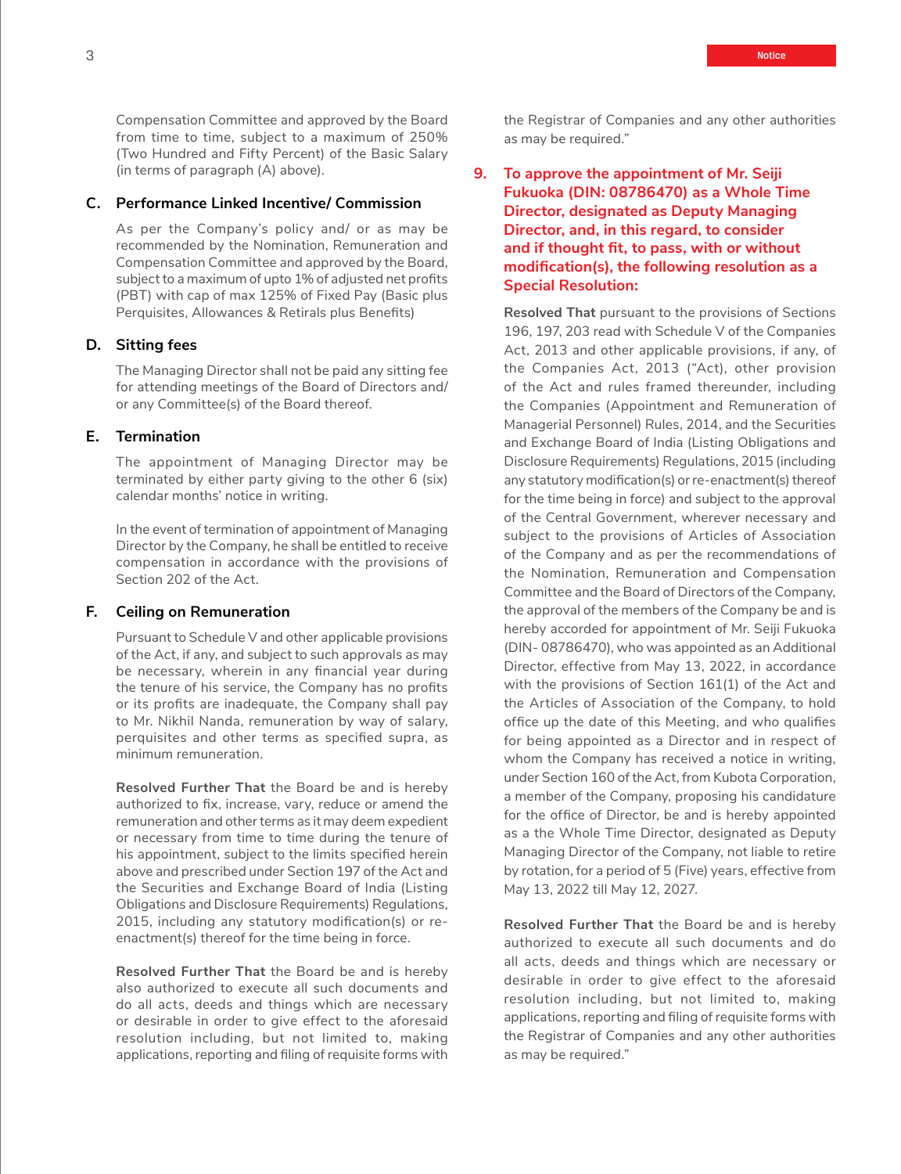Compensation Committee and approved by the Board from time to time, subject to a maximum of 250% (Two Hundred and Fifty Percent) of the Basic Salary (in terms of paragraph (A) above).

### **C. Performance Linked Incentive/ Commission**

As per the Company's policy and/ or as may be recommended by the Nomination, Remuneration and Compensation Committee and approved by the Board, subject to a maximum of upto 1% of adjusted net profits (PBT) with cap of max 125% of Fixed Pay (Basic plus Perquisites, Allowances & Retirals plus Benefits)

#### **D. Sitting fees**

The Managing Director shall not be paid any sitting fee for attending meetings of the Board of Directors and/ or any Committee(s) of the Board thereof.

#### **E. Termination**

The appointment of Managing Director may be terminated by either party giving to the other 6 (six) calendar months' notice in writing.

In the event of termination of appointment of Managing Director by the Company, he shall be entitled to receive compensation in accordance with the provisions of Section 202 of the Act.

#### **F. Ceiling on Remuneration**

Pursuant to Schedule V and other applicable provisions of the Act, if any, and subject to such approvals as may be necessary, wherein in any financial year during the tenure of his service, the Company has no profits or its profits are inadequate, the Company shall pay to Mr. Nikhil Nanda, remuneration by way of salary, perquisites and other terms as specified supra, as minimum remuneration.

 **Resolved Further That** the Board be and is hereby authorized to fix, increase, vary, reduce or amend the remuneration and other terms as it may deem expedient or necessary from time to time during the tenure of his appointment, subject to the limits specified herein above and prescribed under Section 197 of the Act and the Securities and Exchange Board of India (Listing Obligations and Disclosure Requirements) Regulations, 2015, including any statutory modification(s) or reenactment(s) thereof for the time being in force.

 **Resolved Further That** the Board be and is hereby also authorized to execute all such documents and do all acts, deeds and things which are necessary or desirable in order to give effect to the aforesaid resolution including, but not limited to, making applications, reporting and filing of requisite forms with the Registrar of Companies and any other authorities as may be required."

**9. To approve the appointment of Mr. Seiji Fukuoka (DIN: 08786470) as a Whole Time Director, designated as Deputy Managing Director, and, in this regard, to consider and if thought fit, to pass, with or without modification(s), the following resolution as a Special Resolution:**

 **Resolved That** pursuant to the provisions of Sections 196, 197, 203 read with Schedule V of the Companies Act, 2013 and other applicable provisions, if any, of the Companies Act, 2013 ("Act), other provision of the Act and rules framed thereunder, including the Companies (Appointment and Remuneration of Managerial Personnel) Rules, 2014, and the Securities and Exchange Board of India (Listing Obligations and Disclosure Requirements) Regulations, 2015 (including any statutory modification(s) or re-enactment(s) thereof for the time being in force) and subject to the approval of the Central Government, wherever necessary and subject to the provisions of Articles of Association of the Company and as per the recommendations of the Nomination, Remuneration and Compensation Committee and the Board of Directors of the Company, the approval of the members of the Company be and is hereby accorded for appointment of Mr. Seiji Fukuoka (DIN- 08786470), who was appointed as an Additional Director, effective from May 13, 2022, in accordance with the provisions of Section 161(1) of the Act and the Articles of Association of the Company, to hold office up the date of this Meeting, and who qualifies for being appointed as a Director and in respect of whom the Company has received a notice in writing, under Section 160 of the Act, from Kubota Corporation, a member of the Company, proposing his candidature for the office of Director, be and is hereby appointed as a the Whole Time Director, designated as Deputy Managing Director of the Company, not liable to retire by rotation, for a period of 5 (Five) years, effective from May 13, 2022 till May 12, 2027.

 **Resolved Further That** the Board be and is hereby authorized to execute all such documents and do all acts, deeds and things which are necessary or desirable in order to give effect to the aforesaid resolution including, but not limited to, making applications, reporting and filing of requisite forms with the Registrar of Companies and any other authorities as may be required."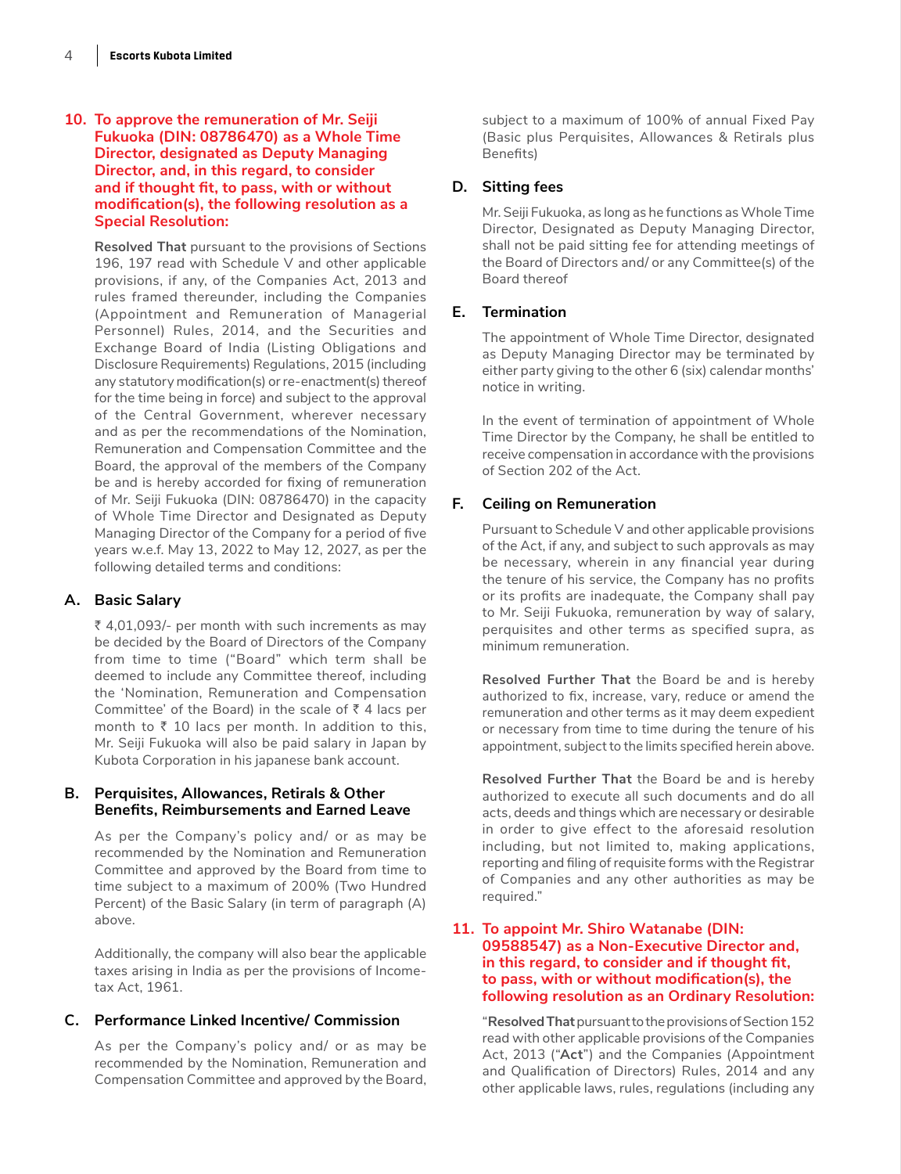### **10. To approve the remuneration of Mr. Seiji Fukuoka (DIN: 08786470) as a Whole Time Director, designated as Deputy Managing Director, and, in this regard, to consider and if thought fit, to pass, with or without modification(s), the following resolution as a Special Resolution:**

 **Resolved That** pursuant to the provisions of Sections 196, 197 read with Schedule V and other applicable provisions, if any, of the Companies Act, 2013 and rules framed thereunder, including the Companies (Appointment and Remuneration of Managerial Personnel) Rules, 2014, and the Securities and Exchange Board of India (Listing Obligations and Disclosure Requirements) Regulations, 2015 (including any statutory modification(s) or re-enactment(s) thereof for the time being in force) and subject to the approval of the Central Government, wherever necessary and as per the recommendations of the Nomination, Remuneration and Compensation Committee and the Board, the approval of the members of the Company be and is hereby accorded for fixing of remuneration of Mr. Seiji Fukuoka (DIN: 08786470) in the capacity of Whole Time Director and Designated as Deputy Managing Director of the Company for a period of five years w.e.f. May 13, 2022 to May 12, 2027, as per the following detailed terms and conditions:

## **A. Basic Salary**

 $\bar{\tau}$  4,01,093/- per month with such increments as may be decided by the Board of Directors of the Company from time to time ("Board" which term shall be deemed to include any Committee thereof, including the 'Nomination, Remuneration and Compensation Committee' of the Board) in the scale of  $\bar{z}$  4 lacs per month to  $\bar{\tau}$  10 lacs per month. In addition to this, Mr. Seiji Fukuoka will also be paid salary in Japan by Kubota Corporation in his japanese bank account.

## **B. Perquisites, Allowances, Retirals & Other Benefits, Reimbursements and Earned Leave**

As per the Company's policy and/ or as may be recommended by the Nomination and Remuneration Committee and approved by the Board from time to time subject to a maximum of 200% (Two Hundred Percent) of the Basic Salary (in term of paragraph (A) above.

Additionally, the company will also bear the applicable taxes arising in India as per the provisions of Incometax Act, 1961.

### **C. Performance Linked Incentive/ Commission**

As per the Company's policy and/ or as may be recommended by the Nomination, Remuneration and Compensation Committee and approved by the Board, subject to a maximum of 100% of annual Fixed Pay (Basic plus Perquisites, Allowances & Retirals plus Benefits)

## **D. Sitting fees**

Mr. Seiji Fukuoka, as long as he functions as Whole Time Director, Designated as Deputy Managing Director, shall not be paid sitting fee for attending meetings of the Board of Directors and/ or any Committee(s) of the Board thereof

## **E. Termination**

The appointment of Whole Time Director, designated as Deputy Managing Director may be terminated by either party giving to the other 6 (six) calendar months' notice in writing.

In the event of termination of appointment of Whole Time Director by the Company, he shall be entitled to receive compensation in accordance with the provisions of Section 202 of the Act.

## **F. Ceiling on Remuneration**

Pursuant to Schedule V and other applicable provisions of the Act, if any, and subject to such approvals as may be necessary, wherein in any financial year during the tenure of his service, the Company has no profits or its profits are inadequate, the Company shall pay to Mr. Seiji Fukuoka, remuneration by way of salary, perquisites and other terms as specified supra, as minimum remuneration.

**Resolved Further That** the Board be and is hereby authorized to fix, increase, vary, reduce or amend the remuneration and other terms as it may deem expedient or necessary from time to time during the tenure of his appointment, subject to the limits specified herein above.

 **Resolved Further That** the Board be and is hereby authorized to execute all such documents and do all acts, deeds and things which are necessary or desirable in order to give effect to the aforesaid resolution including, but not limited to, making applications, reporting and filing of requisite forms with the Registrar of Companies and any other authorities as may be required."

### **11. To appoint Mr. Shiro Watanabe (DIN: 09588547) as a Non-Executive Director and, in this regard, to consider and if thought fit, to pass, with or without modification(s), the following resolution as an Ordinary Resolution:**

 "**Resolved That** pursuant to the provisions of Section 152 read with other applicable provisions of the Companies Act, 2013 ("**Act**") and the Companies (Appointment and Qualification of Directors) Rules, 2014 and any other applicable laws, rules, regulations (including any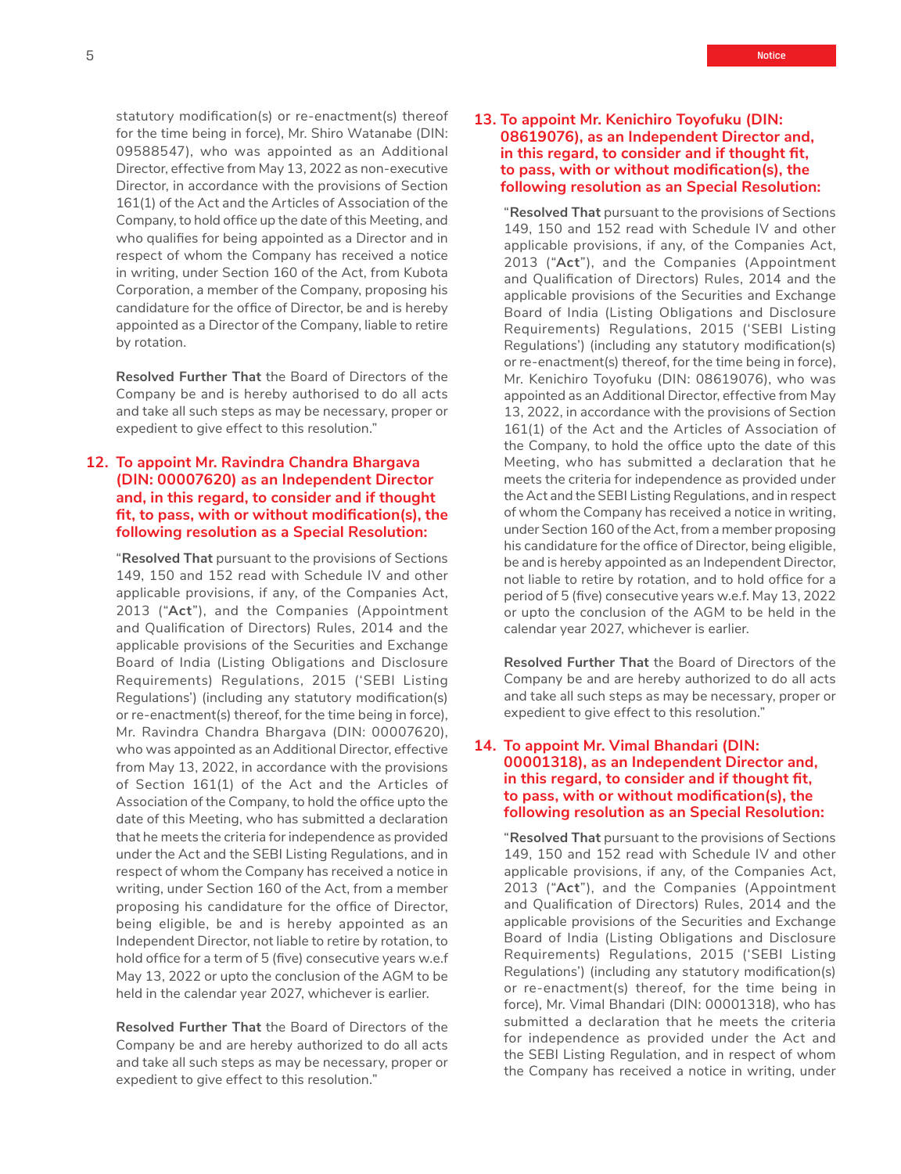statutory modification(s) or re-enactment(s) thereof for the time being in force), Mr. Shiro Watanabe (DIN: 09588547), who was appointed as an Additional Director, effective from May 13, 2022 as non-executive Director, in accordance with the provisions of Section 161(1) of the Act and the Articles of Association of the Company, to hold office up the date of this Meeting, and who qualifies for being appointed as a Director and in respect of whom the Company has received a notice in writing, under Section 160 of the Act, from Kubota Corporation, a member of the Company, proposing his candidature for the office of Director, be and is hereby appointed as a Director of the Company, liable to retire by rotation.

 **Resolved Further That** the Board of Directors of the Company be and is hereby authorised to do all acts and take all such steps as may be necessary, proper or expedient to give effect to this resolution."

### **12. To appoint Mr. Ravindra Chandra Bhargava (DIN: 00007620) as an Independent Director and, in this regard, to consider and if thought fit, to pass, with or without modification(s), the following resolution as a Special Resolution:**

 "**Resolved That** pursuant to the provisions of Sections 149, 150 and 152 read with Schedule IV and other applicable provisions, if any, of the Companies Act, 2013 ("**Act**"), and the Companies (Appointment and Qualification of Directors) Rules, 2014 and the applicable provisions of the Securities and Exchange Board of India (Listing Obligations and Disclosure Requirements) Regulations, 2015 ('SEBI Listing Regulations') (including any statutory modification(s) or re-enactment(s) thereof, for the time being in force), Mr. Ravindra Chandra Bhargava (DIN: 00007620), who was appointed as an Additional Director, effective from May 13, 2022, in accordance with the provisions of Section 161(1) of the Act and the Articles of Association of the Company, to hold the office upto the date of this Meeting, who has submitted a declaration that he meets the criteria for independence as provided under the Act and the SEBI Listing Regulations, and in respect of whom the Company has received a notice in writing, under Section 160 of the Act, from a member proposing his candidature for the office of Director, being eligible, be and is hereby appointed as an Independent Director, not liable to retire by rotation, to hold office for a term of 5 (five) consecutive years w.e.f May 13, 2022 or upto the conclusion of the AGM to be held in the calendar year 2027, whichever is earlier.

 **Resolved Further That** the Board of Directors of the Company be and are hereby authorized to do all acts and take all such steps as may be necessary, proper or expedient to give effect to this resolution."

 "**Resolved That** pursuant to the provisions of Sections 149, 150 and 152 read with Schedule IV and other applicable provisions, if any, of the Companies Act, 2013 ("**Act**"), and the Companies (Appointment and Qualification of Directors) Rules, 2014 and the applicable provisions of the Securities and Exchange Board of India (Listing Obligations and Disclosure Requirements) Regulations, 2015 ('SEBI Listing Regulations') (including any statutory modification(s) or re-enactment(s) thereof, for the time being in force), Mr. Kenichiro Toyofuku (DIN: 08619076), who was appointed as an Additional Director, effective from May 13, 2022, in accordance with the provisions of Section 161(1) of the Act and the Articles of Association of the Company, to hold the office upto the date of this Meeting, who has submitted a declaration that he meets the criteria for independence as provided under the Act and the SEBI Listing Regulations, and in respect of whom the Company has received a notice in writing, under Section 160 of the Act, from a member proposing his candidature for the office of Director, being eligible, be and is hereby appointed as an Independent Director, not liable to retire by rotation, and to hold office for a period of 5 (five) consecutive years w.e.f. May 13, 2022 or upto the conclusion of the AGM to be held in the calendar year 2027, whichever is earlier.

 **Resolved Further That** the Board of Directors of the Company be and are hereby authorized to do all acts and take all such steps as may be necessary, proper or expedient to give effect to this resolution."

#### **14. To appoint Mr. Vimal Bhandari (DIN: 00001318), as an Independent Director and, in this regard, to consider and if thought fit, to pass, with or without modification(s), the following resolution as an Special Resolution:**

 "**Resolved That** pursuant to the provisions of Sections 149, 150 and 152 read with Schedule IV and other applicable provisions, if any, of the Companies Act, 2013 ("**Act**"), and the Companies (Appointment and Qualification of Directors) Rules, 2014 and the applicable provisions of the Securities and Exchange Board of India (Listing Obligations and Disclosure Requirements) Regulations, 2015 ('SEBI Listing Regulations') (including any statutory modification(s) or re-enactment(s) thereof, for the time being in force), Mr. Vimal Bhandari (DIN: 00001318), who has submitted a declaration that he meets the criteria for independence as provided under the Act and the SEBI Listing Regulation, and in respect of whom the Company has received a notice in writing, under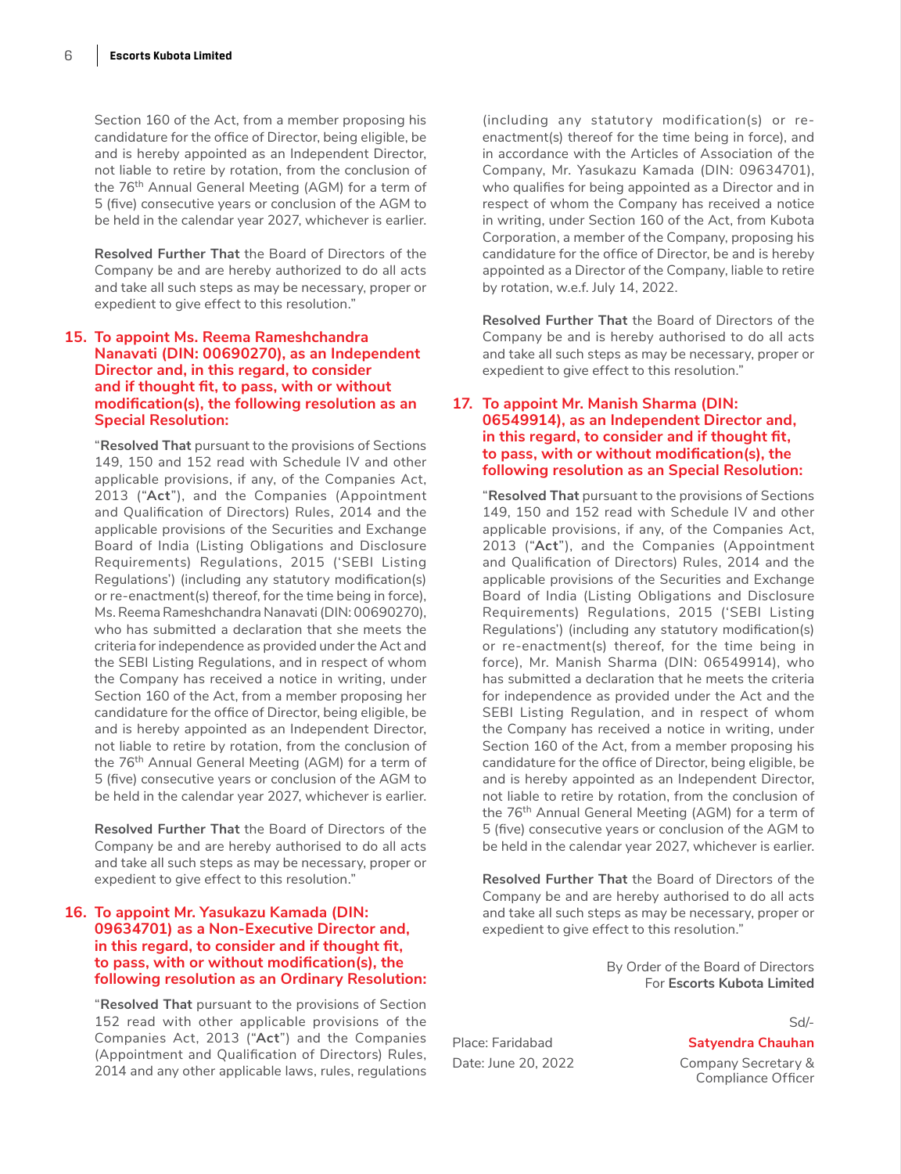Section 160 of the Act, from a member proposing his candidature for the office of Director, being eligible, be and is hereby appointed as an Independent Director, not liable to retire by rotation, from the conclusion of the 76<sup>th</sup> Annual General Meeting (AGM) for a term of 5 (five) consecutive years or conclusion of the AGM to be held in the calendar year 2027, whichever is earlier.

 **Resolved Further That** the Board of Directors of the Company be and are hereby authorized to do all acts and take all such steps as may be necessary, proper or expedient to give effect to this resolution."

#### **15. To appoint Ms. Reema Rameshchandra Nanavati (DIN: 00690270), as an Independent Director and, in this regard, to consider and if thought fit, to pass, with or without modification(s), the following resolution as an Special Resolution:**

 "**Resolved That** pursuant to the provisions of Sections 149, 150 and 152 read with Schedule IV and other applicable provisions, if any, of the Companies Act, 2013 ("**Act**"), and the Companies (Appointment and Qualification of Directors) Rules, 2014 and the applicable provisions of the Securities and Exchange Board of India (Listing Obligations and Disclosure Requirements) Regulations, 2015 ('SEBI Listing Regulations') (including any statutory modification(s) or re-enactment(s) thereof, for the time being in force), Ms. Reema Rameshchandra Nanavati (DIN: 00690270), who has submitted a declaration that she meets the criteria for independence as provided under the Act and the SEBI Listing Regulations, and in respect of whom the Company has received a notice in writing, under Section 160 of the Act, from a member proposing her candidature for the office of Director, being eligible, be and is hereby appointed as an Independent Director, not liable to retire by rotation, from the conclusion of the 76<sup>th</sup> Annual General Meeting (AGM) for a term of 5 (five) consecutive years or conclusion of the AGM to be held in the calendar year 2027, whichever is earlier.

 **Resolved Further That** the Board of Directors of the Company be and are hereby authorised to do all acts and take all such steps as may be necessary, proper or expedient to give effect to this resolution."

#### **16. To appoint Mr. Yasukazu Kamada (DIN: 09634701) as a Non-Executive Director and, in this regard, to consider and if thought fit, to pass, with or without modification(s), the following resolution as an Ordinary Resolution:**

 "**Resolved That** pursuant to the provisions of Section 152 read with other applicable provisions of the Companies Act, 2013 ("**Act**") and the Companies (Appointment and Qualification of Directors) Rules, 2014 and any other applicable laws, rules, regulations

(including any statutory modification(s) or reenactment(s) thereof for the time being in force), and in accordance with the Articles of Association of the Company, Mr. Yasukazu Kamada (DIN: 09634701), who qualifies for being appointed as a Director and in respect of whom the Company has received a notice in writing, under Section 160 of the Act, from Kubota Corporation, a member of the Company, proposing his candidature for the office of Director, be and is hereby appointed as a Director of the Company, liable to retire by rotation, w.e.f. July 14, 2022.

 **Resolved Further That** the Board of Directors of the Company be and is hereby authorised to do all acts and take all such steps as may be necessary, proper or expedient to give effect to this resolution."

#### **17. To appoint Mr. Manish Sharma (DIN: 06549914), as an Independent Director and, in this regard, to consider and if thought fit, to pass, with or without modification(s), the following resolution as an Special Resolution:**

 "**Resolved That** pursuant to the provisions of Sections 149, 150 and 152 read with Schedule IV and other applicable provisions, if any, of the Companies Act, 2013 ("**Act**"), and the Companies (Appointment and Qualification of Directors) Rules, 2014 and the applicable provisions of the Securities and Exchange Board of India (Listing Obligations and Disclosure Requirements) Regulations, 2015 ('SEBI Listing Regulations') (including any statutory modification(s) or re-enactment(s) thereof, for the time being in force), Mr. Manish Sharma (DIN: 06549914), who has submitted a declaration that he meets the criteria for independence as provided under the Act and the SEBI Listing Regulation, and in respect of whom the Company has received a notice in writing, under Section 160 of the Act, from a member proposing his candidature for the office of Director, being eligible, be and is hereby appointed as an Independent Director, not liable to retire by rotation, from the conclusion of the 76<sup>th</sup> Annual General Meeting (AGM) for a term of 5 (five) consecutive years or conclusion of the AGM to be held in the calendar year 2027, whichever is earlier.

 **Resolved Further That** the Board of Directors of the Company be and are hereby authorised to do all acts and take all such steps as may be necessary, proper or expedient to give effect to this resolution."

> By Order of the Board of Directors For **Escorts Kubota Limited**

## Place: Faridabad **Satyendra Chauhan**

Sd/-

Date: June 20, 2022 Company Secretary & Compliance Officer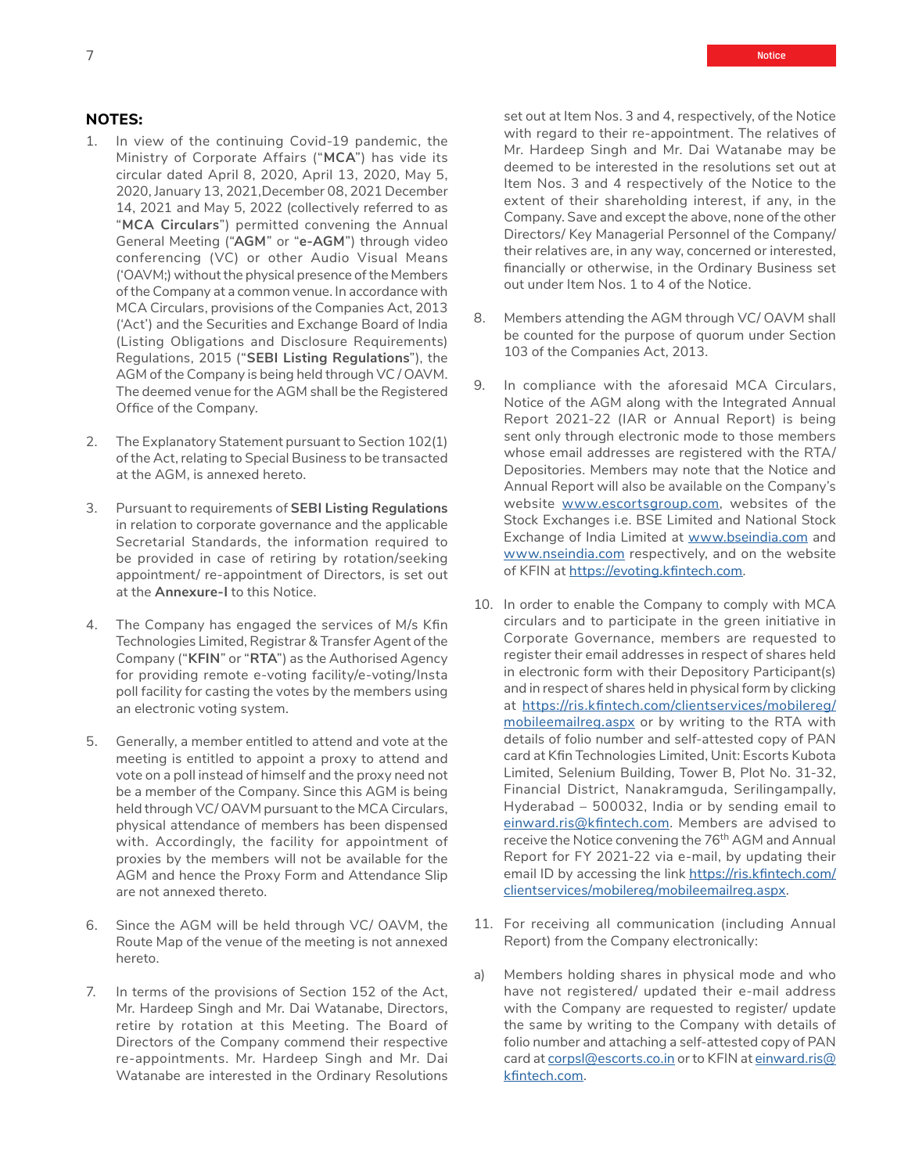## **NOTES:**

- 1. In view of the continuing Covid-19 pandemic, the Ministry of Corporate Affairs ("**MCA**") has vide its circular dated April 8, 2020, April 13, 2020, May 5, 2020, January 13, 2021,December 08, 2021 December 14, 2021 and May 5, 2022 (collectively referred to as "**MCA Circulars**") permitted convening the Annual General Meeting ("**AGM**" or "**e-AGM**") through video conferencing (VC) or other Audio Visual Means ('OAVM;) without the physical presence of the Members of the Company at a common venue. In accordance with MCA Circulars, provisions of the Companies Act, 2013 ('Act') and the Securities and Exchange Board of India (Listing Obligations and Disclosure Requirements) Regulations, 2015 ("**SEBI Listing Regulations**"), the AGM of the Company is being held through VC / OAVM. The deemed venue for the AGM shall be the Registered Office of the Company.
- 2. The Explanatory Statement pursuant to Section 102(1) of the Act, relating to Special Business to be transacted at the AGM, is annexed hereto.
- 3. Pursuant to requirements of **SEBI Listing Regulations** in relation to corporate governance and the applicable Secretarial Standards, the information required to be provided in case of retiring by rotation/seeking appointment/ re-appointment of Directors, is set out at the **Annexure-I** to this Notice.
- 4. The Company has engaged the services of M/s Kfin Technologies Limited, Registrar & Transfer Agent of the Company ("**KFIN**" or "**RTA**") as the Authorised Agency for providing remote e-voting facility/e-voting/Insta poll facility for casting the votes by the members using an electronic voting system.
- 5. Generally, a member entitled to attend and vote at the meeting is entitled to appoint a proxy to attend and vote on a poll instead of himself and the proxy need not be a member of the Company. Since this AGM is being held through VC/ OAVM pursuant to the MCA Circulars, physical attendance of members has been dispensed with. Accordingly, the facility for appointment of proxies by the members will not be available for the AGM and hence the Proxy Form and Attendance Slip are not annexed thereto.
- 6. Since the AGM will be held through VC/ OAVM, the Route Map of the venue of the meeting is not annexed hereto.
- 7. In terms of the provisions of Section 152 of the Act, Mr. Hardeep Singh and Mr. Dai Watanabe, Directors, retire by rotation at this Meeting. The Board of Directors of the Company commend their respective re-appointments. Mr. Hardeep Singh and Mr. Dai Watanabe are interested in the Ordinary Resolutions

set out at Item Nos. 3 and 4, respectively, of the Notice with regard to their re-appointment. The relatives of Mr. Hardeep Singh and Mr. Dai Watanabe may be deemed to be interested in the resolutions set out at Item Nos. 3 and 4 respectively of the Notice to the extent of their shareholding interest, if any, in the Company. Save and except the above, none of the other Directors/ Key Managerial Personnel of the Company/ their relatives are, in any way, concerned or interested, financially or otherwise, in the Ordinary Business set out under Item Nos. 1 to 4 of the Notice.

- 8. Members attending the AGM through VC/ OAVM shall be counted for the purpose of quorum under Section 103 of the Companies Act, 2013.
- 9. In compliance with the aforesaid MCA Circulars, Notice of the AGM along with the Integrated Annual Report 2021-22 (IAR or Annual Report) is being sent only through electronic mode to those members whose email addresses are registered with the RTA/ Depositories. Members may note that the Notice and Annual Report will also be available on the Company's website [www.escortsgroup.com,](http://www.escortsgroup.com) websites of the Stock Exchanges i.e. BSE Limited and National Stock Exchange of India Limited at [www.bseindia.com](http://www.bseindia.com) and [www.nseindia.com](http://www.nseindia.com) respectively, and on the website of KFIN at <https://evoting.kfintech.com>.
- 10. In order to enable the Company to comply with MCA circulars and to participate in the green initiative in Corporate Governance, members are requested to register their email addresses in respect of shares held in electronic form with their Depository Participant(s) and in respect of shares held in physical form by clicking at [https://ris.kfintech.com/clientservices/mobilereg/](https://ris.kfintech.com/clientservices/mobilereg/mobileemailreg.aspx) [mobileemailreg.aspx](https://ris.kfintech.com/clientservices/mobilereg/mobileemailreg.aspx) or by writing to the RTA with details of folio number and self-attested copy of PAN card at Kfin Technologies Limited, Unit: Escorts Kubota Limited, Selenium Building, Tower B, Plot No. 31-32, Financial District, Nanakramguda, Serilingampally, Hyderabad – 500032, India or by sending email to [einward.ris@kfintech.com.](mailto:einward.ris%40kfintech.com?subject=) Members are advised to receive the Notice convening the 76<sup>th</sup> AGM and Annual Report for FY 2021-22 via e-mail, by updating their email ID by accessing the link [https://ris.kfintech.com/](https://ris.kfintech.com/clientservices/mobilereg/mobileemailreg.aspx) [clientservices/mobilereg/mobileemailreg.aspx](https://ris.kfintech.com/clientservices/mobilereg/mobileemailreg.aspx).
- 11. For receiving all communication (including Annual Report) from the Company electronically:
- a) Members holding shares in physical mode and who have not registered/ updated their e-mail address with the Company are requested to register/ update the same by writing to the Company with details of folio number and attaching a self-attested copy of PAN card at [corpsl@escorts.co.in](http://corpsl@escorts.co.in) or to KFIN at [einward.ris@](http://einward.ris@kfintech.com) [kfintech.com](http://einward.ris@kfintech.com).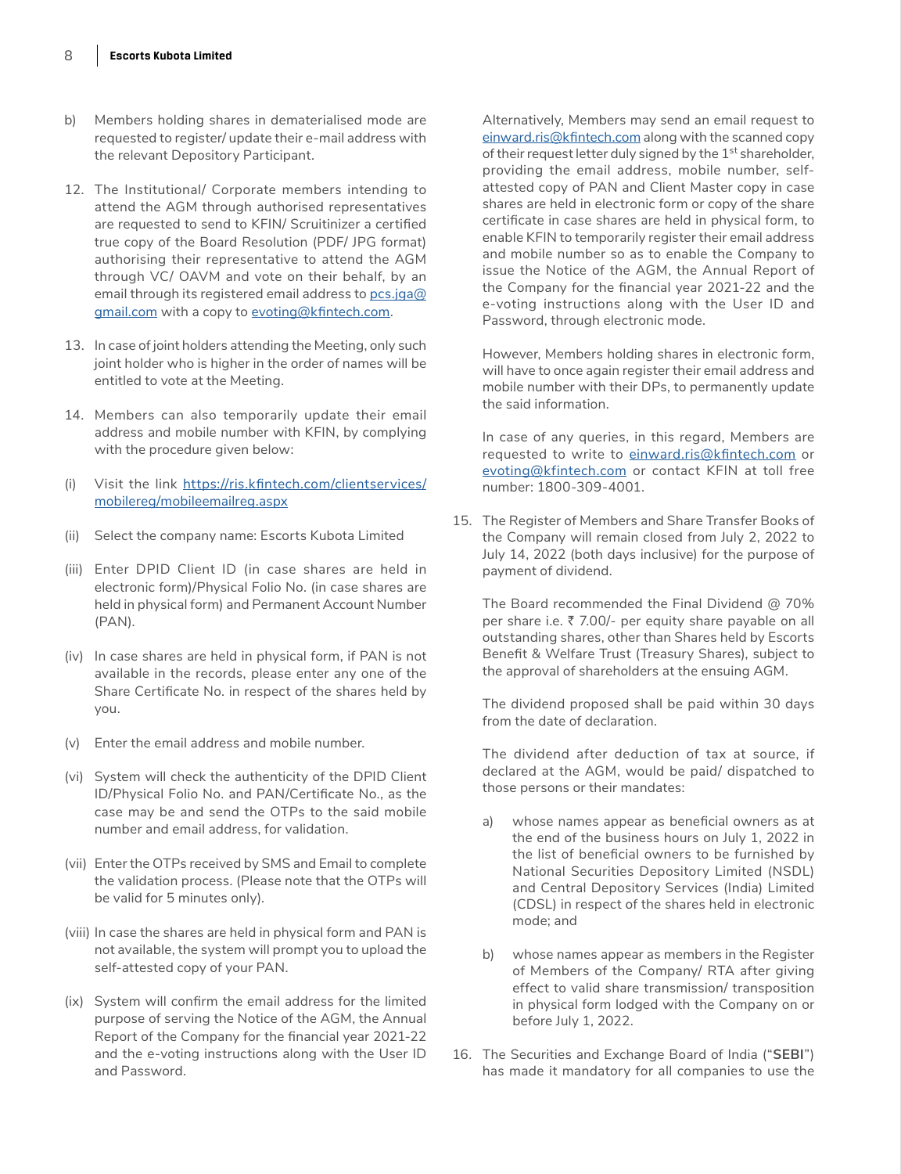- b) Members holding shares in dematerialised mode are requested to register/ update their e-mail address with the relevant Depository Participant.
- 12. The Institutional/ Corporate members intending to attend the AGM through authorised representatives are requested to send to KFIN/ Scruitinizer a certified true copy of the Board Resolution (PDF/ JPG format) authorising their representative to attend the AGM through VC/ OAVM and vote on their behalf, by an email through its registered email address to [pcs.jga@](mailto:pcs.jga%40gmail.com?subject=) [gmail.com](mailto:pcs.jga%40gmail.com?subject=) with a copy to [evoting@kfintech.com](http://evoting@kfintech.com).
- 13. In case of joint holders attending the Meeting, only such joint holder who is higher in the order of names will be entitled to vote at the Meeting.
- 14. Members can also temporarily update their email address and mobile number with KFIN, by complying with the procedure given below:
- (i) Visit the link [https://ris.kfintech.com/clientservices/](https://ris.kfintech.com/clientservices/mobilereg/mobileemailreg.aspx) [mobilereg/mobileemailreg.aspx](https://ris.kfintech.com/clientservices/mobilereg/mobileemailreg.aspx)
- (ii) Select the company name: Escorts Kubota Limited
- (iii) Enter DPID Client ID (in case shares are held in electronic form)/Physical Folio No. (in case shares are held in physical form) and Permanent Account Number (PAN).
- (iv) In case shares are held in physical form, if PAN is not available in the records, please enter any one of the Share Certificate No. in respect of the shares held by you.
- (v) Enter the email address and mobile number.
- (vi) System will check the authenticity of the DPID Client ID/Physical Folio No. and PAN/Certificate No., as the case may be and send the OTPs to the said mobile number and email address, for validation.
- (vii) Enter the OTPs received by SMS and Email to complete the validation process. (Please note that the OTPs will be valid for 5 minutes only).
- (viii) In case the shares are held in physical form and PAN is not available, the system will prompt you to upload the self-attested copy of your PAN.
- (ix) System will confirm the email address for the limited purpose of serving the Notice of the AGM, the Annual Report of the Company for the financial year 2021-22 and the e-voting instructions along with the User ID and Password.

Alternatively, Members may send an email request to [einward.ris@kfintech.com](mailto:einward.ris%40kfintech.com?subject=) along with the scanned copy of their request letter duly signed by the  $1<sup>st</sup>$  shareholder, providing the email address, mobile number, selfattested copy of PAN and Client Master copy in case shares are held in electronic form or copy of the share certificate in case shares are held in physical form, to enable KFIN to temporarily register their email address and mobile number so as to enable the Company to issue the Notice of the AGM, the Annual Report of the Company for the financial year 2021-22 and the e-voting instructions along with the User ID and Password, through electronic mode.

However, Members holding shares in electronic form, will have to once again register their email address and mobile number with their DPs, to permanently update the said information.

In case of any queries, in this regard, Members are requested to write to [einward.ris@kfintech.com](mailto:einward.ris%40kfintech.com?subject=) or [evoting@kfintech.com](mailto:evoting%40kfintech.com?subject=) or contact KFIN at toll free number: 1800-309-4001.

15. The Register of Members and Share Transfer Books of the Company will remain closed from July 2, 2022 to July 14, 2022 (both days inclusive) for the purpose of payment of dividend.

The Board recommended the Final Dividend @ 70% per share i.e.  $\bar{z}$  7.00/- per equity share payable on all outstanding shares, other than Shares held by Escorts Benefit & Welfare Trust (Treasury Shares), subject to the approval of shareholders at the ensuing AGM.

The dividend proposed shall be paid within 30 days from the date of declaration.

The dividend after deduction of tax at source, if declared at the AGM, would be paid/ dispatched to those persons or their mandates:

- a) whose names appear as beneficial owners as at the end of the business hours on July 1, 2022 in the list of beneficial owners to be furnished by National Securities Depository Limited (NSDL) and Central Depository Services (India) Limited (CDSL) in respect of the shares held in electronic mode; and
- b) whose names appear as members in the Register of Members of the Company/ RTA after giving effect to valid share transmission/ transposition in physical form lodged with the Company on or before July 1, 2022.
- 16. The Securities and Exchange Board of India ("**SEBI**") has made it mandatory for all companies to use the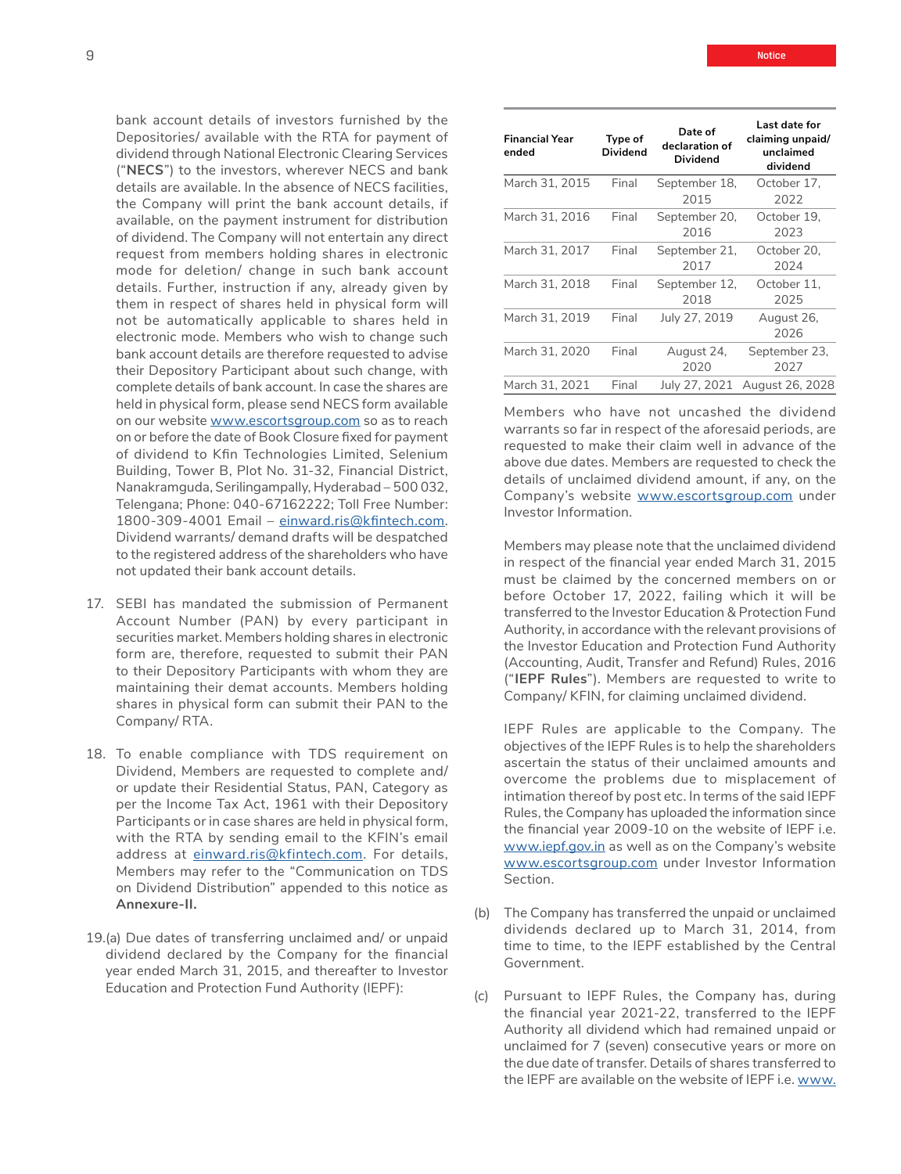bank account details of investors furnished by the Depositories/ available with the RTA for payment of dividend through National Electronic Clearing Services ("**NECS**") to the investors, wherever NECS and bank details are available. In the absence of NECS facilities, the Company will print the bank account details, if available, on the payment instrument for distribution of dividend. The Company will not entertain any direct request from members holding shares in electronic mode for deletion/ change in such bank account details. Further, instruction if any, already given by them in respect of shares held in physical form will not be automatically applicable to shares held in electronic mode. Members who wish to change such bank account details are therefore requested to advise their Depository Participant about such change, with complete details of bank account. In case the shares are held in physical form, please send NECS form available on our website [www.escortsgroup.com](http://www.escortsgroup.com) so as to reach on or before the date of Book Closure fixed for payment of dividend to Kfin Technologies Limited, Selenium Building, Tower B, Plot No. 31-32, Financial District, Nanakramguda, Serilingampally, Hyderabad – 500 032, Telengana; Phone: 040-67162222; Toll Free Number: 1800-309-4001 Email – [einward.ris@kfintech.com](mailto:einward.ris%40kfintech.com?subject=). Dividend warrants/ demand drafts will be despatched to the registered address of the shareholders who have not updated their bank account details.

- 17. SEBI has mandated the submission of Permanent Account Number (PAN) by every participant in securities market. Members holding shares in electronic form are, therefore, requested to submit their PAN to their Depository Participants with whom they are maintaining their demat accounts. Members holding shares in physical form can submit their PAN to the Company/ RTA.
- 18. To enable compliance with TDS requirement on Dividend, Members are requested to complete and/ or update their Residential Status, PAN, Category as per the Income Tax Act, 1961 with their Depository Participants or in case shares are held in physical form, with the RTA by sending email to the KFIN's email address at [einward.ris@kfintech.com.](mailto:einward.ris%40kfintech.com?subject=) For details, Members may refer to the "Communication on TDS on Dividend Distribution" appended to this notice as **Annexure-II.**
- 19.(a) Due dates of transferring unclaimed and/ or unpaid dividend declared by the Company for the financial year ended March 31, 2015, and thereafter to Investor Education and Protection Fund Authority (IEPF):

| <b>Financial Year</b><br>ended | Type of<br>Dividend | Date of<br>declaration of<br>Dividend | Last date for<br>claiming unpaid/<br>unclaimed<br>dividend |
|--------------------------------|---------------------|---------------------------------------|------------------------------------------------------------|
| March 31, 2015                 | Final               | September 18,<br>2015                 | October 17.<br>2022                                        |
| March 31, 2016                 | Final               | September 20,<br>2016                 | October 19.<br>2023                                        |
| March 31, 2017                 | Final               | September 21,<br>2017                 | October 20.<br>2024                                        |
| March 31, 2018                 | Final               | September 12,<br>2018                 | October 11.<br>2025                                        |
| March 31, 2019                 | Final               | July 27, 2019                         | August 26,<br>2026                                         |
| March 31. 2020                 | Final               | August 24,<br>2020                    | September 23,<br>2027                                      |
| March 31. 2021                 | Final               | July 27, 2021                         | August 26, 2028                                            |

Members who have not uncashed the dividend warrants so far in respect of the aforesaid periods, are requested to make their claim well in advance of the above due dates. Members are requested to check the details of unclaimed dividend amount, if any, on the Company's website [www.escortsgroup.com](http://www.escortsgroup.com) under Investor Information.

Members may please note that the unclaimed dividend in respect of the financial year ended March 31, 2015 must be claimed by the concerned members on or before October 17, 2022, failing which it will be transferred to the Investor Education & Protection Fund Authority, in accordance with the relevant provisions of the Investor Education and Protection Fund Authority (Accounting, Audit, Transfer and Refund) Rules, 2016 ("**IEPF Rules**"). Members are requested to write to Company/ KFIN, for claiming unclaimed dividend.

IEPF Rules are applicable to the Company. The objectives of the IEPF Rules is to help the shareholders ascertain the status of their unclaimed amounts and overcome the problems due to misplacement of intimation thereof by post etc. In terms of the said IEPF Rules, the Company has uploaded the information since the financial year 2009-10 on the website of IEPF i.e. [www.iepf.gov.in](http://www.iepf.gov.in) as well as on the Company's website [www.escortsgroup.com](http://www.escortsgroup.com) under Investor Information Section.

- (b) The Company has transferred the unpaid or unclaimed dividends declared up to March 31, 2014, from time to time, to the IEPF established by the Central Government.
- (c) Pursuant to IEPF Rules, the Company has, during the financial year 2021-22, transferred to the IEPF Authority all dividend which had remained unpaid or unclaimed for 7 (seven) consecutive years or more on the due date of transfer. Details of shares transferred to the IEPF are available on the website of IEPF i.e. [www.](http://www.iepf.gov.in)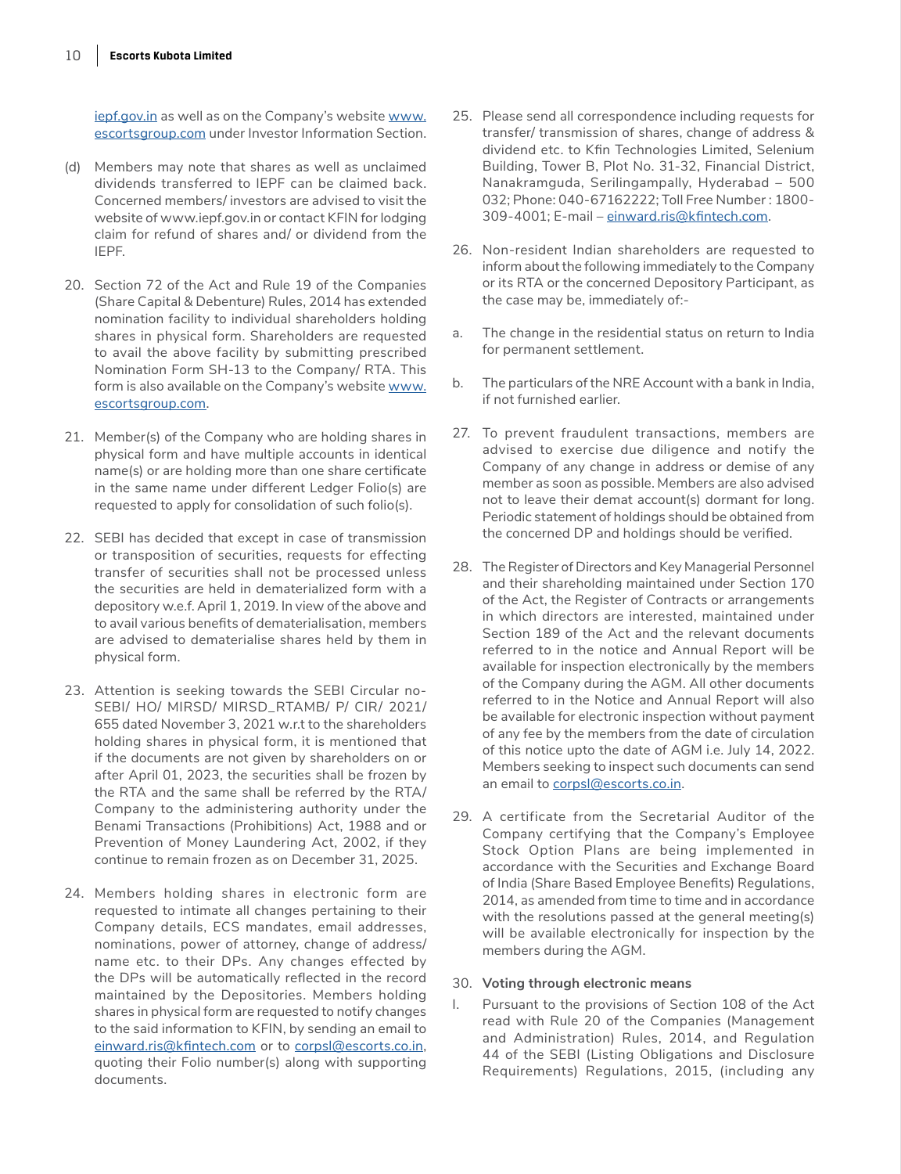[iepf.gov.in](http://www.iepf.gov.in) as well as on the Company's website [www.](http://www.escortsgroup.com) [escortsgroup.com](http://www.escortsgroup.com) under Investor Information Section.

- (d) Members may note that shares as well as unclaimed dividends transferred to IEPF can be claimed back. Concerned members/ investors are advised to visit the website of www.iepf.gov.in or contact KFIN for lodging claim for refund of shares and/ or dividend from the IEPF.
- 20. Section 72 of the Act and Rule 19 of the Companies (Share Capital & Debenture) Rules, 2014 has extended nomination facility to individual shareholders holding shares in physical form. Shareholders are requested to avail the above facility by submitting prescribed Nomination Form SH-13 to the Company/ RTA. This form is also available on the Company's website [www.](http://www.escortsgroup.com) [escortsgroup.com](http://www.escortsgroup.com).
- 21. Member(s) of the Company who are holding shares in physical form and have multiple accounts in identical name(s) or are holding more than one share certificate in the same name under different Ledger Folio(s) are requested to apply for consolidation of such folio(s).
- 22. SEBI has decided that except in case of transmission or transposition of securities, requests for effecting transfer of securities shall not be processed unless the securities are held in dematerialized form with a depository w.e.f. April 1, 2019. In view of the above and to avail various benefits of dematerialisation, members are advised to dematerialise shares held by them in physical form.
- 23. Attention is seeking towards the SEBI Circular no-SEBI/ HO/ MIRSD/ MIRSD\_RTAMB/ P/ CIR/ 2021/ 655 dated November 3, 2021 w.r.t to the shareholders holding shares in physical form, it is mentioned that if the documents are not given by shareholders on or after April 01, 2023, the securities shall be frozen by the RTA and the same shall be referred by the RTA/ Company to the administering authority under the Benami Transactions (Prohibitions) Act, 1988 and or Prevention of Money Laundering Act, 2002, if they continue to remain frozen as on December 31, 2025.
- 24. Members holding shares in electronic form are requested to intimate all changes pertaining to their Company details, ECS mandates, email addresses, nominations, power of attorney, change of address/ name etc. to their DPs. Any changes effected by the DPs will be automatically reflected in the record maintained by the Depositories. Members holding shares in physical form are requested to notify changes to the said information to KFIN, by sending an email to [einward.ris@kfintech.com](http://einward.ris@kfintech.com) or to [corpsl@escorts.co.in](http://corpsl@escorts.co.in), quoting their Folio number(s) along with supporting documents.
- 25. Please send all correspondence including requests for transfer/ transmission of shares, change of address & dividend etc. to Kfin Technologies Limited, Selenium Building, Tower B, Plot No. 31-32, Financial District, Nanakramguda, Serilingampally, Hyderabad – 500 032; Phone: 040-67162222; Toll Free Number : 1800- 309-4001; E-mail – [einward.ris@kfintech.com](mailto:einward.ris%40kfintech.com?subject=).
- 26. Non-resident Indian shareholders are requested to inform about the following immediately to the Company or its RTA or the concerned Depository Participant, as the case may be, immediately of:-
- a. The change in the residential status on return to India for permanent settlement.
- b. The particulars of the NRE Account with a bank in India, if not furnished earlier.
- 27. To prevent fraudulent transactions, members are advised to exercise due diligence and notify the Company of any change in address or demise of any member as soon as possible. Members are also advised not to leave their demat account(s) dormant for long. Periodic statement of holdings should be obtained from the concerned DP and holdings should be verified.
- 28. The Register of Directors and Key Managerial Personnel and their shareholding maintained under Section 170 of the Act, the Register of Contracts or arrangements in which directors are interested, maintained under Section 189 of the Act and the relevant documents referred to in the notice and Annual Report will be available for inspection electronically by the members of the Company during the AGM. All other documents referred to in the Notice and Annual Report will also be available for electronic inspection without payment of any fee by the members from the date of circulation of this notice upto the date of AGM i.e. July 14, 2022. Members seeking to inspect such documents can send an email to [corpsl@escorts.co.in](http://corpsl@escorts.co.in).
- 29. A certificate from the Secretarial Auditor of the Company certifying that the Company's Employee Stock Option Plans are being implemented in accordance with the Securities and Exchange Board of India (Share Based Employee Benefits) Regulations, 2014, as amended from time to time and in accordance with the resolutions passed at the general meeting(s) will be available electronically for inspection by the members during the AGM.

#### 30. **Voting through electronic means**

I. Pursuant to the provisions of Section 108 of the Act read with Rule 20 of the Companies (Management and Administration) Rules, 2014, and Regulation 44 of the SEBI (Listing Obligations and Disclosure Requirements) Regulations, 2015, (including any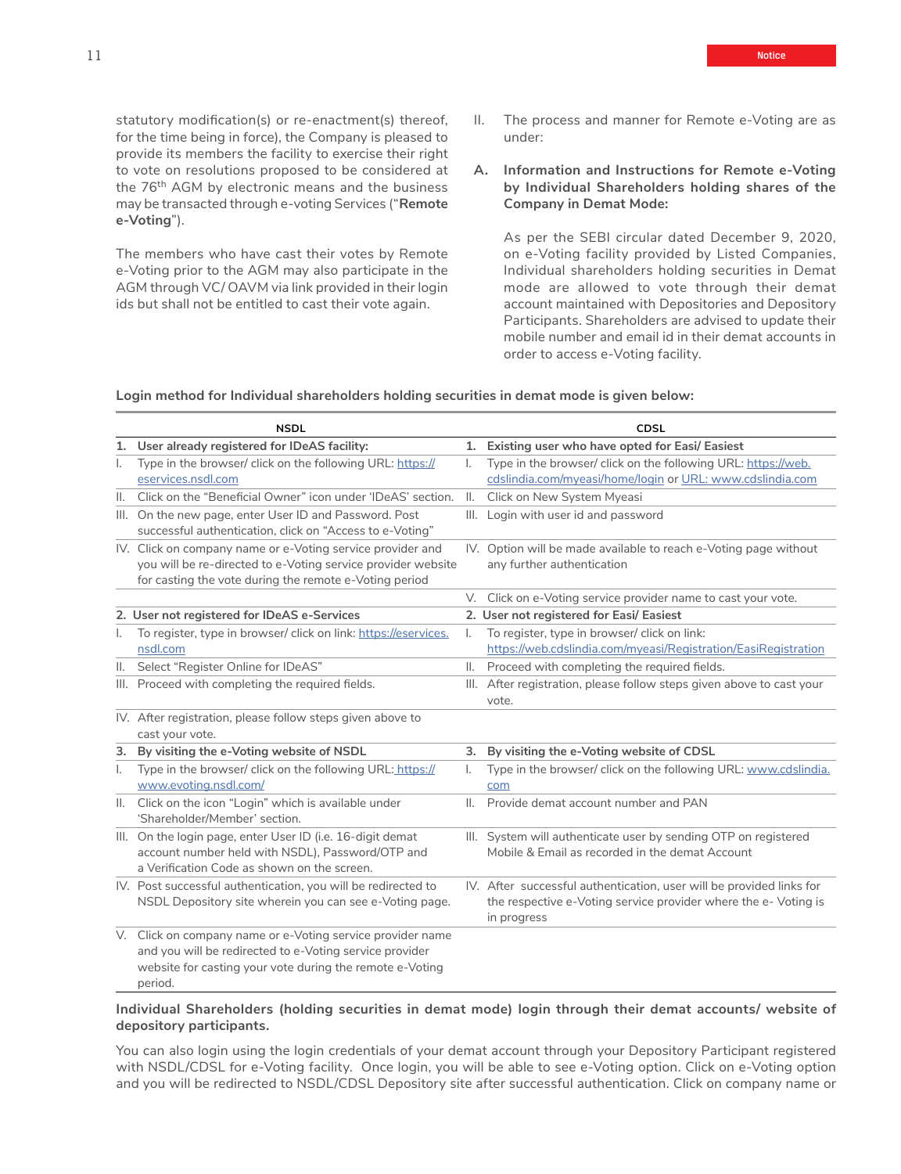statutory modification(s) or re-enactment(s) thereof, for the time being in force), the Company is pleased to provide its members the facility to exercise their right to vote on resolutions proposed to be considered at the 76<sup>th</sup> AGM by electronic means and the business may be transacted through e-voting Services ("**Remote e-Voting**").

The members who have cast their votes by Remote e-Voting prior to the AGM may also participate in the AGM through VC/ OAVM via link provided in their login ids but shall not be entitled to cast their vote again.

- II. The process and manner for Remote e-Voting are as under:
- **A. Information and Instructions for Remote e-Voting by Individual Shareholders holding shares of the Company in Demat Mode:**

As per the SEBI circular dated December 9, 2020, on e-Voting facility provided by Listed Companies, Individual shareholders holding securities in Demat mode are allowed to vote through their demat account maintained with Depositories and Depository Participants. Shareholders are advised to update their mobile number and email id in their demat accounts in order to access e-Voting facility.

**Login method for Individual shareholders holding securities in demat mode is given below:**

|                | <b>NSDL</b>                                                                                                                                                                                  |                | CDSL                                                                                                                                                  |
|----------------|----------------------------------------------------------------------------------------------------------------------------------------------------------------------------------------------|----------------|-------------------------------------------------------------------------------------------------------------------------------------------------------|
|                | 1. User already registered for IDeAS facility:                                                                                                                                               |                | 1. Existing user who have opted for Easi/ Easiest                                                                                                     |
| ı.             | Type in the browser/ click on the following URL: https://<br>eservices.nsdl.com                                                                                                              | I.             | Type in the browser/ click on the following URL: https://web.<br>cdslindia.com/myeasi/home/login or URL: www.cdslindia.com                            |
| $\mathbb{I}$ . | Click on the "Beneficial Owner" icon under 'IDeAS' section.                                                                                                                                  | $\mathbb{I}$ . | Click on New System Myeasi                                                                                                                            |
|                | III. On the new page, enter User ID and Password. Post<br>successful authentication, click on "Access to e-Voting"                                                                           |                | III. Login with user id and password                                                                                                                  |
|                | IV. Click on company name or e-Voting service provider and<br>you will be re-directed to e-Voting service provider website<br>for casting the vote during the remote e-Voting period         |                | IV. Option will be made available to reach e-Voting page without<br>any further authentication                                                        |
|                |                                                                                                                                                                                              | V.             | Click on e-Voting service provider name to cast your vote.                                                                                            |
|                | 2. User not registered for IDeAS e-Services                                                                                                                                                  |                | 2. User not registered for Easi/ Easiest                                                                                                              |
| ı.             | To register, type in browser/ click on link: https://eservices.<br>nsdl.com                                                                                                                  | ı.             | To register, type in browser/ click on link:<br>https://web.cdslindia.com/myeasi/Registration/EasiRegistration                                        |
| Ш.             | Select "Register Online for IDeAS"                                                                                                                                                           | II.            | Proceed with completing the required fields.                                                                                                          |
|                | III. Proceed with completing the required fields.                                                                                                                                            |                | III. After registration, please follow steps given above to cast your<br>vote.                                                                        |
|                | IV. After registration, please follow steps given above to<br>cast your vote.                                                                                                                |                |                                                                                                                                                       |
| 3.             | By visiting the e-Voting website of NSDL                                                                                                                                                     | 3.             | By visiting the e-Voting website of CDSL                                                                                                              |
| I.             | Type in the browser/ click on the following URL: https://<br>www.evoting.nsdl.com/                                                                                                           | I.             | Type in the browser/ click on the following URL: www.cdslindia.<br>com                                                                                |
| II.            | Click on the icon "Login" which is available under<br>'Shareholder/Member' section.                                                                                                          | Ш.             | Provide demat account number and PAN                                                                                                                  |
|                | III. On the login page, enter User ID (i.e. 16-digit demat<br>account number held with NSDL), Password/OTP and<br>a Verification Code as shown on the screen.                                |                | III. System will authenticate user by sending OTP on registered<br>Mobile & Email as recorded in the demat Account                                    |
|                | IV. Post successful authentication, you will be redirected to<br>NSDL Depository site wherein you can see e-Voting page.                                                                     |                | IV. After successful authentication, user will be provided links for<br>the respective e-Voting service provider where the e-Voting is<br>in progress |
|                | V. Click on company name or e-Voting service provider name<br>and you will be redirected to e-Voting service provider<br>website for casting your vote during the remote e-Voting<br>period. |                |                                                                                                                                                       |

#### **Individual Shareholders (holding securities in demat mode) login through their demat accounts/ website of depository participants.**

You can also login using the login credentials of your demat account through your Depository Participant registered with NSDL/CDSL for e-Voting facility. Once login, you will be able to see e-Voting option. Click on e-Voting option and you will be redirected to NSDL/CDSL Depository site after successful authentication. Click on company name or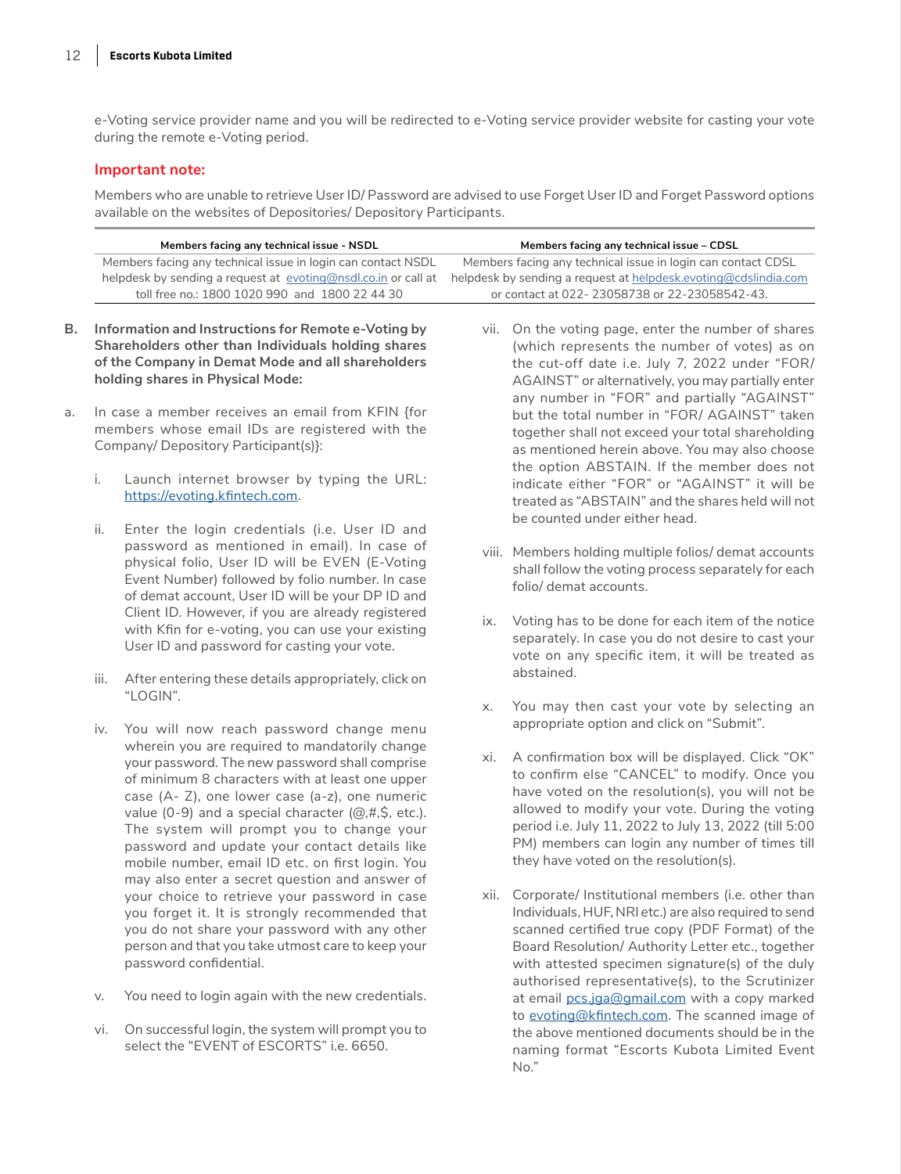e-Voting service provider name and you will be redirected to e-Voting service provider website for casting your vote during the remote e-Voting period.

#### **Important note:**

Members who are unable to retrieve User ID/ Password are advised to use Forget User ID and Forget Password options available on the websites of Depositories/ Depository Participants.

|    | Members facing any technical issue - NSDL                      | Members facing any technical issue - CDSL                        |
|----|----------------------------------------------------------------|------------------------------------------------------------------|
|    | Members facing any technical issue in login can contact NSDL   | Members facing any technical issue in login can contact CDSL     |
|    | helpdesk by sending a request at evoting@nsdl.co.in or call at | helpdesk by sending a request at helpdesk, evoting@cdslindia.com |
|    | toll free no.: 1800 1020 990 and 1800 22 44 30                 | or contact at 022-23058738 or 22-23058542-43.                    |
|    |                                                                |                                                                  |
| В. | Information and Instructions for Remote e-Voting by            | vii. On the voting page, enter the number of shares              |
|    | Shareholders other than Individuals holding shares             | (which represents the number of votes) as on                     |
|    | of the Company in Demat Mode and all shareholders              | the cut-off date i.e. July 7, 2022 under "FOR/                   |
|    | holding shares in Physical Mode:                               | AGAINST" or alternatively, you may partially enter               |

- a. In case a member receives an email from KFIN {for members whose email IDs are registered with the Company/ Depository Participant(s)}:
	- i. Launch internet browser by typing the URL: <https://evoting.kfintech.com>.
	- ii. Enter the login credentials (i.e. User ID and password as mentioned in email). In case of physical folio, User ID will be EVEN (E-Voting Event Number) followed by folio number. In case of demat account, User ID will be your DP ID and Client ID. However, if you are already registered with Kfin for e-voting, you can use your existing User ID and password for casting your vote.
	- iii. After entering these details appropriately, click on "LOGIN".
	- iv. You will now reach password change menu wherein you are required to mandatorily change your password. The new password shall comprise of minimum 8 characters with at least one upper case (A- Z), one lower case (a-z), one numeric value (0-9) and a special character  $(@, #, \$, etc.).$ The system will prompt you to change your password and update your contact details like mobile number, email ID etc. on first login. You may also enter a secret question and answer of your choice to retrieve your password in case you forget it. It is strongly recommended that you do not share your password with any other person and that you take utmost care to keep your password confidential.
	- v. You need to login again with the new credentials.
	- vi. On successful login, the system will prompt you to select the "EVENT of ESCORTS" i.e. 6650.
- (which represents the number of votes) as on the cut-off date i.e. July 7, 2022 under "FOR/ AGAINST" or alternatively, you may partially enter any number in "FOR" and partially "AGAINST" but the total number in "FOR/ AGAINST" taken together shall not exceed your total shareholding as mentioned herein above. You may also choose the option ABSTAIN. If the member does not indicate either "FOR" or "AGAINST" it will be treated as "ABSTAIN" and the shares held will not be counted under either head.
- viii. Members holding multiple folios/ demat accounts shall follow the voting process separately for each folio/ demat accounts.
- ix. Voting has to be done for each item of the notice separately. In case you do not desire to cast your vote on any specific item, it will be treated as abstained.
- x. You may then cast your vote by selecting an appropriate option and click on "Submit".
- xi. A confirmation box will be displayed. Click "OK" to confirm else "CANCEL" to modify. Once you have voted on the resolution(s), you will not be allowed to modify your vote. During the voting period i.e. July 11, 2022 to July 13, 2022 (till 5:00 PM) members can login any number of times till they have voted on the resolution(s).
- xii. Corporate/ Institutional members (i.e. other than Individuals, HUF, NRI etc.) are also required to send scanned certified true copy (PDF Format) of the Board Resolution/ Authority Letter etc., together with attested specimen signature(s) of the duly authorised representative(s), to the Scrutinizer at email [pcs.jga@gmail.com](mailto:pcs.jga%40gmail.com?subject=) with a copy marked to [evoting@kfintech.com.](mailto:evoting%40kfintech.com?subject=) The scanned image of the above mentioned documents should be in the naming format "Escorts Kubota Limited Event No."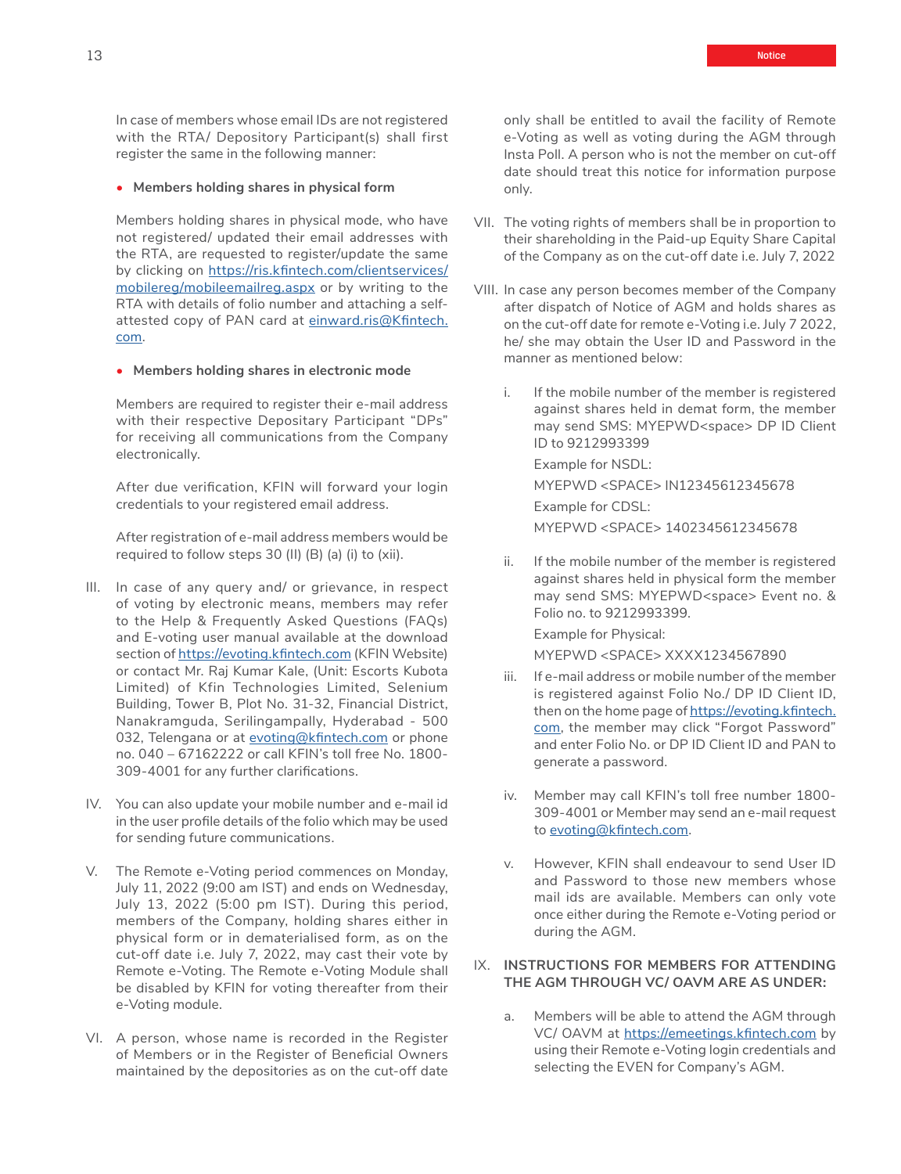In case of members whose email IDs are not registered with the RTA/ Depository Participant(s) shall first register the same in the following manner:

#### • **Members holding shares in physical form**

Members holding shares in physical mode, who have not registered/ updated their email addresses with the RTA, are requested to register/update the same by clicking on [https://ris.kfintech.com/clientservices/](https://ris.kfintech.com/clientservices/mobilereg/mobileemailreg.aspx) [mobilereg/mobileemailreg.aspx](https://ris.kfintech.com/clientservices/mobilereg/mobileemailreg.aspx) or by writing to the RTA with details of folio number and attaching a selfattested copy of PAN card at [einward.ris@Kfintech.](mailto:einward.ris%40Kfintech.com?subject=) [com](mailto:einward.ris%40Kfintech.com?subject=).

#### • **Members holding shares in electronic mode**

Members are required to register their e-mail address with their respective Depositary Participant "DPs" for receiving all communications from the Company electronically.

After due verification, KFIN will forward your login credentials to your registered email address.

After registration of e-mail address members would be required to follow steps 30 (II) (B) (a) (i) to (xii).

- III. In case of any query and/ or grievance, in respect of voting by electronic means, members may refer to the Help & Frequently Asked Questions (FAQs) and E-voting user manual available at the download section of<https://evoting.kfintech.com>(KFIN Website) or contact Mr. Raj Kumar Kale, (Unit: Escorts Kubota Limited) of Kfin Technologies Limited, Selenium Building, Tower B, Plot No. 31-32, Financial District, Nanakramguda, Serilingampally, Hyderabad - 500 032, Telengana or at [evoting@kfintech.com](http://evoting@kfintech.com) or phone no. 040 – 67162222 or call KFIN's toll free No. 1800- 309-4001 for any further clarifications.
- IV. You can also update your mobile number and e-mail id in the user profile details of the folio which may be used for sending future communications.
- V. The Remote e-Voting period commences on Monday, July 11, 2022 (9:00 am IST) and ends on Wednesday, July 13, 2022 (5:00 pm IST). During this period, members of the Company, holding shares either in physical form or in dematerialised form, as on the cut-off date i.e. July 7, 2022, may cast their vote by Remote e-Voting. The Remote e-Voting Module shall be disabled by KFIN for voting thereafter from their e-Voting module.
- VI. A person, whose name is recorded in the Register of Members or in the Register of Beneficial Owners maintained by the depositories as on the cut-off date

only shall be entitled to avail the facility of Remote e-Voting as well as voting during the AGM through Insta Poll. A person who is not the member on cut-off date should treat this notice for information purpose only.

- VII. The voting rights of members shall be in proportion to their shareholding in the Paid-up Equity Share Capital of the Company as on the cut-off date i.e. July 7, 2022
- VIII. In case any person becomes member of the Company after dispatch of Notice of AGM and holds shares as on the cut-off date for remote e-Voting i.e. July 7 2022, he/ she may obtain the User ID and Password in the manner as mentioned below:
	- i. If the mobile number of the member is registered against shares held in demat form, the member may send SMS: MYEPWD<space> DP ID Client ID to 9212993399

Example for NSDL:

MYEPWD <SPACE> IN12345612345678 Example for CDSL: MYEPWD <SPACE> 1402345612345678

ii. If the mobile number of the member is registered against shares held in physical form the member may send SMS: MYEPWD<space> Event no. & Folio no. to 9212993399.

Example for Physical: MYEPWD <SPACE> XXXX1234567890

- iii. If e-mail address or mobile number of the member is registered against Folio No./ DP ID Client ID, then on the home page of [https://evoting.kfintech.](https://evoting.kfintech.com) [com,](https://evoting.kfintech.com) the member may click "Forgot Password" and enter Folio No. or DP ID Client ID and PAN to generate a password.
- iv. Member may call KFIN's toll free number 1800- 309-4001 or Member may send an e-mail request to [evoting@kfintech.com](http://evoting@kfintech.com).
- v. However, KFIN shall endeavour to send User ID and Password to those new members whose mail ids are available. Members can only vote once either during the Remote e-Voting period or during the AGM.

#### IX. **INSTRUCTIONS FOR MEMBERS FOR ATTENDING THE AGM THROUGH VC/ OAVM ARE AS UNDER:**

a. Members will be able to attend the AGM through VC/ OAVM at <https://emeetings.kfintech.com>by using their Remote e-Voting login credentials and selecting the EVEN for Company's AGM.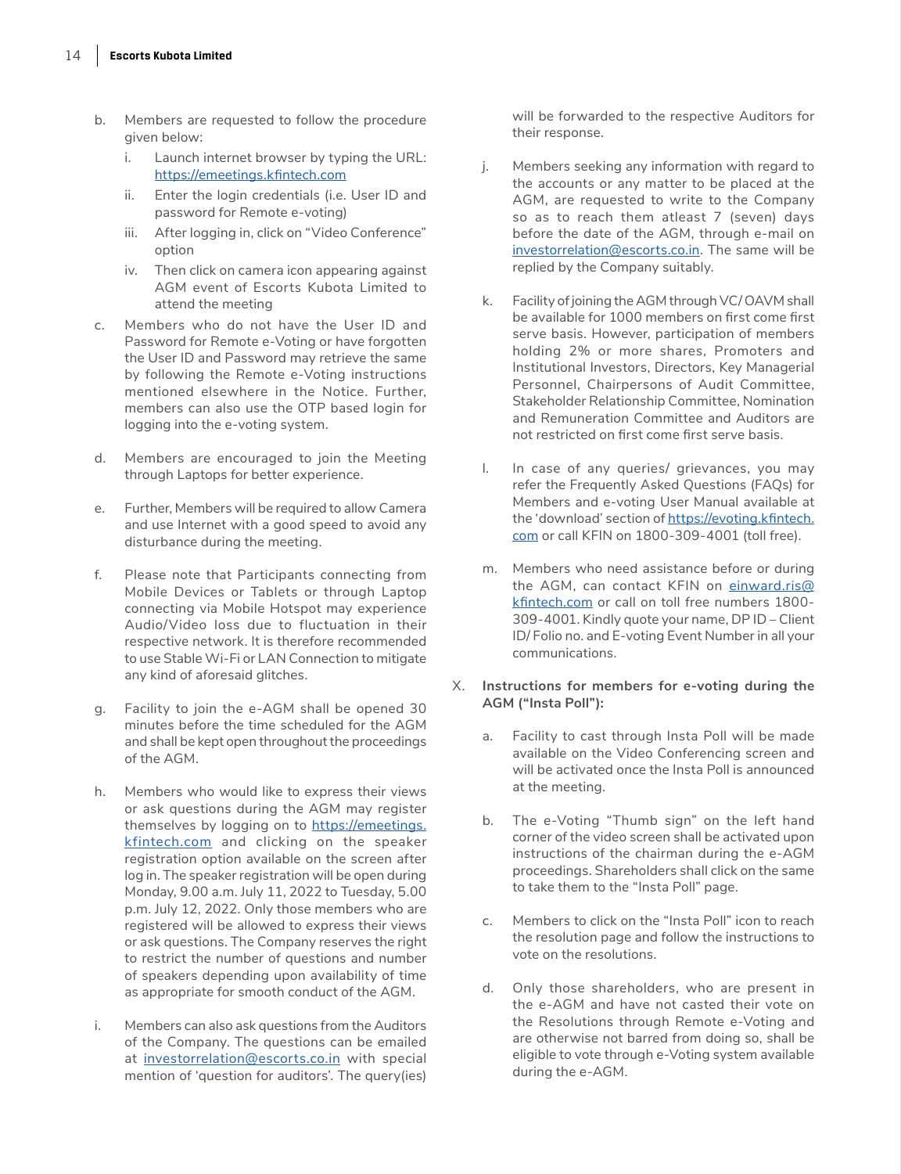- b. Members are requested to follow the procedure given below:
	- i. Launch internet browser by typing the URL: [https://emeetings.kfintech.com](https://emeetings.kfintech.com
)
	- ii. Enter the login credentials (i.e. User ID and password for Remote e-voting)
	- iii. After logging in, click on "Video Conference" option
	- iv. Then click on camera icon appearing against AGM event of Escorts Kubota Limited to attend the meeting
- c. Members who do not have the User ID and Password for Remote e-Voting or have forgotten the User ID and Password may retrieve the same by following the Remote e-Voting instructions mentioned elsewhere in the Notice. Further, members can also use the OTP based login for logging into the e-voting system.
- d. Members are encouraged to join the Meeting through Laptops for better experience.
- e. Further, Members will be required to allow Camera and use Internet with a good speed to avoid any disturbance during the meeting.
- f. Please note that Participants connecting from Mobile Devices or Tablets or through Laptop connecting via Mobile Hotspot may experience Audio/Video loss due to fluctuation in their respective network. It is therefore recommended to use Stable Wi-Fi or LAN Connection to mitigate any kind of aforesaid glitches.
- g. Facility to join the e-AGM shall be opened 30 minutes before the time scheduled for the AGM and shall be kept open throughout the proceedings of the AGM.
- h. Members who would like to express their views or ask questions during the AGM may register themselves by logging on to [https://emeetings.](https://emeetings.kfintech.com) [kfintech.com](https://emeetings.kfintech.com) and clicking on the speaker registration option available on the screen after log in. The speaker registration will be open during Monday, 9.00 a.m. July 11, 2022 to Tuesday, 5.00 p.m. July 12, 2022. Only those members who are registered will be allowed to express their views or ask questions. The Company reserves the right to restrict the number of questions and number of speakers depending upon availability of time as appropriate for smooth conduct of the AGM.
- i. Members can also ask questions from the Auditors of the Company. The questions can be emailed at [investorrelation@escorts.co.in](mailto:investorrelation%40escorts.co.in?subject=) with special mention of 'question for auditors'. The query(ies)

will be forwarded to the respective Auditors for their response.

- j. Members seeking any information with regard to the accounts or any matter to be placed at the AGM, are requested to write to the Company so as to reach them atleast 7 (seven) days before the date of the AGM, through e-mail on [investorrelation@escorts.co.in.](mailto:investorrelation%40escorts.co.in?subject=) The same will be replied by the Company suitably.
- k. Facility of joining the AGM through VC/ OAVM shall be available for 1000 members on first come first serve basis. However, participation of members holding 2% or more shares, Promoters and Institutional Investors, Directors, Key Managerial Personnel, Chairpersons of Audit Committee, Stakeholder Relationship Committee, Nomination and Remuneration Committee and Auditors are not restricted on first come first serve basis.
- l. In case of any queries/ grievances, you may refer the Frequently Asked Questions (FAQs) for Members and e-voting User Manual available at the 'download' section of [https://evoting.kfintech.](https://evoting.kfintech.com) [com](https://evoting.kfintech.com) or call KFIN on 1800-309-4001 (toll free).
- m. Members who need assistance before or during the AGM, can contact KFIN on [einward.ris@](http://einward.ris@kfintech.com) [kfintech.com](http://einward.ris@kfintech.com) or call on toll free numbers 1800- 309-4001. Kindly quote your name, DP ID – Client ID/ Folio no. and E-voting Event Number in all your communications.
- X. **Instructions for members for e-voting during the AGM ("Insta Poll"):**
	- a. Facility to cast through Insta Poll will be made available on the Video Conferencing screen and will be activated once the Insta Poll is announced at the meeting.
	- b. The e-Voting "Thumb sign" on the left hand corner of the video screen shall be activated upon instructions of the chairman during the e-AGM proceedings. Shareholders shall click on the same to take them to the "Insta Poll" page.
	- c. Members to click on the "Insta Poll" icon to reach the resolution page and follow the instructions to vote on the resolutions.
	- d. Only those shareholders, who are present in the e-AGM and have not casted their vote on the Resolutions through Remote e-Voting and are otherwise not barred from doing so, shall be eligible to vote through e-Voting system available during the e-AGM.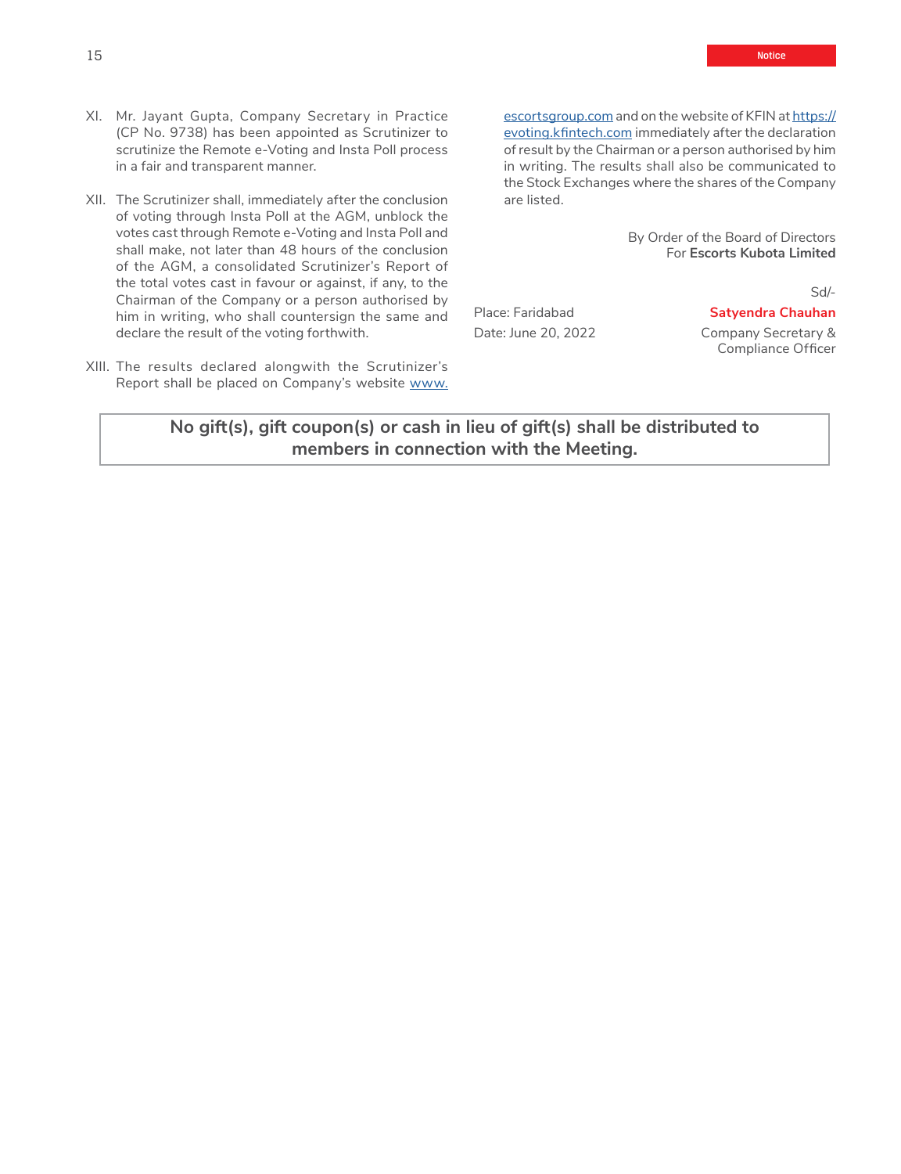- XI. Mr. Jayant Gupta, Company Secretary in Practice (CP No. 9738) has been appointed as Scrutinizer to scrutinize the Remote e-Voting and Insta Poll process in a fair and transparent manner.
- XII. The Scrutinizer shall, immediately after the conclusion of voting through Insta Poll at the AGM, unblock the votes cast through Remote e-Voting and Insta Poll and shall make, not later than 48 hours of the conclusion of the AGM, a consolidated Scrutinizer's Report of the total votes cast in favour or against, if any, to the Chairman of the Company or a person authorised by him in writing, who shall countersign the same and declare the result of the voting forthwith.
- XIII. The results declared alongwith the Scrutinizer's Report shall be placed on Company's website [www.](http://www.escortsgroup.com)

[escortsgroup.com](http://www.escortsgroup.com) and on the website of KFIN at [https://](https://evoting.kfintech.com) [evoting.kfintech.com](https://evoting.kfintech.com) immediately after the declaration of result by the Chairman or a person authorised by him in writing. The results shall also be communicated to the Stock Exchanges where the shares of the Company are listed.

> By Order of the Board of Directors For **Escorts Kubota Limited**

#### Sd/-

Place: Faridabad **Satyendra Chauhan** Date: June 20, 2022 Company Secretary &

Compliance Officer

## **No gift(s), gift coupon(s) or cash in lieu of gift(s) shall be distributed to members in connection with the Meeting.**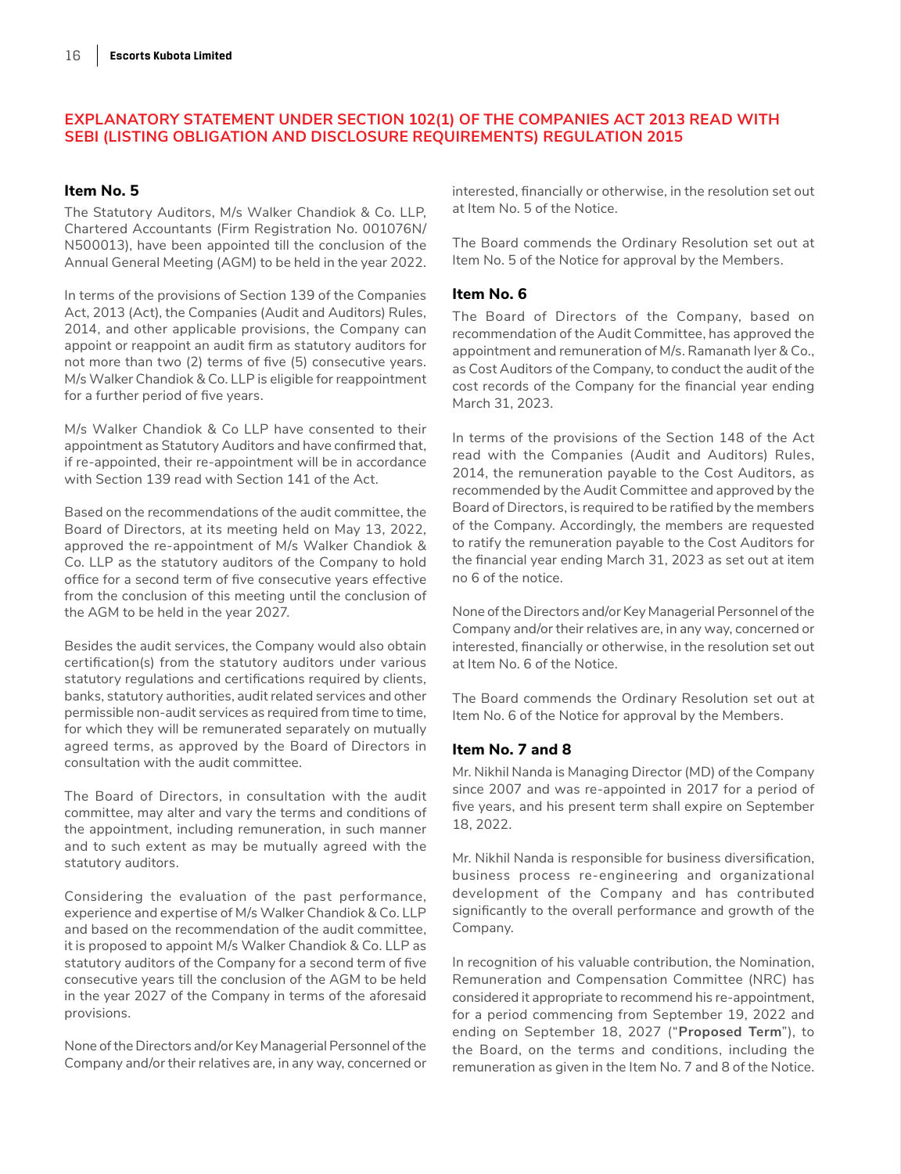## **EXPLANATORY STATEMENT UNDER SECTION 102(1) OF THE COMPANIES ACT 2013 READ WITH SEBI (LISTING OBLIGATION AND DISCLOSURE REQUIREMENTS) REGULATION 2015**

## **Item No. 5**

The Statutory Auditors, M/s Walker Chandiok & Co. LLP, Chartered Accountants (Firm Registration No. 001076N/ N500013), have been appointed till the conclusion of the Annual General Meeting (AGM) to be held in the year 2022.

In terms of the provisions of Section 139 of the Companies Act, 2013 (Act), the Companies (Audit and Auditors) Rules, 2014, and other applicable provisions, the Company can appoint or reappoint an audit firm as statutory auditors for not more than two (2) terms of five (5) consecutive years. M/s Walker Chandiok & Co. LLP is eligible for reappointment for a further period of five years.

M/s Walker Chandiok & Co LLP have consented to their appointment as Statutory Auditors and have confirmed that, if re-appointed, their re-appointment will be in accordance with Section 139 read with Section 141 of the Act.

Based on the recommendations of the audit committee, the Board of Directors, at its meeting held on May 13, 2022, approved the re-appointment of M/s Walker Chandiok & Co. LLP as the statutory auditors of the Company to hold office for a second term of five consecutive years effective from the conclusion of this meeting until the conclusion of the AGM to be held in the year 2027.

Besides the audit services, the Company would also obtain certification(s) from the statutory auditors under various statutory regulations and certifications required by clients, banks, statutory authorities, audit related services and other permissible non-audit services as required from time to time, for which they will be remunerated separately on mutually agreed terms, as approved by the Board of Directors in consultation with the audit committee.

The Board of Directors, in consultation with the audit committee, may alter and vary the terms and conditions of the appointment, including remuneration, in such manner and to such extent as may be mutually agreed with the statutory auditors.

Considering the evaluation of the past performance, experience and expertise of M/s Walker Chandiok & Co. LLP and based on the recommendation of the audit committee, it is proposed to appoint M/s Walker Chandiok & Co. LLP as statutory auditors of the Company for a second term of five consecutive years till the conclusion of the AGM to be held in the year 2027 of the Company in terms of the aforesaid provisions.

None of the Directors and/or Key Managerial Personnel of the Company and/or their relatives are, in any way, concerned or interested, financially or otherwise, in the resolution set out at Item No. 5 of the Notice.

The Board commends the Ordinary Resolution set out at Item No. 5 of the Notice for approval by the Members.

## **Item No. 6**

The Board of Directors of the Company, based on recommendation of the Audit Committee, has approved the appointment and remuneration of M/s. Ramanath Iyer & Co., as Cost Auditors of the Company, to conduct the audit of the cost records of the Company for the financial year ending March 31, 2023.

In terms of the provisions of the Section 148 of the Act read with the Companies (Audit and Auditors) Rules, 2014, the remuneration payable to the Cost Auditors, as recommended by the Audit Committee and approved by the Board of Directors, is required to be ratified by the members of the Company. Accordingly, the members are requested to ratify the remuneration payable to the Cost Auditors for the financial year ending March 31, 2023 as set out at item no 6 of the notice.

None of the Directors and/or Key Managerial Personnel of the Company and/or their relatives are, in any way, concerned or interested, financially or otherwise, in the resolution set out at Item No. 6 of the Notice.

The Board commends the Ordinary Resolution set out at Item No. 6 of the Notice for approval by the Members.

### **Item No. 7 and 8**

Mr. Nikhil Nanda is Managing Director (MD) of the Company since 2007 and was re-appointed in 2017 for a period of five years, and his present term shall expire on September 18, 2022.

Mr. Nikhil Nanda is responsible for business diversification, business process re-engineering and organizational development of the Company and has contributed significantly to the overall performance and growth of the Company.

In recognition of his valuable contribution, the Nomination, Remuneration and Compensation Committee (NRC) has considered it appropriate to recommend his re-appointment, for a period commencing from September 19, 2022 and ending on September 18, 2027 ("**Proposed Term**"), to the Board, on the terms and conditions, including the remuneration as given in the Item No. 7 and 8 of the Notice.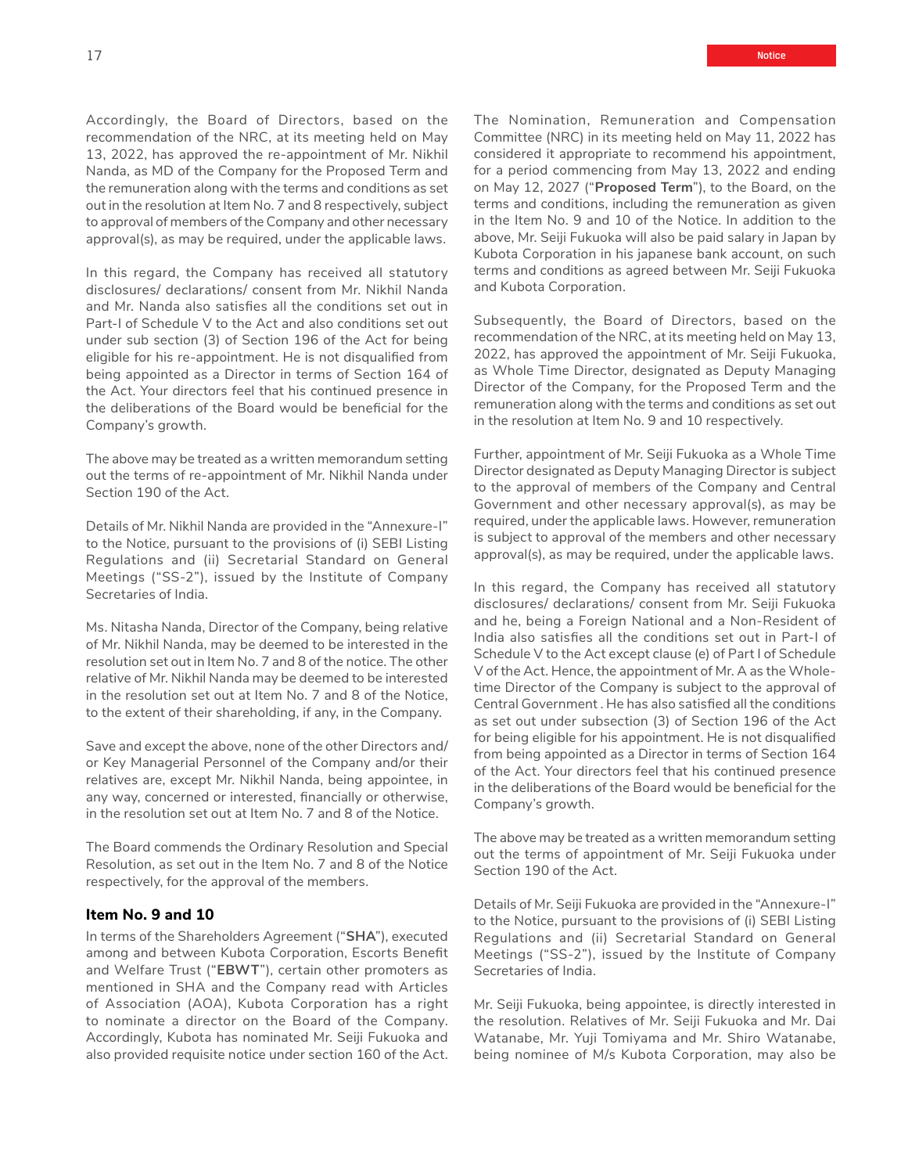Accordingly, the Board of Directors, based on the recommendation of the NRC, at its meeting held on May 13, 2022, has approved the re-appointment of Mr. Nikhil Nanda, as MD of the Company for the Proposed Term and the remuneration along with the terms and conditions as set out in the resolution at Item No. 7 and 8 respectively, subject to approval of members of the Company and other necessary approval(s), as may be required, under the applicable laws.

In this regard, the Company has received all statutory disclosures/ declarations/ consent from Mr. Nikhil Nanda and Mr. Nanda also satisfies all the conditions set out in Part-I of Schedule V to the Act and also conditions set out under sub section (3) of Section 196 of the Act for being eligible for his re-appointment. He is not disqualified from being appointed as a Director in terms of Section 164 of the Act. Your directors feel that his continued presence in the deliberations of the Board would be beneficial for the Company's growth.

The above may be treated as a written memorandum setting out the terms of re-appointment of Mr. Nikhil Nanda under Section 190 of the Act.

Details of Mr. Nikhil Nanda are provided in the "Annexure-I" to the Notice, pursuant to the provisions of (i) SEBI Listing Regulations and (ii) Secretarial Standard on General Meetings ("SS-2"), issued by the Institute of Company Secretaries of India.

Ms. Nitasha Nanda, Director of the Company, being relative of Mr. Nikhil Nanda, may be deemed to be interested in the resolution set out in Item No. 7 and 8 of the notice. The other relative of Mr. Nikhil Nanda may be deemed to be interested in the resolution set out at Item No. 7 and 8 of the Notice, to the extent of their shareholding, if any, in the Company.

Save and except the above, none of the other Directors and/ or Key Managerial Personnel of the Company and/or their relatives are, except Mr. Nikhil Nanda, being appointee, in any way, concerned or interested, financially or otherwise, in the resolution set out at Item No. 7 and 8 of the Notice.

The Board commends the Ordinary Resolution and Special Resolution, as set out in the Item No. 7 and 8 of the Notice respectively, for the approval of the members.

#### **Item No. 9 and 10**

In terms of the Shareholders Agreement ("**SHA**"), executed among and between Kubota Corporation, Escorts Benefit and Welfare Trust ("**EBWT**"), certain other promoters as mentioned in SHA and the Company read with Articles of Association (AOA), Kubota Corporation has a right to nominate a director on the Board of the Company. Accordingly, Kubota has nominated Mr. Seiji Fukuoka and also provided requisite notice under section 160 of the Act. The Nomination, Remuneration and Compensation Committee (NRC) in its meeting held on May 11, 2022 has considered it appropriate to recommend his appointment, for a period commencing from May 13, 2022 and ending on May 12, 2027 ("**Proposed Term**"), to the Board, on the terms and conditions, including the remuneration as given in the Item No. 9 and 10 of the Notice. In addition to the above, Mr. Seiji Fukuoka will also be paid salary in Japan by Kubota Corporation in his japanese bank account, on such terms and conditions as agreed between Mr. Seiji Fukuoka and Kubota Corporation.

Subsequently, the Board of Directors, based on the recommendation of the NRC, at its meeting held on May 13, 2022, has approved the appointment of Mr. Seiji Fukuoka, as Whole Time Director, designated as Deputy Managing Director of the Company, for the Proposed Term and the remuneration along with the terms and conditions as set out in the resolution at Item No. 9 and 10 respectively.

Further, appointment of Mr. Seiji Fukuoka as a Whole Time Director designated as Deputy Managing Director is subject to the approval of members of the Company and Central Government and other necessary approval(s), as may be required, under the applicable laws. However, remuneration is subject to approval of the members and other necessary approval(s), as may be required, under the applicable laws.

In this regard, the Company has received all statutory disclosures/ declarations/ consent from Mr. Seiji Fukuoka and he, being a Foreign National and a Non-Resident of India also satisfies all the conditions set out in Part-I of Schedule V to the Act except clause (e) of Part I of Schedule V of the Act. Hence, the appointment of Mr. A as the Wholetime Director of the Company is subject to the approval of Central Government . He has also satisfied all the conditions as set out under subsection (3) of Section 196 of the Act for being eligible for his appointment. He is not disqualified from being appointed as a Director in terms of Section 164 of the Act. Your directors feel that his continued presence in the deliberations of the Board would be beneficial for the Company's growth.

The above may be treated as a written memorandum setting out the terms of appointment of Mr. Seiji Fukuoka under Section 190 of the Act.

Details of Mr. Seiji Fukuoka are provided in the "Annexure-I" to the Notice, pursuant to the provisions of (i) SEBI Listing Regulations and (ii) Secretarial Standard on General Meetings ("SS-2"), issued by the Institute of Company Secretaries of India.

Mr. Seiji Fukuoka, being appointee, is directly interested in the resolution. Relatives of Mr. Seiji Fukuoka and Mr. Dai Watanabe, Mr. Yuji Tomiyama and Mr. Shiro Watanabe, being nominee of M/s Kubota Corporation, may also be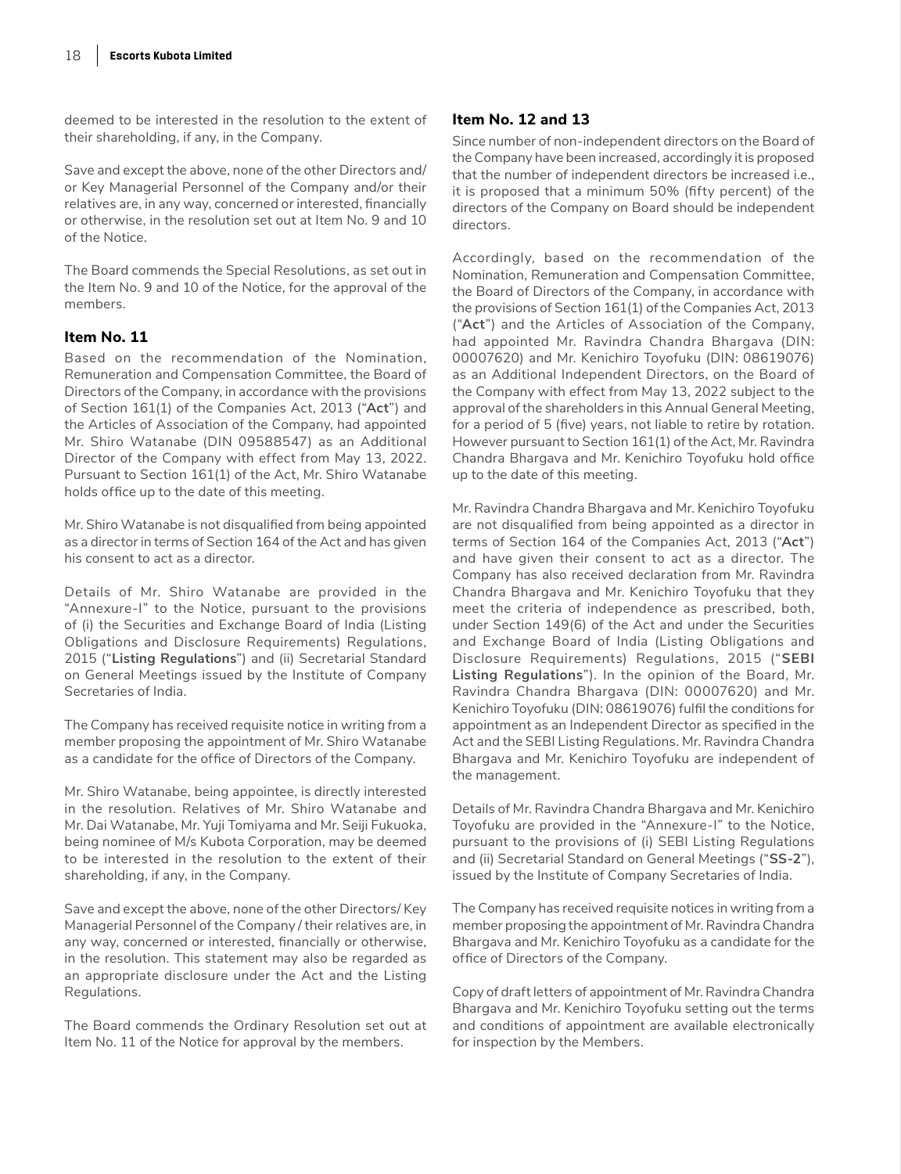deemed to be interested in the resolution to the extent of their shareholding, if any, in the Company.

Save and except the above, none of the other Directors and/ or Key Managerial Personnel of the Company and/or their relatives are, in any way, concerned or interested, financially or otherwise, in the resolution set out at Item No. 9 and 10 of the Notice.

The Board commends the Special Resolutions, as set out in the Item No. 9 and 10 of the Notice, for the approval of the members.

### **Item No. 11**

Based on the recommendation of the Nomination, Remuneration and Compensation Committee, the Board of Directors of the Company, in accordance with the provisions of Section 161(1) of the Companies Act, 2013 ("**Act**") and the Articles of Association of the Company, had appointed Mr. Shiro Watanabe (DIN 09588547) as an Additional Director of the Company with effect from May 13, 2022. Pursuant to Section 161(1) of the Act, Mr. Shiro Watanabe holds office up to the date of this meeting.

Mr. Shiro Watanabe is not disqualified from being appointed as a director in terms of Section 164 of the Act and has given his consent to act as a director.

Details of Mr. Shiro Watanabe are provided in the "Annexure-I" to the Notice, pursuant to the provisions of (i) the Securities and Exchange Board of India (Listing Obligations and Disclosure Requirements) Regulations, 2015 ("**Listing Regulations**") and (ii) Secretarial Standard on General Meetings issued by the Institute of Company Secretaries of India.

The Company has received requisite notice in writing from a member proposing the appointment of Mr. Shiro Watanabe as a candidate for the office of Directors of the Company.

Mr. Shiro Watanabe, being appointee, is directly interested in the resolution. Relatives of Mr. Shiro Watanabe and Mr. Dai Watanabe, Mr. Yuji Tomiyama and Mr. Seiji Fukuoka, being nominee of M/s Kubota Corporation, may be deemed to be interested in the resolution to the extent of their shareholding, if any, in the Company.

Save and except the above, none of the other Directors/ Key Managerial Personnel of the Company / their relatives are, in any way, concerned or interested, financially or otherwise, in the resolution. This statement may also be regarded as an appropriate disclosure under the Act and the Listing Regulations.

The Board commends the Ordinary Resolution set out at Item No. 11 of the Notice for approval by the members.

## **Item No. 12 and 13**

Since number of non-independent directors on the Board of the Company have been increased, accordingly it is proposed that the number of independent directors be increased i.e., it is proposed that a minimum 50% (fifty percent) of the directors of the Company on Board should be independent directors.

Accordingly, based on the recommendation of the Nomination, Remuneration and Compensation Committee, the Board of Directors of the Company, in accordance with the provisions of Section 161(1) of the Companies Act, 2013 ("**Act**") and the Articles of Association of the Company, had appointed Mr. Ravindra Chandra Bhargava (DIN: 00007620) and Mr. Kenichiro Toyofuku (DIN: 08619076) as an Additional Independent Directors, on the Board of the Company with effect from May 13, 2022 subject to the approval of the shareholders in this Annual General Meeting, for a period of 5 (five) years, not liable to retire by rotation. However pursuant to Section 161(1) of the Act, Mr. Ravindra Chandra Bhargava and Mr. Kenichiro Toyofuku hold office up to the date of this meeting.

Mr. Ravindra Chandra Bhargava and Mr. Kenichiro Toyofuku are not disqualified from being appointed as a director in terms of Section 164 of the Companies Act, 2013 ("**Act**") and have given their consent to act as a director. The Company has also received declaration from Mr. Ravindra Chandra Bhargava and Mr. Kenichiro Toyofuku that they meet the criteria of independence as prescribed, both, under Section 149(6) of the Act and under the Securities and Exchange Board of India (Listing Obligations and Disclosure Requirements) Regulations, 2015 ("**SEBI Listing Regulations**"). In the opinion of the Board, Mr. Ravindra Chandra Bhargava (DIN: 00007620) and Mr. Kenichiro Toyofuku (DIN: 08619076) fulfil the conditions for appointment as an Independent Director as specified in the Act and the SEBI Listing Regulations. Mr. Ravindra Chandra Bhargava and Mr. Kenichiro Toyofuku are independent of the management.

Details of Mr. Ravindra Chandra Bhargava and Mr. Kenichiro Toyofuku are provided in the "Annexure-I" to the Notice, pursuant to the provisions of (i) SEBI Listing Regulations and (ii) Secretarial Standard on General Meetings ("**SS-2**"), issued by the Institute of Company Secretaries of India.

The Company has received requisite notices in writing from a member proposing the appointment of Mr. Ravindra Chandra Bhargava and Mr. Kenichiro Toyofuku as a candidate for the office of Directors of the Company.

Copy of draft letters of appointment of Mr. Ravindra Chandra Bhargava and Mr. Kenichiro Toyofuku setting out the terms and conditions of appointment are available electronically for inspection by the Members.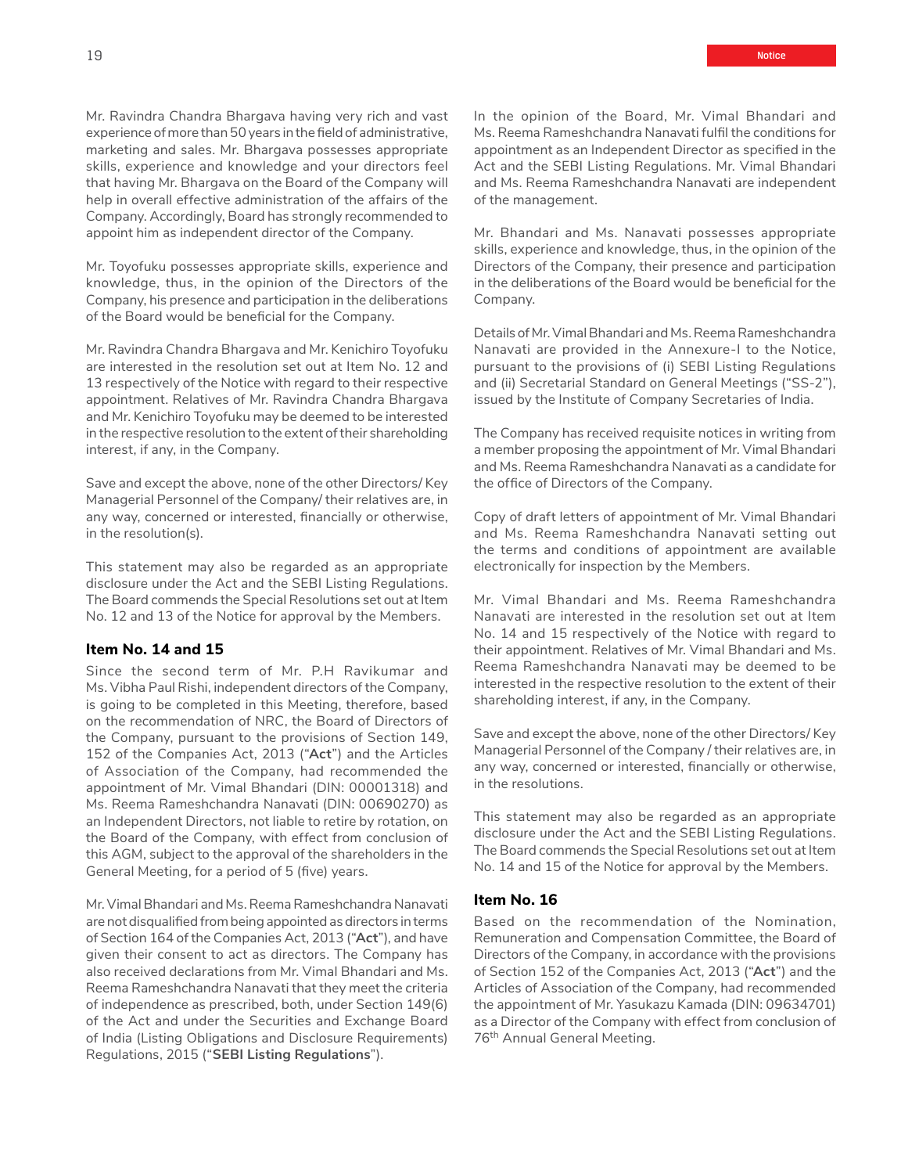Mr. Ravindra Chandra Bhargava having very rich and vast experience of more than 50 years in the field of administrative, marketing and sales. Mr. Bhargava possesses appropriate skills, experience and knowledge and your directors feel that having Mr. Bhargava on the Board of the Company will help in overall effective administration of the affairs of the Company. Accordingly, Board has strongly recommended to appoint him as independent director of the Company.

Mr. Toyofuku possesses appropriate skills, experience and knowledge, thus, in the opinion of the Directors of the Company, his presence and participation in the deliberations of the Board would be beneficial for the Company.

Mr. Ravindra Chandra Bhargava and Mr. Kenichiro Toyofuku are interested in the resolution set out at Item No. 12 and 13 respectively of the Notice with regard to their respective appointment. Relatives of Mr. Ravindra Chandra Bhargava and Mr. Kenichiro Toyofuku may be deemed to be interested in the respective resolution to the extent of their shareholding interest, if any, in the Company.

Save and except the above, none of the other Directors/ Key Managerial Personnel of the Company/ their relatives are, in any way, concerned or interested, financially or otherwise, in the resolution(s).

This statement may also be regarded as an appropriate disclosure under the Act and the SEBI Listing Regulations. The Board commends the Special Resolutions set out at Item No. 12 and 13 of the Notice for approval by the Members.

#### **Item No. 14 and 15**

Since the second term of Mr. P.H Ravikumar and Ms. Vibha Paul Rishi, independent directors of the Company, is going to be completed in this Meeting, therefore, based on the recommendation of NRC, the Board of Directors of the Company, pursuant to the provisions of Section 149, 152 of the Companies Act, 2013 ("**Act**") and the Articles of Association of the Company, had recommended the appointment of Mr. Vimal Bhandari (DIN: 00001318) and Ms. Reema Rameshchandra Nanavati (DIN: 00690270) as an Independent Directors, not liable to retire by rotation, on the Board of the Company, with effect from conclusion of this AGM, subject to the approval of the shareholders in the General Meeting, for a period of 5 (five) years.

Mr. Vimal Bhandari and Ms. Reema Rameshchandra Nanavati are not disqualified from being appointed as directors in terms of Section 164 of the Companies Act, 2013 ("**Act**"), and have given their consent to act as directors. The Company has also received declarations from Mr. Vimal Bhandari and Ms. Reema Rameshchandra Nanavati that they meet the criteria of independence as prescribed, both, under Section 149(6) of the Act and under the Securities and Exchange Board of India (Listing Obligations and Disclosure Requirements) Regulations, 2015 ("**SEBI Listing Regulations**").

In the opinion of the Board, Mr. Vimal Bhandari and Ms. Reema Rameshchandra Nanavati fulfil the conditions for appointment as an Independent Director as specified in the Act and the SEBI Listing Regulations. Mr. Vimal Bhandari and Ms. Reema Rameshchandra Nanavati are independent of the management.

Mr. Bhandari and Ms. Nanavati possesses appropriate skills, experience and knowledge, thus, in the opinion of the Directors of the Company, their presence and participation in the deliberations of the Board would be beneficial for the Company.

Details of Mr. Vimal Bhandari and Ms. Reema Rameshchandra Nanavati are provided in the Annexure-I to the Notice, pursuant to the provisions of (i) SEBI Listing Regulations and (ii) Secretarial Standard on General Meetings ("SS-2"), issued by the Institute of Company Secretaries of India.

The Company has received requisite notices in writing from a member proposing the appointment of Mr. Vimal Bhandari and Ms. Reema Rameshchandra Nanavati as a candidate for the office of Directors of the Company.

Copy of draft letters of appointment of Mr. Vimal Bhandari and Ms. Reema Rameshchandra Nanavati setting out the terms and conditions of appointment are available electronically for inspection by the Members.

Mr. Vimal Bhandari and Ms. Reema Rameshchandra Nanavati are interested in the resolution set out at Item No. 14 and 15 respectively of the Notice with regard to their appointment. Relatives of Mr. Vimal Bhandari and Ms. Reema Rameshchandra Nanavati may be deemed to be interested in the respective resolution to the extent of their shareholding interest, if any, in the Company.

Save and except the above, none of the other Directors/ Key Managerial Personnel of the Company / their relatives are, in any way, concerned or interested, financially or otherwise, in the resolutions.

This statement may also be regarded as an appropriate disclosure under the Act and the SEBI Listing Regulations. The Board commends the Special Resolutions set out at Item No. 14 and 15 of the Notice for approval by the Members.

#### **Item No. 16**

Based on the recommendation of the Nomination, Remuneration and Compensation Committee, the Board of Directors of the Company, in accordance with the provisions of Section 152 of the Companies Act, 2013 ("**Act**") and the Articles of Association of the Company, had recommended the appointment of Mr. Yasukazu Kamada (DIN: 09634701) as a Director of the Company with effect from conclusion of 76<sup>th</sup> Annual General Meeting.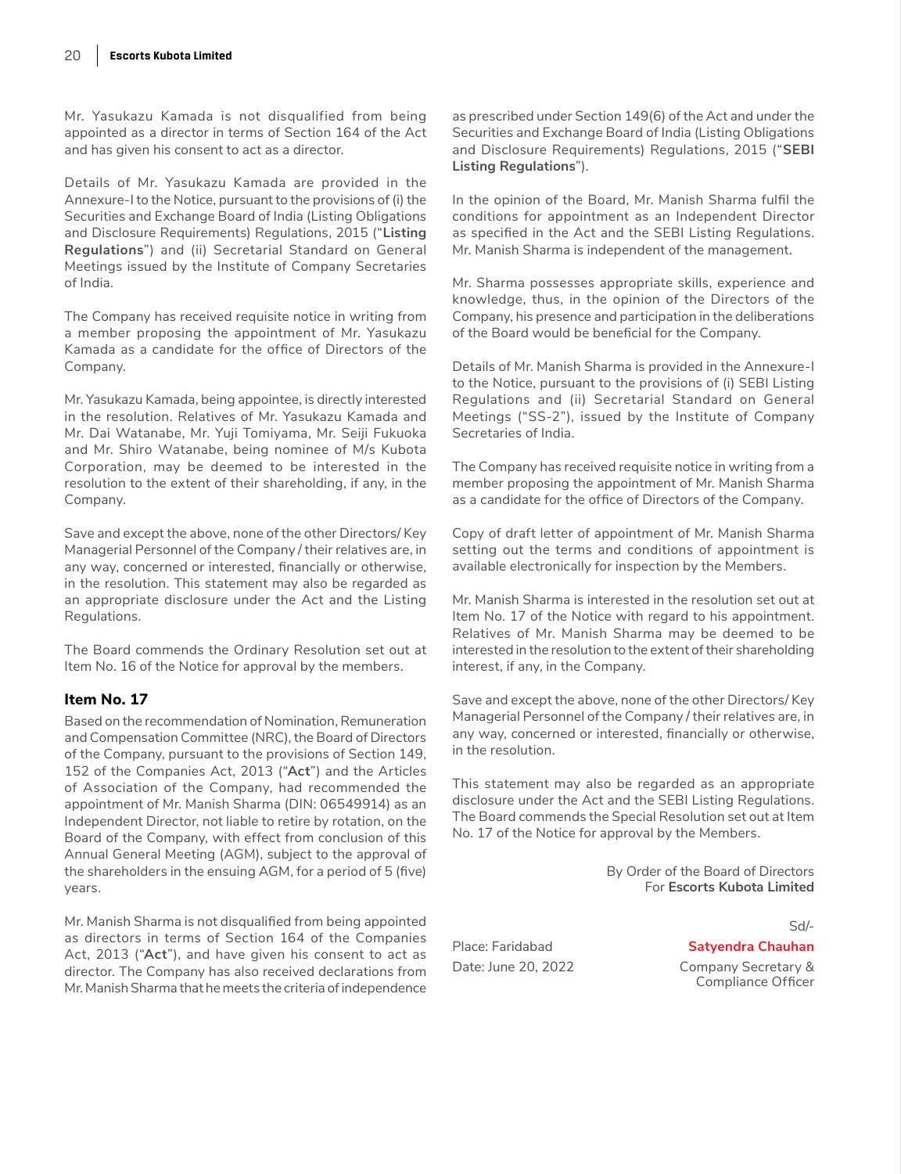Mr. Yasukazu Kamada is not disqualified from being appointed as a director in terms of Section 164 of the Act and has given his consent to act as a director.

Details of Mr. Yasukazu Kamada are provided in the Annexure-I to the Notice, pursuant to the provisions of (i) the Securities and Exchange Board of India (Listing Obligations and Disclosure Requirements) Regulations, 2015 ("**Listing Regulations**") and (ii) Secretarial Standard on General Meetings issued by the Institute of Company Secretaries of India.

The Company has received requisite notice in writing from a member proposing the appointment of Mr. Yasukazu Kamada as a candidate for the office of Directors of the Company.

Mr. Yasukazu Kamada, being appointee, is directly interested in the resolution. Relatives of Mr. Yasukazu Kamada and Mr. Dai Watanabe, Mr. Yuji Tomiyama, Mr. Seiji Fukuoka and Mr. Shiro Watanabe, being nominee of M/s Kubota Corporation, may be deemed to be interested in the resolution to the extent of their shareholding, if any, in the Company.

Save and except the above, none of the other Directors/ Key Managerial Personnel of the Company / their relatives are, in any way, concerned or interested, financially or otherwise, in the resolution. This statement may also be regarded as an appropriate disclosure under the Act and the Listing Regulations.

The Board commends the Ordinary Resolution set out at Item No. 16 of the Notice for approval by the members.

## **Item No. 17**

Based on the recommendation of Nomination, Remuneration and Compensation Committee (NRC), the Board of Directors of the Company, pursuant to the provisions of Section 149, 152 of the Companies Act, 2013 ("**Act**") and the Articles of Association of the Company, had recommended the appointment of Mr. Manish Sharma (DIN: 06549914) as an Independent Director, not liable to retire by rotation, on the Board of the Company, with effect from conclusion of this Annual General Meeting (AGM), subject to the approval of the shareholders in the ensuing AGM, for a period of 5 (five) years.

Mr. Manish Sharma is not disqualified from being appointed as directors in terms of Section 164 of the Companies Act, 2013 ("**Act**"), and have given his consent to act as director. The Company has also received declarations from Mr. Manish Sharma that he meets the criteria of independence

as prescribed under Section 149(6) of the Act and under the Securities and Exchange Board of India (Listing Obligations and Disclosure Requirements) Regulations, 2015 ("**SEBI Listing Regulations**").

In the opinion of the Board, Mr. Manish Sharma fulfil the conditions for appointment as an Independent Director as specified in the Act and the SEBI Listing Regulations. Mr. Manish Sharma is independent of the management.

Mr. Sharma possesses appropriate skills, experience and knowledge, thus, in the opinion of the Directors of the Company, his presence and participation in the deliberations of the Board would be beneficial for the Company.

Details of Mr. Manish Sharma is provided in the Annexure-I to the Notice, pursuant to the provisions of (i) SEBI Listing Regulations and (ii) Secretarial Standard on General Meetings ("SS-2"), issued by the Institute of Company Secretaries of India.

The Company has received requisite notice in writing from a member proposing the appointment of Mr. Manish Sharma as a candidate for the office of Directors of the Company.

Copy of draft letter of appointment of Mr. Manish Sharma setting out the terms and conditions of appointment is available electronically for inspection by the Members.

Mr. Manish Sharma is interested in the resolution set out at Item No. 17 of the Notice with regard to his appointment. Relatives of Mr. Manish Sharma may be deemed to be interested in the resolution to the extent of their shareholding interest, if any, in the Company.

Save and except the above, none of the other Directors/ Key Managerial Personnel of the Company / their relatives are, in any way, concerned or interested, financially or otherwise, in the resolution.

This statement may also be regarded as an appropriate disclosure under the Act and the SEBI Listing Regulations. The Board commends the Special Resolution set out at Item No. 17 of the Notice for approval by the Members.

> By Order of the Board of Directors For **Escorts Kubota Limited**

Place: Faridabad **Satyendra Chauhan**

Date: June 20, 2022 Company Secretary & Compliance Officer

Sd/-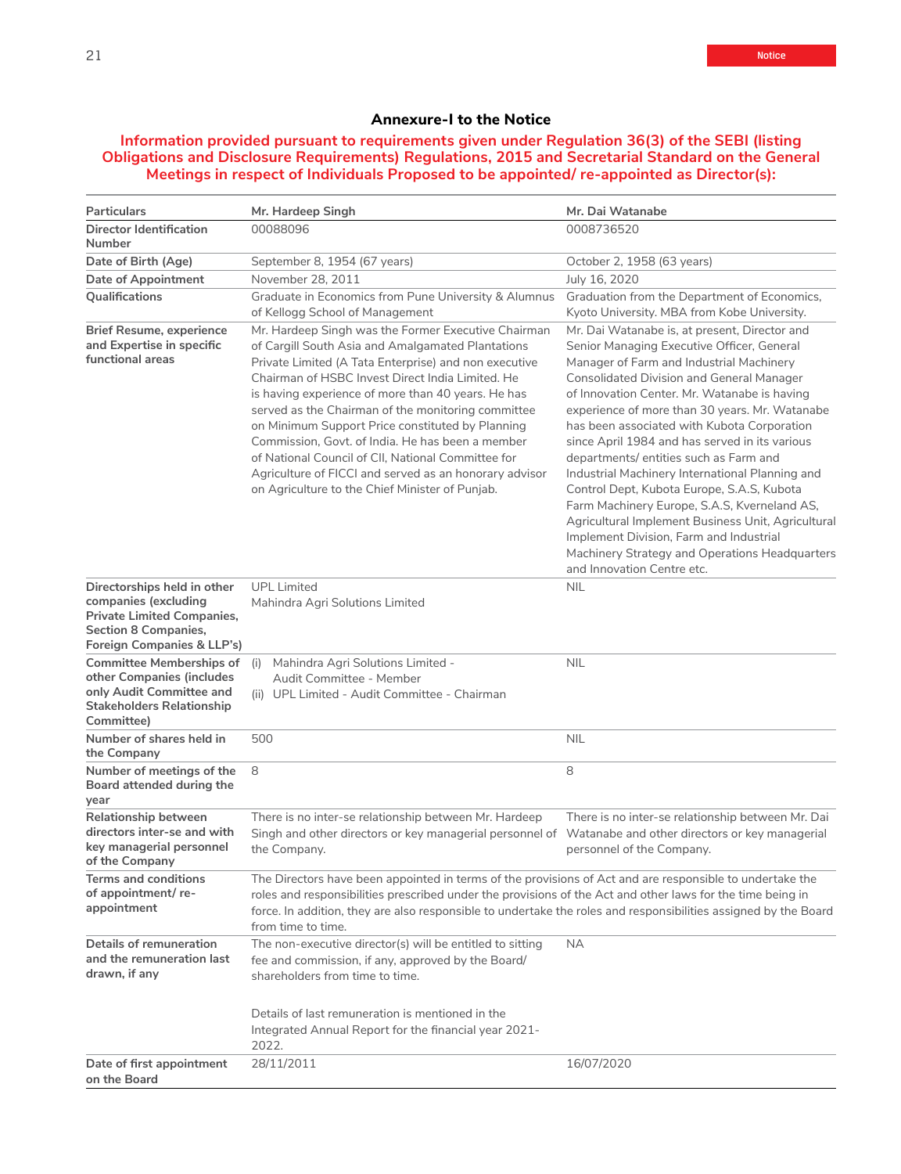## **Annexure-I to the Notice**

## **Information provided pursuant to requirements given under Regulation 36(3) of the SEBI (listing Obligations and Disclosure Requirements) Regulations, 2015 and Secretarial Standard on the General Meetings in respect of Individuals Proposed to be appointed/ re-appointed as Director(s):**

| Particulars                                                                                                                                           | Mr. Hardeep Singh                                                                                                                                                                                                                                                                                                                                                                                                                                                                                                                                                                                            | Mr. Dai Watanabe                                                                                                                                                                                                                                                                                                                                                                                                                                                                                                                                                                                                                                                                                                                                                           |
|-------------------------------------------------------------------------------------------------------------------------------------------------------|--------------------------------------------------------------------------------------------------------------------------------------------------------------------------------------------------------------------------------------------------------------------------------------------------------------------------------------------------------------------------------------------------------------------------------------------------------------------------------------------------------------------------------------------------------------------------------------------------------------|----------------------------------------------------------------------------------------------------------------------------------------------------------------------------------------------------------------------------------------------------------------------------------------------------------------------------------------------------------------------------------------------------------------------------------------------------------------------------------------------------------------------------------------------------------------------------------------------------------------------------------------------------------------------------------------------------------------------------------------------------------------------------|
| Director Identification<br>Number                                                                                                                     | 00088096                                                                                                                                                                                                                                                                                                                                                                                                                                                                                                                                                                                                     | 0008736520                                                                                                                                                                                                                                                                                                                                                                                                                                                                                                                                                                                                                                                                                                                                                                 |
| Date of Birth (Age)                                                                                                                                   | September 8, 1954 (67 years)                                                                                                                                                                                                                                                                                                                                                                                                                                                                                                                                                                                 | October 2, 1958 (63 years)                                                                                                                                                                                                                                                                                                                                                                                                                                                                                                                                                                                                                                                                                                                                                 |
| Date of Appointment                                                                                                                                   | November 28, 2011                                                                                                                                                                                                                                                                                                                                                                                                                                                                                                                                                                                            | July 16, 2020                                                                                                                                                                                                                                                                                                                                                                                                                                                                                                                                                                                                                                                                                                                                                              |
| Qualifications                                                                                                                                        | Graduate in Economics from Pune University & Alumnus<br>of Kellogg School of Management                                                                                                                                                                                                                                                                                                                                                                                                                                                                                                                      | Graduation from the Department of Economics,<br>Kyoto University. MBA from Kobe University.                                                                                                                                                                                                                                                                                                                                                                                                                                                                                                                                                                                                                                                                                |
| <b>Brief Resume, experience</b><br>and Expertise in specific<br>functional areas                                                                      | Mr. Hardeep Singh was the Former Executive Chairman<br>of Cargill South Asia and Amalgamated Plantations<br>Private Limited (A Tata Enterprise) and non executive<br>Chairman of HSBC Invest Direct India Limited. He<br>is having experience of more than 40 years. He has<br>served as the Chairman of the monitoring committee<br>on Minimum Support Price constituted by Planning<br>Commission, Govt. of India. He has been a member<br>of National Council of CII. National Committee for<br>Agriculture of FICCI and served as an honorary advisor<br>on Agriculture to the Chief Minister of Punjab. | Mr. Dai Watanabe is, at present, Director and<br>Senior Managing Executive Officer, General<br>Manager of Farm and Industrial Machinery<br><b>Consolidated Division and General Manager</b><br>of Innovation Center. Mr. Watanabe is having<br>experience of more than 30 years. Mr. Watanabe<br>has been associated with Kubota Corporation<br>since April 1984 and has served in its various<br>departments/ entities such as Farm and<br>Industrial Machinery International Planning and<br>Control Dept, Kubota Europe, S.A.S, Kubota<br>Farm Machinery Europe, S.A.S, Kverneland AS,<br>Agricultural Implement Business Unit, Agricultural<br>Implement Division, Farm and Industrial<br>Machinery Strategy and Operations Headquarters<br>and Innovation Centre etc. |
| Directorships held in other<br>companies (excluding<br><b>Private Limited Companies,</b><br><b>Section 8 Companies,</b><br>Foreign Companies & LLP's) | <b>UPL Limited</b><br>Mahindra Agri Solutions Limited                                                                                                                                                                                                                                                                                                                                                                                                                                                                                                                                                        | <b>NIL</b>                                                                                                                                                                                                                                                                                                                                                                                                                                                                                                                                                                                                                                                                                                                                                                 |
| Committee Memberships of (i)<br>other Companies (includes<br>only Audit Committee and<br><b>Stakeholders Relationship</b><br>Committee)               | Mahindra Agri Solutions Limited -<br>Audit Committee - Member<br>(ii) UPL Limited - Audit Committee - Chairman                                                                                                                                                                                                                                                                                                                                                                                                                                                                                               | <b>NIL</b>                                                                                                                                                                                                                                                                                                                                                                                                                                                                                                                                                                                                                                                                                                                                                                 |
| Number of shares held in<br>the Company                                                                                                               | 500                                                                                                                                                                                                                                                                                                                                                                                                                                                                                                                                                                                                          | <b>NIL</b>                                                                                                                                                                                                                                                                                                                                                                                                                                                                                                                                                                                                                                                                                                                                                                 |
| Number of meetings of the<br>Board attended during the<br>year                                                                                        | 8                                                                                                                                                                                                                                                                                                                                                                                                                                                                                                                                                                                                            | 8                                                                                                                                                                                                                                                                                                                                                                                                                                                                                                                                                                                                                                                                                                                                                                          |
| Relationship between<br>directors inter-se and with<br>key managerial personnel<br>of the Company                                                     | There is no inter-se relationship between Mr. Hardeep<br>Singh and other directors or key managerial personnel of<br>the Company.                                                                                                                                                                                                                                                                                                                                                                                                                                                                            | There is no inter-se relationship between Mr. Dai<br>Watanabe and other directors or key managerial<br>personnel of the Company.                                                                                                                                                                                                                                                                                                                                                                                                                                                                                                                                                                                                                                           |
| <b>Terms and conditions</b><br>of appointment/re-<br>appointment                                                                                      | The Directors have been appointed in terms of the provisions of Act and are responsible to undertake the<br>roles and responsibilities prescribed under the provisions of the Act and other laws for the time being in<br>force. In addition, they are also responsible to undertake the roles and responsibilities assigned by the Board<br>from time to time.                                                                                                                                                                                                                                              |                                                                                                                                                                                                                                                                                                                                                                                                                                                                                                                                                                                                                                                                                                                                                                            |
| Details of remuneration<br>and the remuneration last<br>drawn, if any                                                                                 | The non-executive director(s) will be entitled to sitting<br>fee and commission, if any, approved by the Board/<br>shareholders from time to time.                                                                                                                                                                                                                                                                                                                                                                                                                                                           | ΝA                                                                                                                                                                                                                                                                                                                                                                                                                                                                                                                                                                                                                                                                                                                                                                         |
|                                                                                                                                                       | Details of last remuneration is mentioned in the<br>Integrated Annual Report for the financial year 2021-<br>2022.                                                                                                                                                                                                                                                                                                                                                                                                                                                                                           |                                                                                                                                                                                                                                                                                                                                                                                                                                                                                                                                                                                                                                                                                                                                                                            |
| Date of first appointment<br>on the Board                                                                                                             | 28/11/2011                                                                                                                                                                                                                                                                                                                                                                                                                                                                                                                                                                                                   | 16/07/2020                                                                                                                                                                                                                                                                                                                                                                                                                                                                                                                                                                                                                                                                                                                                                                 |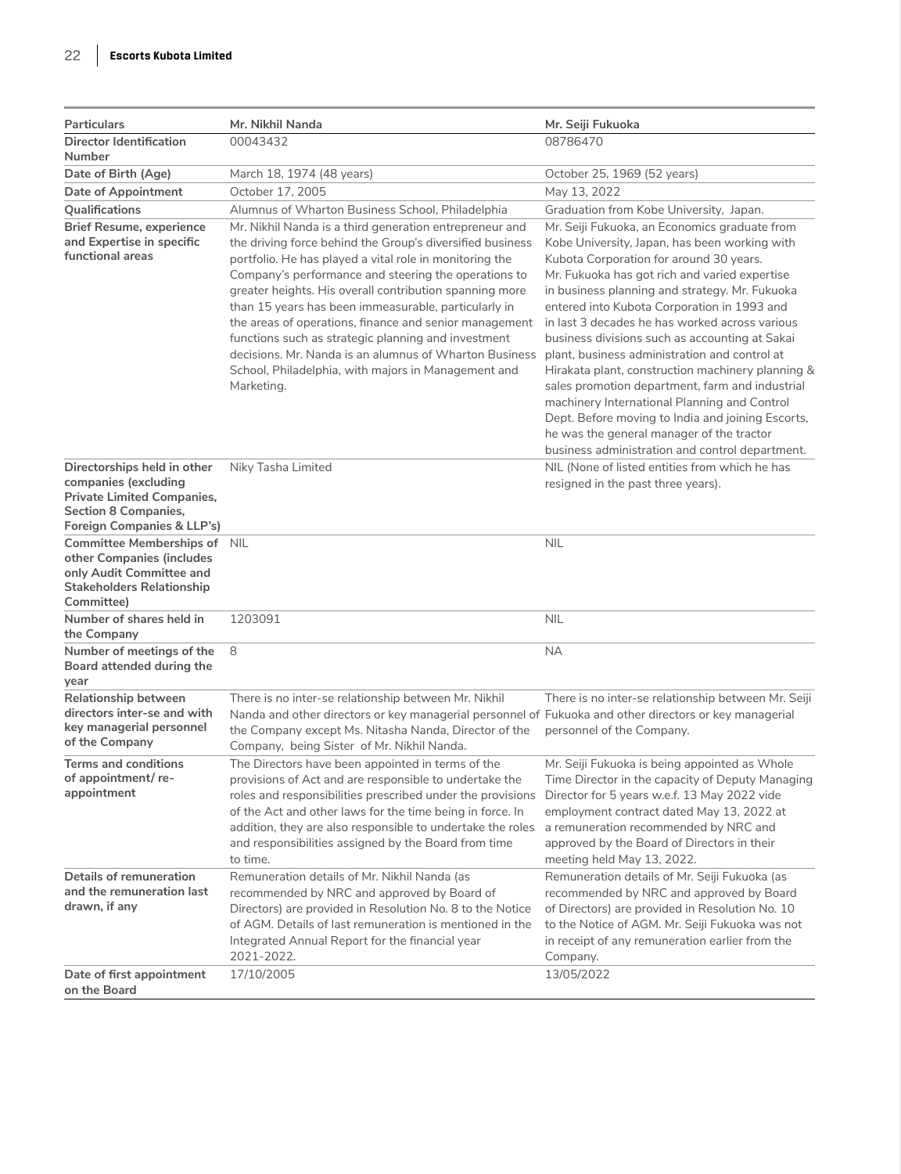| Particulars                                                                                                                                           | Mr. Nikhil Nanda                                                                                                                                                                                                                                                                                                                                                                                                                                                                                                                      | Mr. Seiji Fukuoka                                                                                                                                                                                                                                                                                                                                                                                                                                                                           |
|-------------------------------------------------------------------------------------------------------------------------------------------------------|---------------------------------------------------------------------------------------------------------------------------------------------------------------------------------------------------------------------------------------------------------------------------------------------------------------------------------------------------------------------------------------------------------------------------------------------------------------------------------------------------------------------------------------|---------------------------------------------------------------------------------------------------------------------------------------------------------------------------------------------------------------------------------------------------------------------------------------------------------------------------------------------------------------------------------------------------------------------------------------------------------------------------------------------|
| <b>Director Identification</b>                                                                                                                        | 00043432                                                                                                                                                                                                                                                                                                                                                                                                                                                                                                                              | 08786470                                                                                                                                                                                                                                                                                                                                                                                                                                                                                    |
| Number                                                                                                                                                |                                                                                                                                                                                                                                                                                                                                                                                                                                                                                                                                       |                                                                                                                                                                                                                                                                                                                                                                                                                                                                                             |
| Date of Birth (Age)                                                                                                                                   | March 18, 1974 (48 years)                                                                                                                                                                                                                                                                                                                                                                                                                                                                                                             | October 25, 1969 (52 years)                                                                                                                                                                                                                                                                                                                                                                                                                                                                 |
| <b>Date of Appointment</b><br>Qualifications                                                                                                          | October 17, 2005<br>Alumnus of Wharton Business School, Philadelphia                                                                                                                                                                                                                                                                                                                                                                                                                                                                  | May 13, 2022                                                                                                                                                                                                                                                                                                                                                                                                                                                                                |
| <b>Brief Resume, experience</b><br>and Expertise in specific<br>functional areas                                                                      | Mr. Nikhil Nanda is a third generation entrepreneur and<br>the driving force behind the Group's diversified business<br>portfolio. He has played a vital role in monitoring the<br>Company's performance and steering the operations to<br>greater heights. His overall contribution spanning more<br>than 15 years has been immeasurable, particularly in<br>the areas of operations, finance and senior management<br>functions such as strategic planning and investment<br>decisions. Mr. Nanda is an alumnus of Wharton Business | Graduation from Kobe University, Japan.<br>Mr. Seiji Fukuoka, an Economics graduate from<br>Kobe University, Japan, has been working with<br>Kubota Corporation for around 30 years.<br>Mr. Fukuoka has got rich and varied expertise<br>in business planning and strategy. Mr. Fukuoka<br>entered into Kubota Corporation in 1993 and<br>in last 3 decades he has worked across various<br>business divisions such as accounting at Sakai<br>plant, business administration and control at |
|                                                                                                                                                       | School, Philadelphia, with majors in Management and<br>Marketing.                                                                                                                                                                                                                                                                                                                                                                                                                                                                     | Hirakata plant, construction machinery planning &<br>sales promotion department, farm and industrial<br>machinery International Planning and Control<br>Dept. Before moving to India and joining Escorts,<br>he was the general manager of the tractor<br>business administration and control department.                                                                                                                                                                                   |
| Directorships held in other<br>companies (excluding<br><b>Private Limited Companies,</b><br><b>Section 8 Companies,</b><br>Foreign Companies & LLP's) | Niky Tasha Limited                                                                                                                                                                                                                                                                                                                                                                                                                                                                                                                    | NIL (None of listed entities from which he has<br>resigned in the past three years).                                                                                                                                                                                                                                                                                                                                                                                                        |
| Committee Memberships of NIL<br>other Companies (includes<br>only Audit Committee and<br><b>Stakeholders Relationship</b><br>Committee)               |                                                                                                                                                                                                                                                                                                                                                                                                                                                                                                                                       | <b>NIL</b>                                                                                                                                                                                                                                                                                                                                                                                                                                                                                  |
| Number of shares held in<br>the Company                                                                                                               | 1203091                                                                                                                                                                                                                                                                                                                                                                                                                                                                                                                               | <b>NIL</b>                                                                                                                                                                                                                                                                                                                                                                                                                                                                                  |
| Number of meetings of the<br>Board attended during the<br>year                                                                                        | 8                                                                                                                                                                                                                                                                                                                                                                                                                                                                                                                                     | <b>NA</b>                                                                                                                                                                                                                                                                                                                                                                                                                                                                                   |
| Relationship between<br>directors inter-se and with<br>key managerial personnel<br>of the Company                                                     | There is no inter-se relationship between Mr. Nikhil<br>Nanda and other directors or key managerial personnel of Fukuoka and other directors or key managerial<br>the Company except Ms. Nitasha Nanda, Director of the<br>Company, being Sister of Mr. Nikhil Nanda.                                                                                                                                                                                                                                                                 | There is no inter-se relationship between Mr. Seiji<br>personnel of the Company.                                                                                                                                                                                                                                                                                                                                                                                                            |
| <b>Terms and conditions</b><br>of appointment/ re-<br>appointment                                                                                     | The Directors have been appointed in terms of the<br>provisions of Act and are responsible to undertake the<br>roles and responsibilities prescribed under the provisions<br>of the Act and other laws for the time being in force. In<br>addition, they are also responsible to undertake the roles<br>and responsibilities assigned by the Board from time<br>to time.                                                                                                                                                              | Mr. Seiji Fukuoka is being appointed as Whole<br>Time Director in the capacity of Deputy Managing<br>Director for 5 years w.e.f. 13 May 2022 vide<br>employment contract dated May 13, 2022 at<br>a remuneration recommended by NRC and<br>approved by the Board of Directors in their<br>meeting held May 13, 2022.                                                                                                                                                                        |
| Details of remuneration<br>and the remuneration last<br>drawn, if any                                                                                 | Remuneration details of Mr. Nikhil Nanda (as<br>recommended by NRC and approved by Board of<br>Directors) are provided in Resolution No. 8 to the Notice<br>of AGM. Details of last remuneration is mentioned in the<br>Integrated Annual Report for the financial year<br>2021-2022.                                                                                                                                                                                                                                                 | Remuneration details of Mr. Seiji Fukuoka (as<br>recommended by NRC and approved by Board<br>of Directors) are provided in Resolution No. 10<br>to the Notice of AGM. Mr. Seiji Fukuoka was not<br>in receipt of any remuneration earlier from the<br>Company.                                                                                                                                                                                                                              |
| Date of first appointment<br>on the Board                                                                                                             | 17/10/2005                                                                                                                                                                                                                                                                                                                                                                                                                                                                                                                            | 13/05/2022                                                                                                                                                                                                                                                                                                                                                                                                                                                                                  |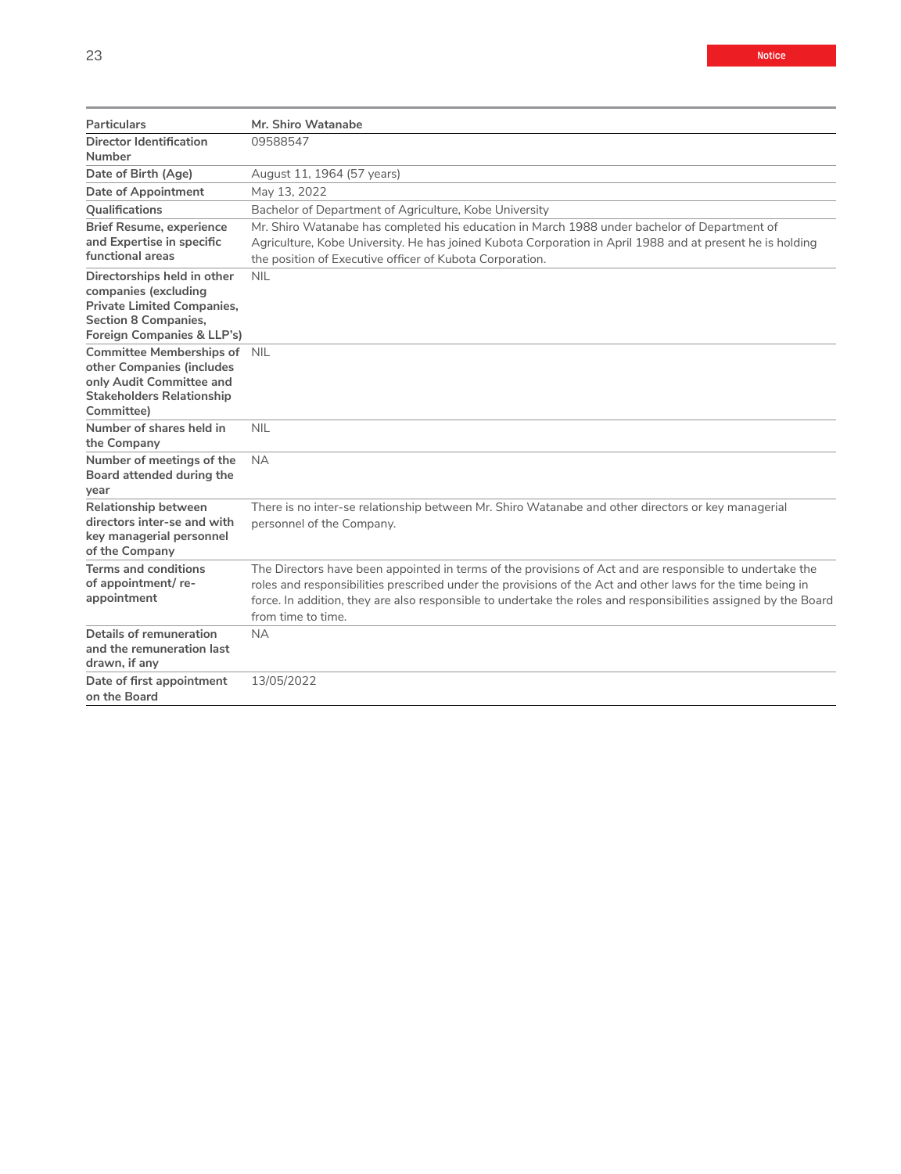| Particulars                                                                                                                                           | Mr. Shiro Watanabe                                                                                                                                                                                                                                                                                                                                              |
|-------------------------------------------------------------------------------------------------------------------------------------------------------|-----------------------------------------------------------------------------------------------------------------------------------------------------------------------------------------------------------------------------------------------------------------------------------------------------------------------------------------------------------------|
| <b>Director Identification</b><br>Number                                                                                                              | 09588547                                                                                                                                                                                                                                                                                                                                                        |
| Date of Birth (Age)                                                                                                                                   | August 11, 1964 (57 years)                                                                                                                                                                                                                                                                                                                                      |
| Date of Appointment                                                                                                                                   | May 13, 2022                                                                                                                                                                                                                                                                                                                                                    |
| Qualifications                                                                                                                                        | Bachelor of Department of Agriculture, Kobe University                                                                                                                                                                                                                                                                                                          |
| <b>Brief Resume, experience</b><br>and Expertise in specific<br>functional areas                                                                      | Mr. Shiro Watanabe has completed his education in March 1988 under bachelor of Department of<br>Agriculture, Kobe University. He has joined Kubota Corporation in April 1988 and at present he is holding<br>the position of Executive officer of Kubota Corporation.                                                                                           |
| Directorships held in other<br>companies (excluding<br><b>Private Limited Companies,</b><br><b>Section 8 Companies,</b><br>Foreign Companies & LLP's) | <b>NIL</b>                                                                                                                                                                                                                                                                                                                                                      |
| Committee Memberships of NIL<br>other Companies (includes<br>only Audit Committee and<br><b>Stakeholders Relationship</b><br>Committee)               |                                                                                                                                                                                                                                                                                                                                                                 |
| Number of shares held in<br>the Company                                                                                                               | <b>NIL</b>                                                                                                                                                                                                                                                                                                                                                      |
| Number of meetings of the<br>Board attended during the<br>year                                                                                        | <b>NA</b>                                                                                                                                                                                                                                                                                                                                                       |
| Relationship between<br>directors inter-se and with<br>key managerial personnel<br>of the Company                                                     | There is no inter-se relationship between Mr. Shiro Watanabe and other directors or key managerial<br>personnel of the Company.                                                                                                                                                                                                                                 |
| <b>Terms and conditions</b><br>of appointment/re-<br>appointment                                                                                      | The Directors have been appointed in terms of the provisions of Act and are responsible to undertake the<br>roles and responsibilities prescribed under the provisions of the Act and other laws for the time being in<br>force. In addition, they are also responsible to undertake the roles and responsibilities assigned by the Board<br>from time to time. |
| Details of remuneration<br>and the remuneration last<br>drawn, if any                                                                                 | <b>NA</b>                                                                                                                                                                                                                                                                                                                                                       |
| Date of first appointment<br>on the Board                                                                                                             | 13/05/2022                                                                                                                                                                                                                                                                                                                                                      |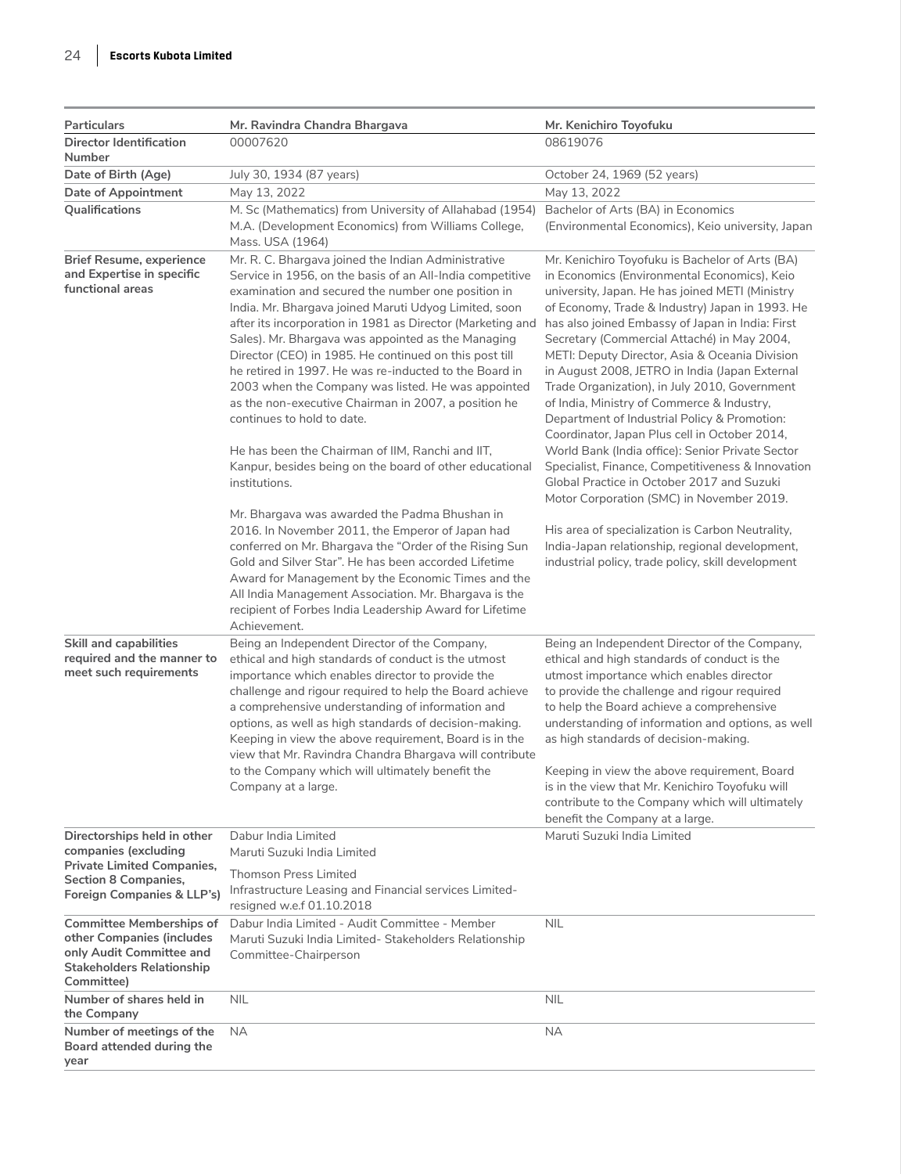| Particulars                                                                                                                                | Mr. Ravindra Chandra Bhargava                                                                                                                                                                                                                                                                                                                                                                                                                                                                                                                                                                                                                                                                                                                                                                                                                                                                                                                                                                                                                                                                                                                                        | Mr. Kenichiro Toyofuku                                                                                                                                                                                                                                                                                                                                                                                                                                                                                                                                                                                                                                                                                                                                                                                                                                                                                                                                                        |
|--------------------------------------------------------------------------------------------------------------------------------------------|----------------------------------------------------------------------------------------------------------------------------------------------------------------------------------------------------------------------------------------------------------------------------------------------------------------------------------------------------------------------------------------------------------------------------------------------------------------------------------------------------------------------------------------------------------------------------------------------------------------------------------------------------------------------------------------------------------------------------------------------------------------------------------------------------------------------------------------------------------------------------------------------------------------------------------------------------------------------------------------------------------------------------------------------------------------------------------------------------------------------------------------------------------------------|-------------------------------------------------------------------------------------------------------------------------------------------------------------------------------------------------------------------------------------------------------------------------------------------------------------------------------------------------------------------------------------------------------------------------------------------------------------------------------------------------------------------------------------------------------------------------------------------------------------------------------------------------------------------------------------------------------------------------------------------------------------------------------------------------------------------------------------------------------------------------------------------------------------------------------------------------------------------------------|
| <b>Director Identification</b>                                                                                                             | 00007620                                                                                                                                                                                                                                                                                                                                                                                                                                                                                                                                                                                                                                                                                                                                                                                                                                                                                                                                                                                                                                                                                                                                                             | 08619076                                                                                                                                                                                                                                                                                                                                                                                                                                                                                                                                                                                                                                                                                                                                                                                                                                                                                                                                                                      |
| Number                                                                                                                                     |                                                                                                                                                                                                                                                                                                                                                                                                                                                                                                                                                                                                                                                                                                                                                                                                                                                                                                                                                                                                                                                                                                                                                                      |                                                                                                                                                                                                                                                                                                                                                                                                                                                                                                                                                                                                                                                                                                                                                                                                                                                                                                                                                                               |
| Date of Birth (Age)<br><b>Date of Appointment</b>                                                                                          | July 30, 1934 (87 years)<br>May 13, 2022                                                                                                                                                                                                                                                                                                                                                                                                                                                                                                                                                                                                                                                                                                                                                                                                                                                                                                                                                                                                                                                                                                                             | October 24, 1969 (52 years)<br>May 13, 2022                                                                                                                                                                                                                                                                                                                                                                                                                                                                                                                                                                                                                                                                                                                                                                                                                                                                                                                                   |
| Qualifications                                                                                                                             | M. Sc (Mathematics) from University of Allahabad (1954)                                                                                                                                                                                                                                                                                                                                                                                                                                                                                                                                                                                                                                                                                                                                                                                                                                                                                                                                                                                                                                                                                                              | Bachelor of Arts (BA) in Economics                                                                                                                                                                                                                                                                                                                                                                                                                                                                                                                                                                                                                                                                                                                                                                                                                                                                                                                                            |
|                                                                                                                                            | M.A. (Development Economics) from Williams College,<br>Mass. USA (1964)                                                                                                                                                                                                                                                                                                                                                                                                                                                                                                                                                                                                                                                                                                                                                                                                                                                                                                                                                                                                                                                                                              | (Environmental Economics), Keio university, Japan                                                                                                                                                                                                                                                                                                                                                                                                                                                                                                                                                                                                                                                                                                                                                                                                                                                                                                                             |
| <b>Brief Resume, experience</b><br>and Expertise in specific<br>functional areas                                                           | Mr. R. C. Bhargava joined the Indian Administrative<br>Service in 1956, on the basis of an All-India competitive<br>examination and secured the number one position in<br>India. Mr. Bhargava joined Maruti Udyog Limited, soon<br>after its incorporation in 1981 as Director (Marketing and<br>Sales). Mr. Bhargava was appointed as the Managing<br>Director (CEO) in 1985. He continued on this post till<br>he retired in 1997. He was re-inducted to the Board in<br>2003 when the Company was listed. He was appointed<br>as the non-executive Chairman in 2007, a position he<br>continues to hold to date.<br>He has been the Chairman of IIM, Ranchi and IIT,<br>Kanpur, besides being on the board of other educational<br>institutions.<br>Mr. Bhargava was awarded the Padma Bhushan in<br>2016. In November 2011, the Emperor of Japan had<br>conferred on Mr. Bhargava the "Order of the Rising Sun<br>Gold and Silver Star". He has been accorded Lifetime<br>Award for Management by the Economic Times and the<br>All India Management Association. Mr. Bhargava is the<br>recipient of Forbes India Leadership Award for Lifetime<br>Achievement. | Mr. Kenichiro Toyofuku is Bachelor of Arts (BA)<br>in Economics (Environmental Economics), Keio<br>university, Japan. He has joined METI (Ministry<br>of Economy, Trade & Industry) Japan in 1993. He<br>has also joined Embassy of Japan in India: First<br>Secretary (Commercial Attaché) in May 2004,<br>METI: Deputy Director, Asia & Oceania Division<br>in August 2008, JETRO in India (Japan External<br>Trade Organization), in July 2010, Government<br>of India, Ministry of Commerce & Industry,<br>Department of Industrial Policy & Promotion:<br>Coordinator, Japan Plus cell in October 2014,<br>World Bank (India office): Senior Private Sector<br>Specialist, Finance, Competitiveness & Innovation<br>Global Practice in October 2017 and Suzuki<br>Motor Corporation (SMC) in November 2019.<br>His area of specialization is Carbon Neutrality,<br>India-Japan relationship, regional development,<br>industrial policy, trade policy, skill development |
| <b>Skill and capabilities</b><br>required and the manner to<br>meet such requirements                                                      | Being an Independent Director of the Company,<br>ethical and high standards of conduct is the utmost<br>importance which enables director to provide the<br>challenge and rigour required to help the Board achieve<br>a comprehensive understanding of information and<br>options, as well as high standards of decision-making.<br>Keeping in view the above requirement, Board is in the<br>view that Mr. Ravindra Chandra Bhargava will contribute<br>to the Company which will ultimately benefit the<br>Company at a large.                                                                                                                                                                                                                                                                                                                                                                                                                                                                                                                                                                                                                                    | Being an Independent Director of the Company,<br>ethical and high standards of conduct is the<br>utmost importance which enables director<br>to provide the challenge and rigour required<br>to help the Board achieve a comprehensive<br>understanding of information and options, as well<br>as high standards of decision-making.<br>Keeping in view the above requirement, Board<br>is in the view that Mr. Kenichiro Toyofuku will<br>contribute to the Company which will ultimately<br>benefit the Company at a large.                                                                                                                                                                                                                                                                                                                                                                                                                                                 |
| Directorships held in other<br>companies (excluding<br><b>Private Limited Companies,</b>                                                   | Dabur India Limited<br>Maruti Suzuki India Limited<br><b>Thomson Press Limited</b>                                                                                                                                                                                                                                                                                                                                                                                                                                                                                                                                                                                                                                                                                                                                                                                                                                                                                                                                                                                                                                                                                   | Maruti Suzuki India Limited                                                                                                                                                                                                                                                                                                                                                                                                                                                                                                                                                                                                                                                                                                                                                                                                                                                                                                                                                   |
| <b>Section 8 Companies,</b><br>Foreign Companies & LLP's)                                                                                  | Infrastructure Leasing and Financial services Limited-<br>resigned w.e.f 01.10.2018                                                                                                                                                                                                                                                                                                                                                                                                                                                                                                                                                                                                                                                                                                                                                                                                                                                                                                                                                                                                                                                                                  |                                                                                                                                                                                                                                                                                                                                                                                                                                                                                                                                                                                                                                                                                                                                                                                                                                                                                                                                                                               |
| <b>Committee Memberships of</b><br>other Companies (includes<br>only Audit Committee and<br><b>Stakeholders Relationship</b><br>Committee) | Dabur India Limited - Audit Committee - Member<br>Maruti Suzuki India Limited- Stakeholders Relationship<br>Committee-Chairperson                                                                                                                                                                                                                                                                                                                                                                                                                                                                                                                                                                                                                                                                                                                                                                                                                                                                                                                                                                                                                                    | <b>NIL</b>                                                                                                                                                                                                                                                                                                                                                                                                                                                                                                                                                                                                                                                                                                                                                                                                                                                                                                                                                                    |
| Number of shares held in<br>the Company                                                                                                    | <b>NIL</b>                                                                                                                                                                                                                                                                                                                                                                                                                                                                                                                                                                                                                                                                                                                                                                                                                                                                                                                                                                                                                                                                                                                                                           | <b>NIL</b>                                                                                                                                                                                                                                                                                                                                                                                                                                                                                                                                                                                                                                                                                                                                                                                                                                                                                                                                                                    |
| Number of meetings of the<br>Board attended during the<br>year                                                                             | <b>NA</b>                                                                                                                                                                                                                                                                                                                                                                                                                                                                                                                                                                                                                                                                                                                                                                                                                                                                                                                                                                                                                                                                                                                                                            | <b>NA</b>                                                                                                                                                                                                                                                                                                                                                                                                                                                                                                                                                                                                                                                                                                                                                                                                                                                                                                                                                                     |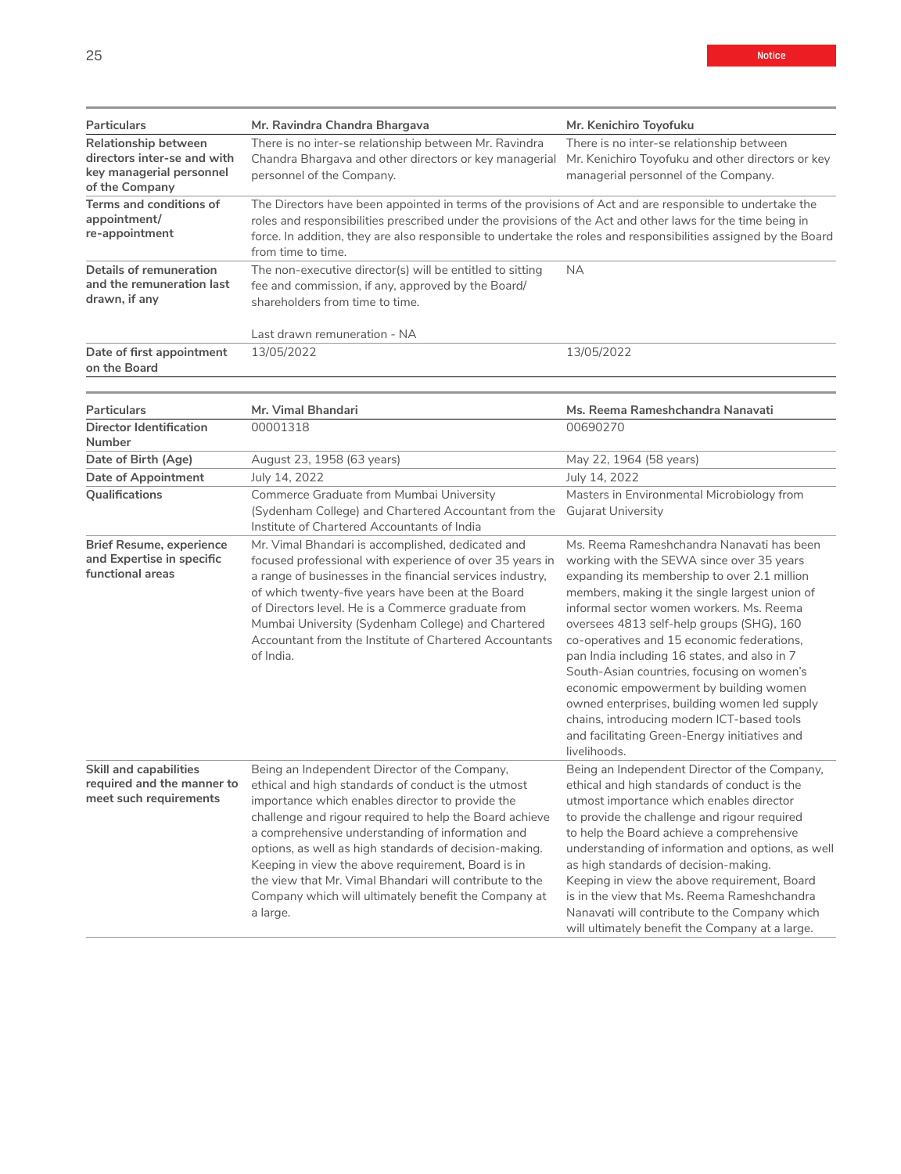| <b>Particulars</b>                                                                                | Mr. Ravindra Chandra Bhargava                                                                                                                                                                                                                                                                                                                                   | Mr. Kenichiro Toyofuku                                                                                                                 |
|---------------------------------------------------------------------------------------------------|-----------------------------------------------------------------------------------------------------------------------------------------------------------------------------------------------------------------------------------------------------------------------------------------------------------------------------------------------------------------|----------------------------------------------------------------------------------------------------------------------------------------|
| Relationship between<br>directors inter-se and with<br>key managerial personnel<br>of the Company | There is no inter-se relationship between Mr. Ravindra<br>Chandra Bhargava and other directors or key managerial<br>personnel of the Company.                                                                                                                                                                                                                   | There is no inter-se relationship between<br>Mr. Kenichiro Toyofuku and other directors or key<br>managerial personnel of the Company. |
| Terms and conditions of<br>appointment/<br>re-appointment                                         | The Directors have been appointed in terms of the provisions of Act and are responsible to undertake the<br>roles and responsibilities prescribed under the provisions of the Act and other laws for the time being in<br>force. In addition, they are also responsible to undertake the roles and responsibilities assigned by the Board<br>from time to time. |                                                                                                                                        |
| Details of remuneration<br>and the remuneration last<br>drawn, if any                             | The non-executive director(s) will be entitled to sitting<br>fee and commission, if any, approved by the Board/<br>shareholders from time to time.<br>Last drawn remuneration - NA                                                                                                                                                                              | <b>NA</b>                                                                                                                              |
| Date of first appointment                                                                         | 13/05/2022                                                                                                                                                                                                                                                                                                                                                      | 13/05/2022                                                                                                                             |
| on the Board                                                                                      |                                                                                                                                                                                                                                                                                                                                                                 |                                                                                                                                        |

| <b>Particulars</b>                                                                    | Mr. Vimal Bhandari                                                                                                                                                                                                                                                                                                                                                                                                                                                                                                     | Ms. Reema Rameshchandra Nanavati                                                                                                                                                                                                                                                                                                                                                                                                                                                                                                                                                                                                       |
|---------------------------------------------------------------------------------------|------------------------------------------------------------------------------------------------------------------------------------------------------------------------------------------------------------------------------------------------------------------------------------------------------------------------------------------------------------------------------------------------------------------------------------------------------------------------------------------------------------------------|----------------------------------------------------------------------------------------------------------------------------------------------------------------------------------------------------------------------------------------------------------------------------------------------------------------------------------------------------------------------------------------------------------------------------------------------------------------------------------------------------------------------------------------------------------------------------------------------------------------------------------------|
| Director Identification<br>Number                                                     | 00001318                                                                                                                                                                                                                                                                                                                                                                                                                                                                                                               | 00690270                                                                                                                                                                                                                                                                                                                                                                                                                                                                                                                                                                                                                               |
| Date of Birth (Age)                                                                   | August 23, 1958 (63 years)                                                                                                                                                                                                                                                                                                                                                                                                                                                                                             | May 22, 1964 (58 years)                                                                                                                                                                                                                                                                                                                                                                                                                                                                                                                                                                                                                |
| Date of Appointment                                                                   | July 14, 2022                                                                                                                                                                                                                                                                                                                                                                                                                                                                                                          | July 14, 2022                                                                                                                                                                                                                                                                                                                                                                                                                                                                                                                                                                                                                          |
| Qualifications                                                                        | Commerce Graduate from Mumbai University<br>(Sydenham College) and Chartered Accountant from the<br>Institute of Chartered Accountants of India                                                                                                                                                                                                                                                                                                                                                                        | Masters in Environmental Microbiology from<br><b>Gujarat University</b>                                                                                                                                                                                                                                                                                                                                                                                                                                                                                                                                                                |
| <b>Brief Resume, experience</b><br>and Expertise in specific<br>functional areas      | Mr. Vimal Bhandari is accomplished, dedicated and<br>focused professional with experience of over 35 years in<br>a range of businesses in the financial services industry,<br>of which twenty-five years have been at the Board<br>of Directors level. He is a Commerce graduate from<br>Mumbai University (Sydenham College) and Chartered<br>Accountant from the Institute of Chartered Accountants<br>of India.                                                                                                     | Ms. Reema Rameshchandra Nanavati has been<br>working with the SEWA since over 35 years<br>expanding its membership to over 2.1 million<br>members, making it the single largest union of<br>informal sector women workers. Ms. Reema<br>oversees 4813 self-help groups (SHG), 160<br>co-operatives and 15 economic federations,<br>pan India including 16 states, and also in 7<br>South-Asian countries, focusing on women's<br>economic empowerment by building women<br>owned enterprises, building women led supply<br>chains, introducing modern ICT-based tools<br>and facilitating Green-Energy initiatives and<br>livelihoods. |
| <b>Skill and capabilities</b><br>required and the manner to<br>meet such requirements | Being an Independent Director of the Company,<br>ethical and high standards of conduct is the utmost<br>importance which enables director to provide the<br>challenge and rigour required to help the Board achieve<br>a comprehensive understanding of information and<br>options, as well as high standards of decision-making.<br>Keeping in view the above requirement, Board is in<br>the view that Mr. Vimal Bhandari will contribute to the<br>Company which will ultimately benefit the Company at<br>a large. | Being an Independent Director of the Company,<br>ethical and high standards of conduct is the<br>utmost importance which enables director<br>to provide the challenge and rigour required<br>to help the Board achieve a comprehensive<br>understanding of information and options, as well<br>as high standards of decision-making.<br>Keeping in view the above requirement, Board<br>is in the view that Ms. Reema Rameshchandra<br>Nanavati will contribute to the Company which<br>will ultimately benefit the Company at a large.                                                                                                |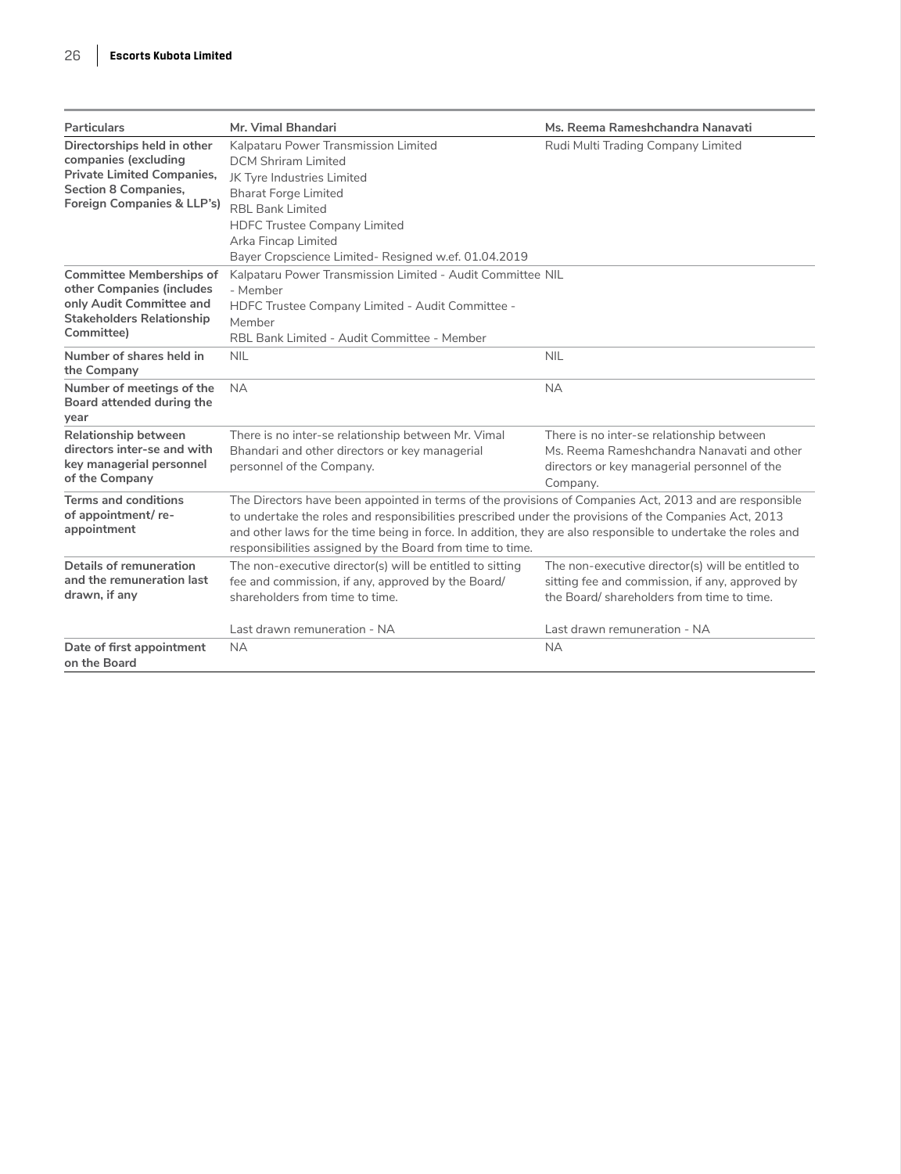| Particulars                                                                                                                                           | Mr. Vimal Bhandari                                                                                                                                                                                                                                                                                                                                                                              | Ms. Reema Rameshchandra Nanavati                                                                                                                    |
|-------------------------------------------------------------------------------------------------------------------------------------------------------|-------------------------------------------------------------------------------------------------------------------------------------------------------------------------------------------------------------------------------------------------------------------------------------------------------------------------------------------------------------------------------------------------|-----------------------------------------------------------------------------------------------------------------------------------------------------|
| Directorships held in other<br>companies (excluding<br><b>Private Limited Companies,</b><br><b>Section 8 Companies,</b><br>Foreign Companies & LLP's) | Kalpataru Power Transmission Limited<br><b>DCM Shriram Limited</b><br>JK Tyre Industries Limited<br><b>Bharat Forge Limited</b><br>RBL Bank Limited<br><b>HDFC Trustee Company Limited</b><br>Arka Fincap Limited<br>Bayer Cropscience Limited- Resigned w.ef. 01.04.2019                                                                                                                       | Rudi Multi Trading Company Limited                                                                                                                  |
| <b>Committee Memberships of</b><br>other Companies (includes<br>only Audit Committee and<br><b>Stakeholders Relationship</b><br>Committee)            | Kalpataru Power Transmission Limited - Audit Committee NIL<br>- Member<br>HDFC Trustee Company Limited - Audit Committee -<br>Member<br>RBL Bank Limited - Audit Committee - Member                                                                                                                                                                                                             |                                                                                                                                                     |
| Number of shares held in<br>the Company                                                                                                               | <b>NIL</b>                                                                                                                                                                                                                                                                                                                                                                                      | <b>NIL</b>                                                                                                                                          |
| Number of meetings of the<br>Board attended during the<br>year                                                                                        | <b>NA</b>                                                                                                                                                                                                                                                                                                                                                                                       | <b>NA</b>                                                                                                                                           |
| Relationship between<br>directors inter-se and with<br>key managerial personnel<br>of the Company                                                     | There is no inter-se relationship between Mr. Vimal<br>Bhandari and other directors or key managerial<br>personnel of the Company.                                                                                                                                                                                                                                                              | There is no inter-se relationship between<br>Ms. Reema Rameshchandra Nanavati and other<br>directors or key managerial personnel of the<br>Company. |
| <b>Terms and conditions</b><br>of appointment/re-<br>appointment                                                                                      | The Directors have been appointed in terms of the provisions of Companies Act, 2013 and are responsible<br>to undertake the roles and responsibilities prescribed under the provisions of the Companies Act, 2013<br>and other laws for the time being in force. In addition, they are also responsible to undertake the roles and<br>responsibilities assigned by the Board from time to time. |                                                                                                                                                     |
| Details of remuneration<br>and the remuneration last<br>drawn, if any                                                                                 | The non-executive director(s) will be entitled to sitting<br>fee and commission, if any, approved by the Board/<br>shareholders from time to time.                                                                                                                                                                                                                                              | The non-executive director(s) will be entitled to<br>sitting fee and commission, if any, approved by<br>the Board/ shareholders from time to time.  |
|                                                                                                                                                       | Last drawn remuneration - NA                                                                                                                                                                                                                                                                                                                                                                    | Last drawn remuneration - NA                                                                                                                        |
| Date of first appointment<br>on the Board                                                                                                             | <b>NA</b>                                                                                                                                                                                                                                                                                                                                                                                       | <b>NA</b>                                                                                                                                           |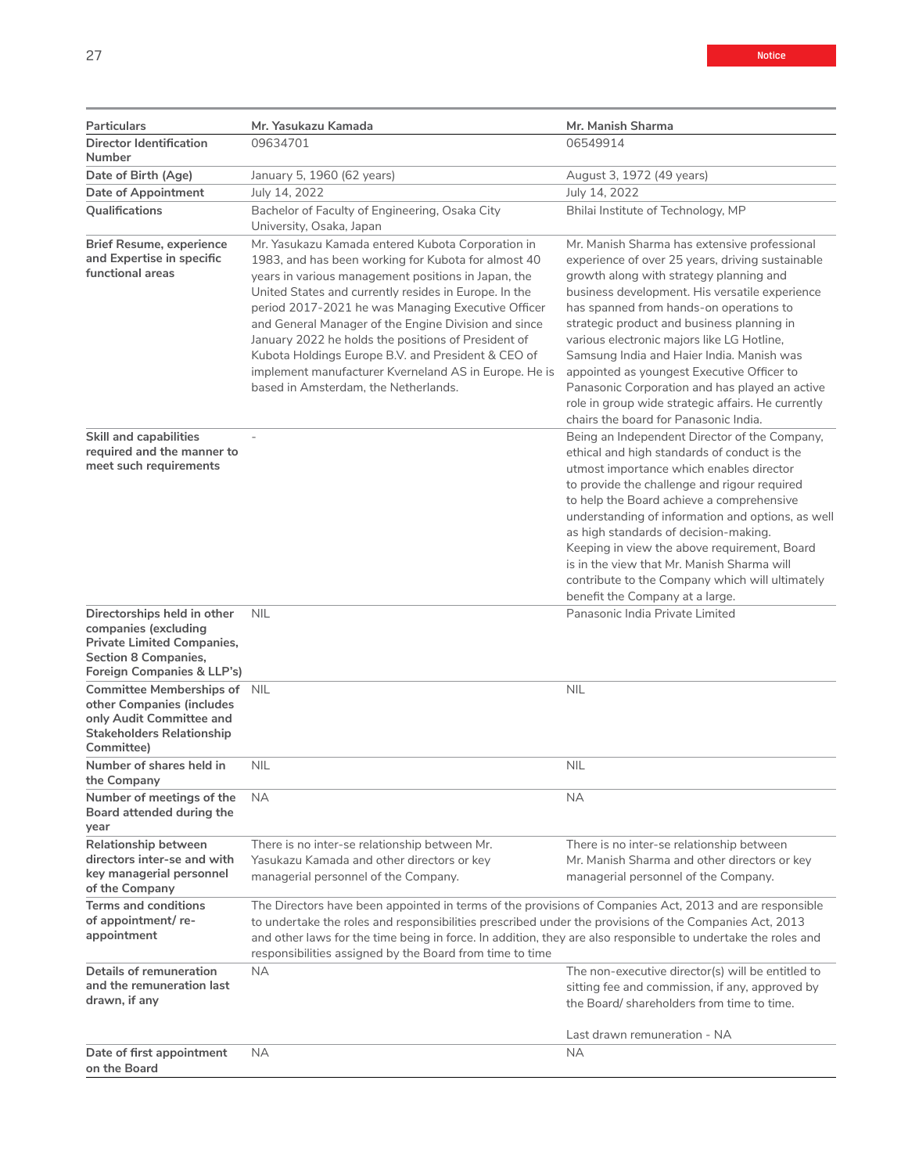| Particulars                                                                                                                                           | Mr. Yasukazu Kamada                                                                                                                                                                                                                                                                                                                                                                                                                                                                                                                                  | Mr. Manish Sharma                                                                                                                                                                                                                                                                                                                                                                                                                                                                                                                                                                |
|-------------------------------------------------------------------------------------------------------------------------------------------------------|------------------------------------------------------------------------------------------------------------------------------------------------------------------------------------------------------------------------------------------------------------------------------------------------------------------------------------------------------------------------------------------------------------------------------------------------------------------------------------------------------------------------------------------------------|----------------------------------------------------------------------------------------------------------------------------------------------------------------------------------------------------------------------------------------------------------------------------------------------------------------------------------------------------------------------------------------------------------------------------------------------------------------------------------------------------------------------------------------------------------------------------------|
| <b>Director Identification</b><br>Number                                                                                                              | 09634701                                                                                                                                                                                                                                                                                                                                                                                                                                                                                                                                             | 06549914                                                                                                                                                                                                                                                                                                                                                                                                                                                                                                                                                                         |
| Date of Birth (Age)                                                                                                                                   | January 5, 1960 (62 years)                                                                                                                                                                                                                                                                                                                                                                                                                                                                                                                           | August 3, 1972 (49 years)                                                                                                                                                                                                                                                                                                                                                                                                                                                                                                                                                        |
| <b>Date of Appointment</b>                                                                                                                            | July 14, 2022                                                                                                                                                                                                                                                                                                                                                                                                                                                                                                                                        | July 14, 2022                                                                                                                                                                                                                                                                                                                                                                                                                                                                                                                                                                    |
| <b>Oualifications</b>                                                                                                                                 | Bachelor of Faculty of Engineering, Osaka City<br>University, Osaka, Japan                                                                                                                                                                                                                                                                                                                                                                                                                                                                           | Bhilai Institute of Technology, MP                                                                                                                                                                                                                                                                                                                                                                                                                                                                                                                                               |
| <b>Brief Resume, experience</b><br>and Expertise in specific<br>functional areas                                                                      | Mr. Yasukazu Kamada entered Kubota Corporation in<br>1983, and has been working for Kubota for almost 40<br>years in various management positions in Japan, the<br>United States and currently resides in Europe. In the<br>period 2017-2021 he was Managing Executive Officer<br>and General Manager of the Engine Division and since<br>January 2022 he holds the positions of President of<br>Kubota Holdings Europe B.V. and President & CEO of<br>implement manufacturer Kverneland AS in Europe. He is<br>based in Amsterdam, the Netherlands. | Mr. Manish Sharma has extensive professional<br>experience of over 25 years, driving sustainable<br>growth along with strategy planning and<br>business development. His versatile experience<br>has spanned from hands-on operations to<br>strategic product and business planning in<br>various electronic majors like LG Hotline,<br>Samsung India and Haier India. Manish was<br>appointed as youngest Executive Officer to<br>Panasonic Corporation and has played an active<br>role in group wide strategic affairs. He currently<br>chairs the board for Panasonic India. |
| <b>Skill and capabilities</b><br>required and the manner to<br>meet such requirements                                                                 |                                                                                                                                                                                                                                                                                                                                                                                                                                                                                                                                                      | Being an Independent Director of the Company,<br>ethical and high standards of conduct is the<br>utmost importance which enables director<br>to provide the challenge and rigour required<br>to help the Board achieve a comprehensive<br>understanding of information and options, as well<br>as high standards of decision-making.<br>Keeping in view the above requirement, Board<br>is in the view that Mr. Manish Sharma will<br>contribute to the Company which will ultimately<br>benefit the Company at a large.                                                         |
| Directorships held in other<br>companies (excluding<br><b>Private Limited Companies,</b><br><b>Section 8 Companies,</b><br>Foreign Companies & LLP's) | <b>NIL</b>                                                                                                                                                                                                                                                                                                                                                                                                                                                                                                                                           | Panasonic India Private Limited                                                                                                                                                                                                                                                                                                                                                                                                                                                                                                                                                  |
| Committee Memberships of NIL<br>other Companies (includes<br>only Audit Committee and<br><b>Stakeholders Relationship</b><br>Committee)               |                                                                                                                                                                                                                                                                                                                                                                                                                                                                                                                                                      | <b>NIL</b>                                                                                                                                                                                                                                                                                                                                                                                                                                                                                                                                                                       |
| Number of shares held in<br>the Company                                                                                                               | <b>NIL</b>                                                                                                                                                                                                                                                                                                                                                                                                                                                                                                                                           | <b>NIL</b>                                                                                                                                                                                                                                                                                                                                                                                                                                                                                                                                                                       |
| Number of meetings of the<br>Board attended during the<br>year                                                                                        | <b>NA</b>                                                                                                                                                                                                                                                                                                                                                                                                                                                                                                                                            | NA                                                                                                                                                                                                                                                                                                                                                                                                                                                                                                                                                                               |
| Relationship between<br>directors inter-se and with<br>key managerial personnel<br>of the Company                                                     | There is no inter-se relationship between Mr.<br>Yasukazu Kamada and other directors or key<br>managerial personnel of the Company.                                                                                                                                                                                                                                                                                                                                                                                                                  | There is no inter-se relationship between<br>Mr. Manish Sharma and other directors or key<br>managerial personnel of the Company.                                                                                                                                                                                                                                                                                                                                                                                                                                                |
| <b>Terms and conditions</b><br>of appointment/re-<br>appointment                                                                                      | The Directors have been appointed in terms of the provisions of Companies Act, 2013 and are responsible<br>to undertake the roles and responsibilities prescribed under the provisions of the Companies Act, 2013<br>and other laws for the time being in force. In addition, they are also responsible to undertake the roles and<br>responsibilities assigned by the Board from time to time                                                                                                                                                       |                                                                                                                                                                                                                                                                                                                                                                                                                                                                                                                                                                                  |
| Details of remuneration<br>and the remuneration last<br>drawn, if any                                                                                 | <b>NA</b>                                                                                                                                                                                                                                                                                                                                                                                                                                                                                                                                            | The non-executive director(s) will be entitled to<br>sitting fee and commission, if any, approved by<br>the Board/ shareholders from time to time.                                                                                                                                                                                                                                                                                                                                                                                                                               |
|                                                                                                                                                       |                                                                                                                                                                                                                                                                                                                                                                                                                                                                                                                                                      | Last drawn remuneration - NA                                                                                                                                                                                                                                                                                                                                                                                                                                                                                                                                                     |
| Date of first appointment<br>on the Board                                                                                                             | NA.                                                                                                                                                                                                                                                                                                                                                                                                                                                                                                                                                  | <b>NA</b>                                                                                                                                                                                                                                                                                                                                                                                                                                                                                                                                                                        |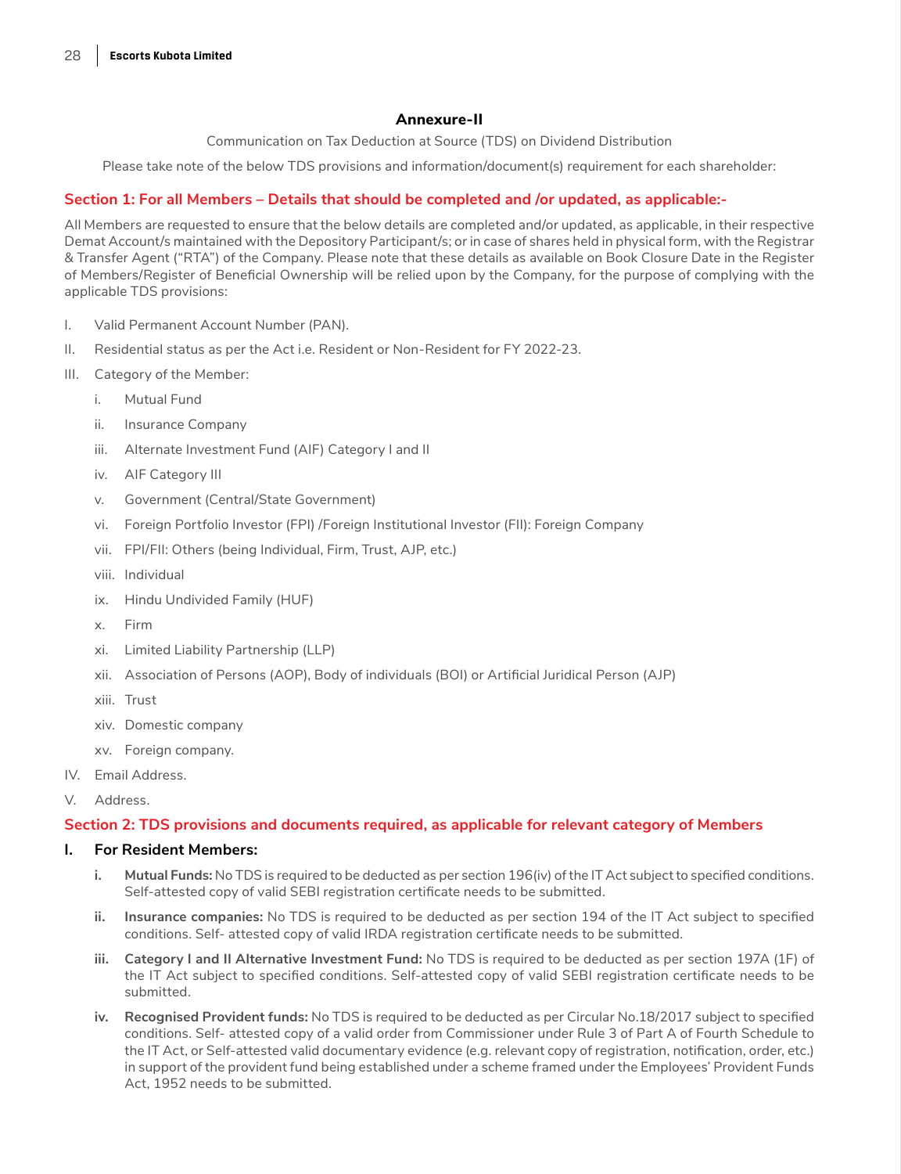## **Annexure-II**

Communication on Tax Deduction at Source (TDS) on Dividend Distribution

Please take note of the below TDS provisions and information/document(s) requirement for each shareholder:

## **Section 1: For all Members – Details that should be completed and /or updated, as applicable:-**

All Members are requested to ensure that the below details are completed and/or updated, as applicable, in their respective Demat Account/s maintained with the Depository Participant/s; or in case of shares held in physical form, with the Registrar & Transfer Agent ("RTA") of the Company. Please note that these details as available on Book Closure Date in the Register of Members/Register of Beneficial Ownership will be relied upon by the Company, for the purpose of complying with the applicable TDS provisions:

- I. Valid Permanent Account Number (PAN).
- II. Residential status as per the Act i.e. Resident or Non-Resident for FY 2022-23.
- III. Category of the Member:
	- i. Mutual Fund
	- ii. Insurance Company
	- iii. Alternate Investment Fund (AIF) Category I and II
	- iv. AIF Category III
	- v. Government (Central/State Government)
	- vi. Foreign Portfolio Investor (FPI) /Foreign Institutional Investor (FII): Foreign Company
	- vii. FPI/FII: Others (being Individual, Firm, Trust, AJP, etc.)
	- viii. Individual
	- ix. Hindu Undivided Family (HUF)
	- x. Firm
	- xi. Limited Liability Partnership (LLP)
	- xii. Association of Persons (AOP), Body of individuals (BOI) or Artificial Juridical Person (AJP)
	- xiii. Trust
	- xiv. Domestic company
	- xv. Foreign company.
- IV. Email Address.
- V. Address.

### **Section 2: TDS provisions and documents required, as applicable for relevant category of Members**

#### **I. For Resident Members:**

- **i. Mutual Funds:** No TDS is required to be deducted as per section 196(iv) of the IT Act subject to specified conditions. Self-attested copy of valid SEBI registration certificate needs to be submitted.
- **ii. Insurance companies:** No TDS is required to be deducted as per section 194 of the IT Act subject to specified conditions. Self- attested copy of valid IRDA registration certificate needs to be submitted.
- **iii. Category I and II Alternative Investment Fund:** No TDS is required to be deducted as per section 197A (1F) of the IT Act subject to specified conditions. Self-attested copy of valid SEBI registration certificate needs to be submitted.
- **iv. Recognised Provident funds:** No TDS is required to be deducted as per Circular No.18/2017 subject to specified conditions. Self- attested copy of a valid order from Commissioner under Rule 3 of Part A of Fourth Schedule to the IT Act, or Self-attested valid documentary evidence (e.g. relevant copy of registration, notification, order, etc.) in support of the provident fund being established under a scheme framed under the Employees' Provident Funds Act, 1952 needs to be submitted.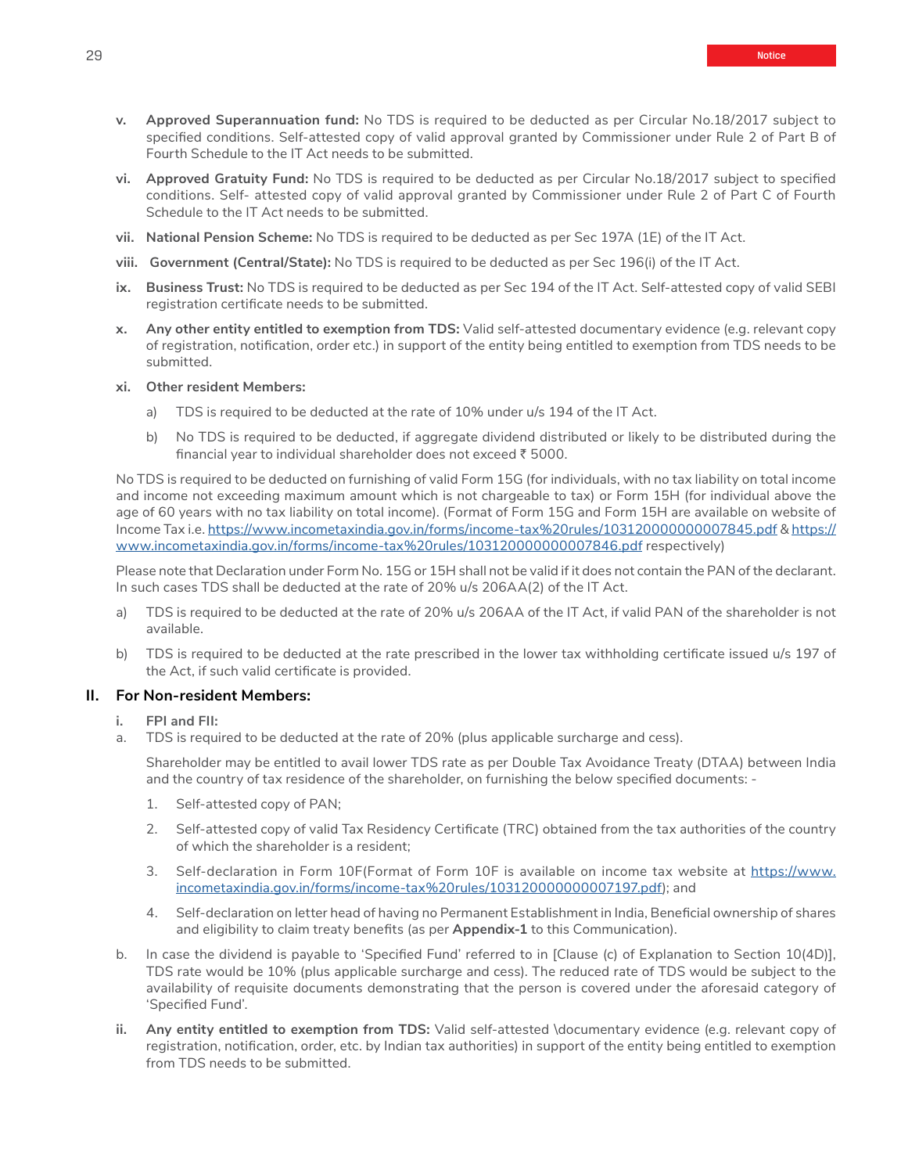- **vi. Approved Gratuity Fund:** No TDS is required to be deducted as per Circular No.18/2017 subject to specified conditions. Self- attested copy of valid approval granted by Commissioner under Rule 2 of Part C of Fourth Schedule to the IT Act needs to be submitted.
- **vii. National Pension Scheme:** No TDS is required to be deducted as per Sec 197A (1E) of the IT Act.
- **viii. Government (Central/State):** No TDS is required to be deducted as per Sec 196(i) of the IT Act.
- **ix. Business Trust:** No TDS is required to be deducted as per Sec 194 of the IT Act. Self-attested copy of valid SEBI registration certificate needs to be submitted.
- **x. Any other entity entitled to exemption from TDS:** Valid self-attested documentary evidence (e.g. relevant copy of registration, notification, order etc.) in support of the entity being entitled to exemption from TDS needs to be submitted.
- **xi. Other resident Members:**
	- a) TDS is required to be deducted at the rate of 10% under u/s 194 of the IT Act.
	- b) No TDS is required to be deducted, if aggregate dividend distributed or likely to be distributed during the financial year to individual shareholder does not exceed  $\bar{\tau}$  5000.

No TDS is required to be deducted on furnishing of valid Form 15G (for individuals, with no tax liability on total income and income not exceeding maximum amount which is not chargeable to tax) or Form 15H (for individual above the age of 60 years with no tax liability on total income). (Format of Form 15G and Form 15H are available on website of Income Tax i.e.<https://www.incometaxindia.gov.in/forms/income-tax%20rules/103120000000007845.pdf>& [https://](https://www.incometaxindia.gov.in/forms/income-tax%20rules/103120000000007846.pdf) [www.incometaxindia.gov.in/forms/income-tax%20rules/103120000000007846.pdf](https://www.incometaxindia.gov.in/forms/income-tax%20rules/103120000000007846.pdf) respectively)

Please note that Declaration under Form No. 15G or 15H shall not be valid if it does not contain the PAN of the declarant. In such cases TDS shall be deducted at the rate of 20% u/s 206AA(2) of the IT Act.

- a) TDS is required to be deducted at the rate of 20% u/s 206AA of the IT Act, if valid PAN of the shareholder is not available.
- b) TDS is required to be deducted at the rate prescribed in the lower tax withholding certificate issued u/s 197 of the Act, if such valid certificate is provided.

### **II. For Non-resident Members:**

- **i. FPI and FII:**
- a. TDS is required to be deducted at the rate of 20% (plus applicable surcharge and cess).

Shareholder may be entitled to avail lower TDS rate as per Double Tax Avoidance Treaty (DTAA) between India and the country of tax residence of the shareholder, on furnishing the below specified documents: -

- 1. Self-attested copy of PAN;
- 2. Self-attested copy of valid Tax Residency Certificate (TRC) obtained from the tax authorities of the country of which the shareholder is a resident;
- 3. Self-declaration in Form 10F(Format of Form 10F is available on income tax website at [https://www.](https://www.incometaxindia.gov.in/forms/income-tax%20rules/103120000000007197.pdf) [incometaxindia.gov.in/forms/income-tax%20rules/103120000000007197.pdf\)](https://www.incometaxindia.gov.in/forms/income-tax%20rules/103120000000007197.pdf); and
- 4. Self-declaration on letter head of having no Permanent Establishment in India, Beneficial ownership of shares and eligibility to claim treaty benefits (as per **Appendix-1** to this Communication).
- b. In case the dividend is payable to 'Specified Fund' referred to in [Clause (c) of Explanation to Section 10(4D)], TDS rate would be 10% (plus applicable surcharge and cess). The reduced rate of TDS would be subject to the availability of requisite documents demonstrating that the person is covered under the aforesaid category of 'Specified Fund'.
- **ii. Any entity entitled to exemption from TDS:** Valid self-attested \documentary evidence (e.g. relevant copy of registration, notification, order, etc. by Indian tax authorities) in support of the entity being entitled to exemption from TDS needs to be submitted.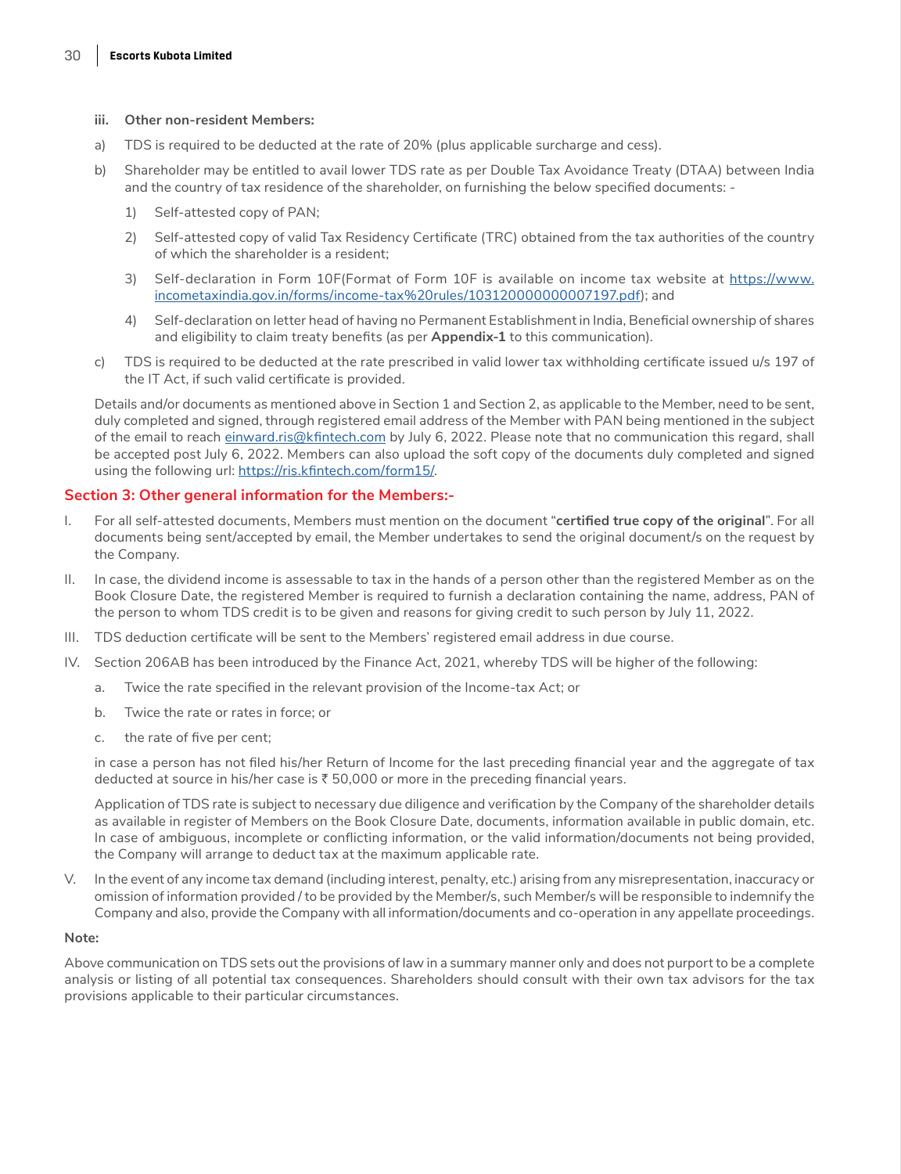#### **iii. Other non-resident Members:**

- a) TDS is required to be deducted at the rate of 20% (plus applicable surcharge and cess).
- b) Shareholder may be entitled to avail lower TDS rate as per Double Tax Avoidance Treaty (DTAA) between India and the country of tax residence of the shareholder, on furnishing the below specified documents: -
	- 1) Self-attested copy of PAN;
	- 2) Self-attested copy of valid Tax Residency Certificate (TRC) obtained from the tax authorities of the country of which the shareholder is a resident;
	- 3) Self-declaration in Form 10F(Format of Form 10F is available on income tax website at [https://www.](https://www.incometaxindia.gov.in/forms/income-tax%20rules/103120000000007197.pdf) [incometaxindia.gov.in/forms/income-tax%20rules/103120000000007197.pdf\)](https://www.incometaxindia.gov.in/forms/income-tax%20rules/103120000000007197.pdf); and
	- 4) Self-declaration on letter head of having no Permanent Establishment in India, Beneficial ownership of shares and eligibility to claim treaty benefits (as per **Appendix-1** to this communication).
- c) TDS is required to be deducted at the rate prescribed in valid lower tax withholding certificate issued u/s 197 of the IT Act, if such valid certificate is provided.

Details and/or documents as mentioned above in Section 1 and Section 2, as applicable to the Member, need to be sent, duly completed and signed, through registered email address of the Member with PAN being mentioned in the subject of the email to reach [einward.ris@kfintech.com](http://einward.ris@kfintech.com) by July 6, 2022. Please note that no communication this regard, shall be accepted post July 6, 2022. Members can also upload the soft copy of the documents duly completed and signed using the following url:<https://ris.kfintech.com/form15/>.

### **Section 3: Other general information for the Members:-**

- I. For all self-attested documents, Members must mention on the document "**certified true copy of the original**". For all documents being sent/accepted by email, the Member undertakes to send the original document/s on the request by the Company.
- II. In case, the dividend income is assessable to tax in the hands of a person other than the registered Member as on the Book Closure Date, the registered Member is required to furnish a declaration containing the name, address, PAN of the person to whom TDS credit is to be given and reasons for giving credit to such person by July 11, 2022.
- III. TDS deduction certificate will be sent to the Members' registered email address in due course.
- IV. Section 206AB has been introduced by the Finance Act, 2021, whereby TDS will be higher of the following:
	- a. Twice the rate specified in the relevant provision of the Income-tax Act; or
	- b. Twice the rate or rates in force; or
	- c. the rate of five per cent;

in case a person has not filed his/her Return of Income for the last preceding financial year and the aggregate of tax deducted at source in his/her case is  $\bar{z}$  50,000 or more in the preceding financial years.

Application of TDS rate is subject to necessary due diligence and verification by the Company of the shareholder details as available in register of Members on the Book Closure Date, documents, information available in public domain, etc. In case of ambiguous, incomplete or conflicting information, or the valid information/documents not being provided, the Company will arrange to deduct tax at the maximum applicable rate.

V. In the event of any income tax demand (including interest, penalty, etc.) arising from any misrepresentation, inaccuracy or omission of information provided / to be provided by the Member/s, such Member/s will be responsible to indemnify the Company and also, provide the Company with all information/documents and co-operation in any appellate proceedings.

#### **Note:**

Above communication on TDS sets out the provisions of law in a summary manner only and does not purport to be a complete analysis or listing of all potential tax consequences. Shareholders should consult with their own tax advisors for the tax provisions applicable to their particular circumstances.